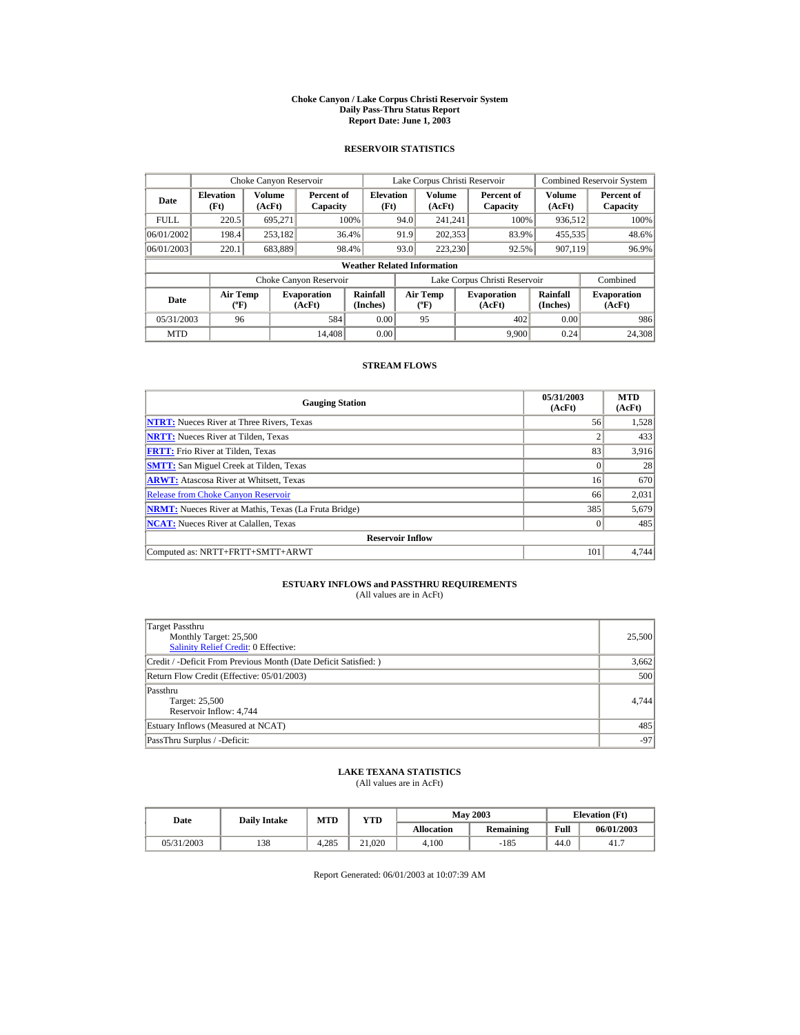#### **Choke Canyon / Lake Corpus Christi Reservoir System Daily Pass-Thru Status Report Report Date: June 1, 2003**

### **RESERVOIR STATISTICS**

|             | Choke Canyon Reservoir                      |                  |                              |                          | Lake Corpus Christi Reservoir |                                  |  |                               |                      | <b>Combined Reservoir System</b> |  |  |
|-------------|---------------------------------------------|------------------|------------------------------|--------------------------|-------------------------------|----------------------------------|--|-------------------------------|----------------------|----------------------------------|--|--|
| Date        | <b>Elevation</b><br>(Ft)                    | Volume<br>(AcFt) | Percent of<br>Capacity       | <b>Elevation</b><br>(Ft) |                               | Volume<br>(AcFt)                 |  | Percent of<br>Capacity        | Volume<br>(AcFt)     | Percent of<br>Capacity           |  |  |
| <b>FULL</b> | 220.5                                       | 695.271          |                              | 100%                     | 94.0                          | 241.241                          |  | 100%                          | 936,512              | 100%                             |  |  |
| 06/01/2002  | 198.4                                       | 253,182          |                              | 36.4%                    | 91.9                          | 202,353                          |  | 83.9%                         | 455,535              | 48.6%                            |  |  |
| 06/01/2003  | 220.1                                       | 683,889          |                              | 98.4%                    | 93.0                          | 223,230                          |  | 92.5%                         | 907,119              | 96.9%                            |  |  |
|             | <b>Weather Related Information</b>          |                  |                              |                          |                               |                                  |  |                               |                      |                                  |  |  |
|             |                                             |                  | Choke Canyon Reservoir       |                          |                               |                                  |  | Lake Corpus Christi Reservoir |                      | Combined                         |  |  |
| Date        | <b>Air Temp</b><br>$({}^{\circ}\mathrm{F})$ |                  | <b>Evaporation</b><br>(AcFt) | Rainfall<br>(Inches)     |                               | <b>Air Temp</b><br>$(^{\circ}F)$ |  | <b>Evaporation</b><br>(AcFt)  | Rainfall<br>(Inches) | <b>Evaporation</b><br>(AcFt)     |  |  |
| 05/31/2003  | 96                                          |                  | 584                          | 0.00                     |                               | 95                               |  | 402                           | 0.00                 | 986                              |  |  |
| <b>MTD</b>  |                                             |                  | 14.408                       | 0.00                     |                               |                                  |  | 9.900                         | 0.24                 | 24,308                           |  |  |

### **STREAM FLOWS**

| <b>Gauging Station</b>                                       | 05/31/2003<br>(AcFt) | <b>MTD</b><br>(AcFt) |
|--------------------------------------------------------------|----------------------|----------------------|
| <b>NTRT:</b> Nueces River at Three Rivers, Texas             | 56                   | 1,528                |
| <b>NRTT:</b> Nueces River at Tilden, Texas                   | $\overline{c}$       | 433                  |
| <b>FRTT:</b> Frio River at Tilden, Texas                     | 83                   | 3.916                |
| <b>SMTT:</b> San Miguel Creek at Tilden, Texas               | $\Omega$             | 28                   |
| <b>ARWT:</b> Atascosa River at Whitsett, Texas               | 16                   | 670                  |
| <b>Release from Choke Canyon Reservoir</b>                   | 66                   | 2,031                |
| <b>NRMT:</b> Nueces River at Mathis, Texas (La Fruta Bridge) | 385                  | 5,679                |
| <b>NCAT:</b> Nueces River at Calallen, Texas                 | $\Omega$             | 485                  |
| <b>Reservoir Inflow</b>                                      |                      |                      |
| Computed as: NRTT+FRTT+SMTT+ARWT                             | 101                  | 4.744                |

# **ESTUARY INFLOWS and PASSTHRU REQUIREMENTS**<br>(All values are in AcFt)

| Target Passthru<br>Monthly Target: 25,500<br>Salinity Relief Credit: 0 Effective: | 25,500 |
|-----------------------------------------------------------------------------------|--------|
| Credit / -Deficit From Previous Month (Date Deficit Satisfied: )                  | 3,662  |
| Return Flow Credit (Effective: 05/01/2003)                                        | 500    |
| Passthru<br>Target: 25,500<br>Reservoir Inflow: 4,744                             | 4.744  |
| Estuary Inflows (Measured at NCAT)                                                | 485    |
| PassThru Surplus / -Deficit:                                                      | $-97$  |

## **LAKE TEXANA STATISTICS**

(All values are in AcFt)

| Date       | <b>Daily Intake</b> | <b>MTD</b> | YTD    |                   | <b>May 2003</b> | <b>Elevation</b> (Ft) |            |
|------------|---------------------|------------|--------|-------------------|-----------------|-----------------------|------------|
|            |                     |            |        | <b>Allocation</b> | Remaining       | Full                  | 06/01/2003 |
| 05/31/2003 | 138                 | 4.285      | 21.020 | 4.100             | $-185$          | 44.0                  | 41.7       |

Report Generated: 06/01/2003 at 10:07:39 AM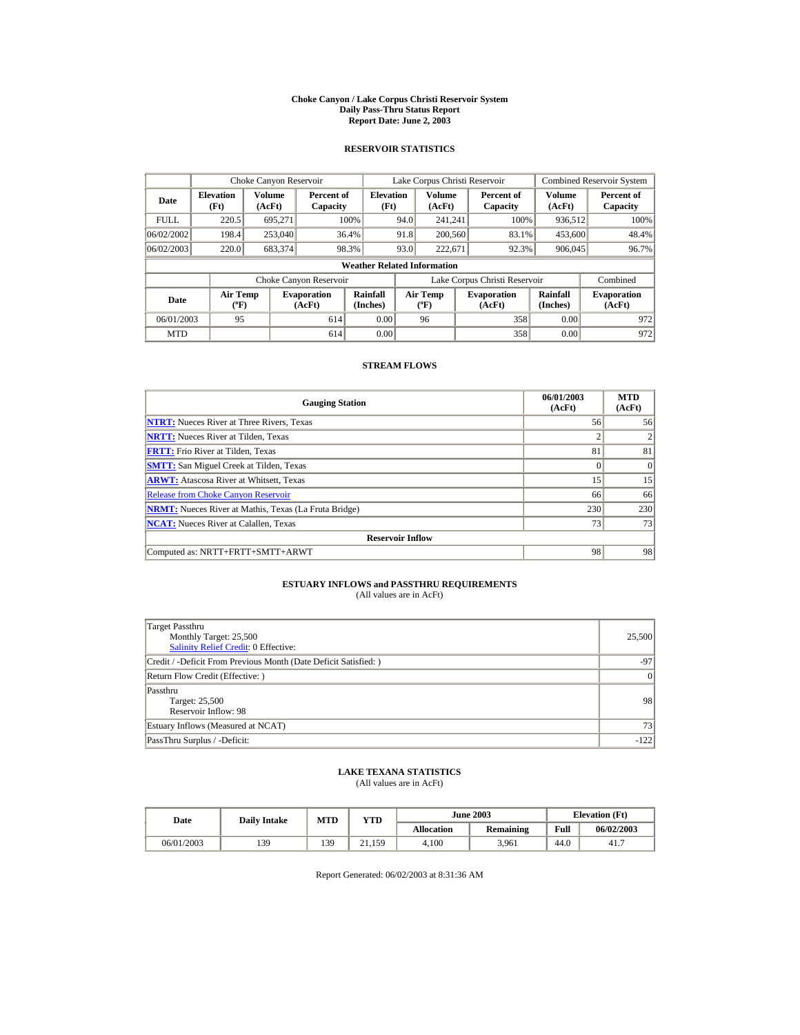#### **Choke Canyon / Lake Corpus Christi Reservoir System Daily Pass-Thru Status Report Report Date: June 2, 2003**

### **RESERVOIR STATISTICS**

|             | Choke Canyon Reservoir                      |                         |                              |                          | Lake Corpus Christi Reservoir |                                          |  |                               |                         | <b>Combined Reservoir System</b> |  |  |
|-------------|---------------------------------------------|-------------------------|------------------------------|--------------------------|-------------------------------|------------------------------------------|--|-------------------------------|-------------------------|----------------------------------|--|--|
| Date        | <b>Elevation</b><br>(Ft)                    | <b>Volume</b><br>(AcFt) | Percent of<br>Capacity       | <b>Elevation</b><br>(Ft) |                               | Volume<br>(AcFt)                         |  | Percent of<br>Capacity        | <b>Volume</b><br>(AcFt) | Percent of<br>Capacity           |  |  |
| <b>FULL</b> | 220.5                                       | 695.271                 |                              | 100%                     | 94.0                          | 241.241                                  |  | 100%                          | 936.512                 | 100%                             |  |  |
| 06/02/2002  | 198.4                                       | 253,040                 |                              | 36.4%                    | 91.8                          | 200,560                                  |  | 83.1%                         | 453,600                 | 48.4%                            |  |  |
| 06/02/2003  | 220.0                                       | 683,374                 |                              | 98.3%                    | 93.0                          | 222.671                                  |  | 92.3%                         | 906,045                 | 96.7%                            |  |  |
|             | <b>Weather Related Information</b>          |                         |                              |                          |                               |                                          |  |                               |                         |                                  |  |  |
|             |                                             |                         | Choke Canyon Reservoir       |                          |                               |                                          |  | Lake Corpus Christi Reservoir |                         | Combined                         |  |  |
| Date        | <b>Air Temp</b><br>$({}^{\circ}\mathrm{F})$ |                         | <b>Evaporation</b><br>(AcFt) | Rainfall<br>(Inches)     |                               | <b>Air Temp</b><br>$({}^{\circ}{\rm F})$ |  | <b>Evaporation</b><br>(AcFt)  | Rainfall<br>(Inches)    | <b>Evaporation</b><br>(AcFt)     |  |  |
| 06/01/2003  | 95                                          |                         | 614                          | 0.00                     |                               | 96                                       |  | 358                           | 0.00                    | 972                              |  |  |
| <b>MTD</b>  |                                             |                         | 614                          | 0.00                     |                               |                                          |  | 358                           | 0.00                    | 972                              |  |  |

### **STREAM FLOWS**

| <b>Gauging Station</b>                                       | 06/01/2003<br>(AcFt) | <b>MTD</b><br>(AcFt) |
|--------------------------------------------------------------|----------------------|----------------------|
| <b>NTRT:</b> Nueces River at Three Rivers, Texas             | 56                   | 56                   |
| <b>NRTT:</b> Nueces River at Tilden, Texas                   | 2                    |                      |
| <b>FRTT:</b> Frio River at Tilden, Texas                     | 81                   | 81                   |
| <b>SMTT:</b> San Miguel Creek at Tilden, Texas               | $\Omega$             | $\Omega$             |
| <b>ARWT:</b> Atascosa River at Whitsett, Texas               | 15                   | 15                   |
| <b>Release from Choke Canyon Reservoir</b>                   | 66                   | 66                   |
| <b>NRMT:</b> Nueces River at Mathis, Texas (La Fruta Bridge) | 230                  | 230                  |
| <b>NCAT:</b> Nueces River at Calallen, Texas                 | 73                   | 73                   |
| <b>Reservoir Inflow</b>                                      |                      |                      |
| Computed as: NRTT+FRTT+SMTT+ARWT                             | 98                   | 98                   |

# **ESTUARY INFLOWS and PASSTHRU REQUIREMENTS**<br>(All values are in AcFt)

| Target Passthru<br>Monthly Target: 25,500<br>Salinity Relief Credit: 0 Effective: | 25,500    |
|-----------------------------------------------------------------------------------|-----------|
| Credit / -Deficit From Previous Month (Date Deficit Satisfied: )                  | $-97$     |
| Return Flow Credit (Effective: )                                                  | $\vert$ 0 |
| Passthru<br>Target: 25,500<br>Reservoir Inflow: 98                                | 98        |
| Estuary Inflows (Measured at NCAT)                                                | 73        |
| PassThru Surplus / -Deficit:                                                      | $-122$    |

## **LAKE TEXANA STATISTICS**

(All values are in AcFt)

| Date       | <b>Daily Intake</b> | <b>MTD</b> | YTD            |                   | <b>June 2003</b> | <b>Elevation</b> (Ft) |            |
|------------|---------------------|------------|----------------|-------------------|------------------|-----------------------|------------|
|            |                     |            |                | <b>Allocation</b> | Remaining        | Full                  | 06/02/2003 |
| 06/01/2003 | 139                 | 139        | $\angle 1,159$ | 4.100             | 3.961            | 44.0                  | 41.7       |

Report Generated: 06/02/2003 at 8:31:36 AM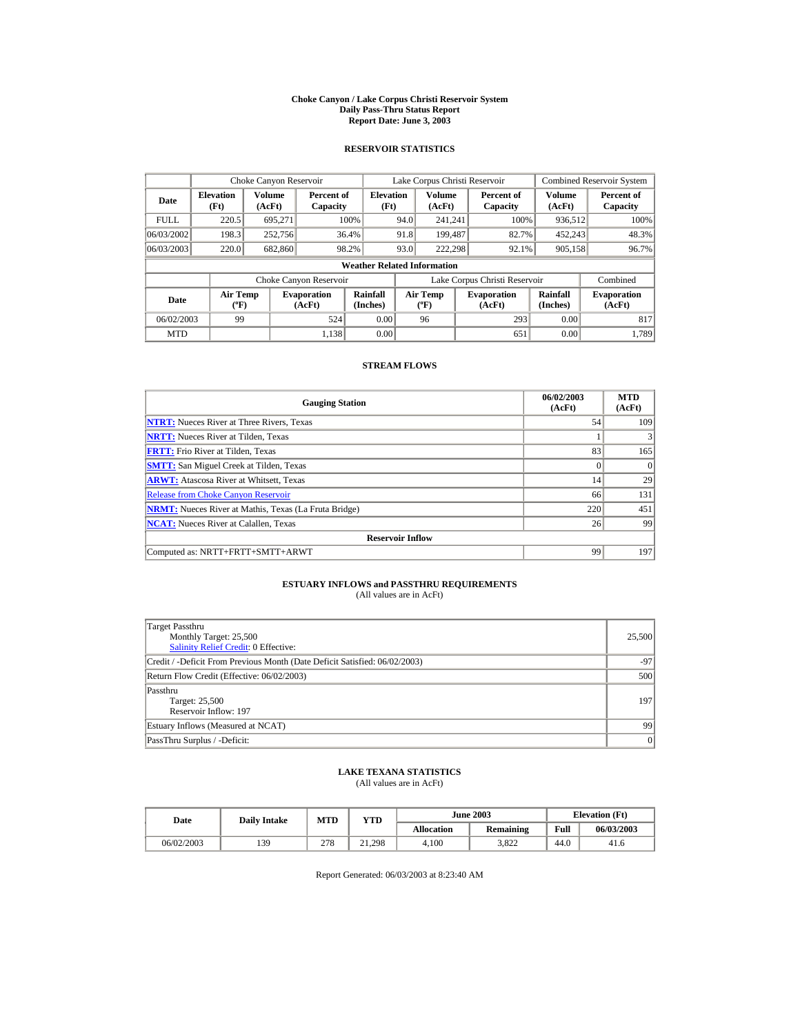#### **Choke Canyon / Lake Corpus Christi Reservoir System Daily Pass-Thru Status Report Report Date: June 3, 2003**

### **RESERVOIR STATISTICS**

|             | Choke Canyon Reservoir                      |                  |                              |                          | Lake Corpus Christi Reservoir |                                  |  |                               |                      | <b>Combined Reservoir System</b> |  |  |
|-------------|---------------------------------------------|------------------|------------------------------|--------------------------|-------------------------------|----------------------------------|--|-------------------------------|----------------------|----------------------------------|--|--|
| Date        | <b>Elevation</b><br>(Ft)                    | Volume<br>(AcFt) | Percent of<br>Capacity       | <b>Elevation</b><br>(Ft) |                               | Volume<br>(AcFt)                 |  | Percent of<br>Capacity        | Volume<br>(AcFt)     | Percent of<br>Capacity           |  |  |
| <b>FULL</b> | 220.5                                       | 695.271          |                              | 100%                     | 94.0                          | 241.241                          |  | 100%                          | 936,512              | 100%                             |  |  |
| 06/03/2002  | 198.3                                       | 252,756          |                              | 36.4%                    | 91.8                          | 199.487                          |  | 82.7%                         | 452,243              | 48.3%                            |  |  |
| 06/03/2003  | 220.0                                       | 682,860          |                              | 98.2%                    | 93.0                          | 222.298                          |  | 92.1%                         | 905,158              | 96.7%                            |  |  |
|             | <b>Weather Related Information</b>          |                  |                              |                          |                               |                                  |  |                               |                      |                                  |  |  |
|             |                                             |                  | Choke Canyon Reservoir       |                          |                               |                                  |  | Lake Corpus Christi Reservoir |                      | Combined                         |  |  |
| Date        | <b>Air Temp</b><br>$({}^{\circ}\mathrm{F})$ |                  | <b>Evaporation</b><br>(AcFt) | Rainfall<br>(Inches)     |                               | <b>Air Temp</b><br>$(^{\circ}F)$ |  | <b>Evaporation</b><br>(AcFt)  | Rainfall<br>(Inches) | <b>Evaporation</b><br>(AcFt)     |  |  |
| 06/02/2003  | 99                                          |                  | 524                          | 0.00                     |                               | 96                               |  | 293                           | 0.00                 | 817                              |  |  |
| <b>MTD</b>  |                                             |                  | 1.138                        | 0.00                     |                               |                                  |  | 651                           | 0.00                 | 1.789                            |  |  |

### **STREAM FLOWS**

| <b>Gauging Station</b>                                       | 06/02/2003<br>(AcFt) | <b>MTD</b><br>(AcFt) |
|--------------------------------------------------------------|----------------------|----------------------|
| <b>NTRT:</b> Nueces River at Three Rivers, Texas             | 54                   | 109                  |
| <b>NRTT:</b> Nueces River at Tilden, Texas                   |                      |                      |
| <b>FRTT:</b> Frio River at Tilden, Texas                     | 83                   | 165                  |
| <b>SMTT:</b> San Miguel Creek at Tilden, Texas               | $\Omega$             | $\Omega$             |
| <b>ARWT:</b> Atascosa River at Whitsett, Texas               | 14                   | 29                   |
| <b>Release from Choke Canyon Reservoir</b>                   | 66                   | 131                  |
| <b>NRMT:</b> Nueces River at Mathis, Texas (La Fruta Bridge) | 220                  | 451                  |
| <b>NCAT:</b> Nueces River at Calallen, Texas                 | 26                   | 99                   |
| <b>Reservoir Inflow</b>                                      |                      |                      |
| Computed as: NRTT+FRTT+SMTT+ARWT                             | 99                   | 197                  |

# **ESTUARY INFLOWS and PASSTHRU REQUIREMENTS**<br>(All values are in AcFt)

| Target Passthru<br>Monthly Target: 25,500<br><b>Salinity Relief Credit: 0 Effective:</b> | 25,500 |
|------------------------------------------------------------------------------------------|--------|
| Credit / -Deficit From Previous Month (Date Deficit Satisfied: 06/02/2003)               | $-97$  |
| Return Flow Credit (Effective: 06/02/2003)                                               | 500    |
| Passthru<br>Target: 25,500<br>Reservoir Inflow: 197                                      | 197    |
| Estuary Inflows (Measured at NCAT)                                                       | 99     |
| PassThru Surplus / -Deficit:                                                             | 0      |

## **LAKE TEXANA STATISTICS**

(All values are in AcFt)

| Date       | <b>Daily Intake</b> | MTD | $_{\rm VTD}$ |            | <b>June 2003</b> | <b>Elevation</b> (Ft) |            |
|------------|---------------------|-----|--------------|------------|------------------|-----------------------|------------|
|            |                     |     |              | Allocation | Remaining        | Full                  | 06/03/2003 |
| 06/02/2003 | 139                 | 278 | 21.298       | 4.100      | 3.822            | 44.0                  | 41.6       |

Report Generated: 06/03/2003 at 8:23:40 AM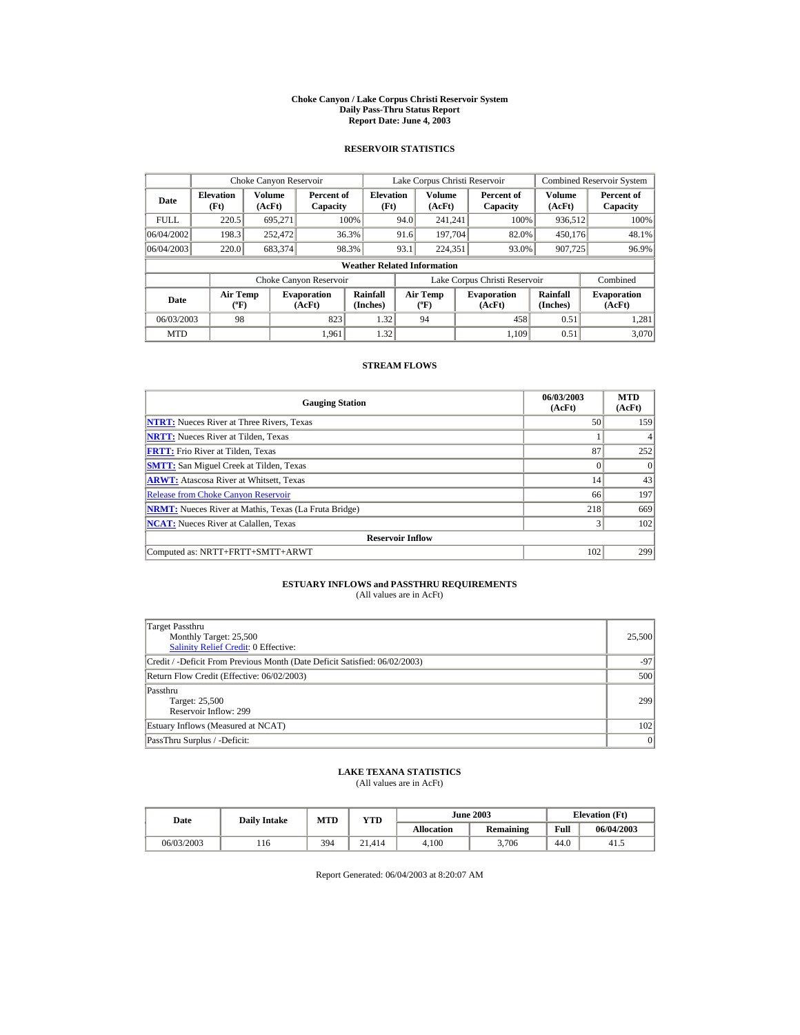#### **Choke Canyon / Lake Corpus Christi Reservoir System Daily Pass-Thru Status Report Report Date: June 4, 2003**

### **RESERVOIR STATISTICS**

|                                                      | Choke Canyon Reservoir                      |         |                              |                                    |      | Lake Corpus Christi Reservoir    |                               |                      | <b>Combined Reservoir System</b> |
|------------------------------------------------------|---------------------------------------------|---------|------------------------------|------------------------------------|------|----------------------------------|-------------------------------|----------------------|----------------------------------|
| Volume<br><b>Elevation</b><br>Date<br>(Ft)<br>(AcFt) |                                             |         | Percent of<br>Capacity       | <b>Elevation</b><br>(Ft)           |      | Volume<br>(AcFt)                 | Percent of<br>Capacity        | Volume<br>(AcFt)     | Percent of<br>Capacity           |
| <b>FULL</b>                                          | 220.5                                       | 695.271 |                              | 100%                               | 94.0 | 241.241                          | 100%                          | 936,512              | 100%                             |
| 06/04/2002                                           | 198.3                                       | 252,472 |                              | 36.3%                              | 91.6 | 197.704                          | 82.0%                         | 450.176              | 48.1%                            |
| 06/04/2003                                           | 220.0                                       | 683,374 |                              | 98.3%                              | 93.1 | 224.351                          | 93.0%                         | 907,725              | 96.9%                            |
|                                                      |                                             |         |                              | <b>Weather Related Information</b> |      |                                  |                               |                      |                                  |
|                                                      |                                             |         | Choke Canyon Reservoir       |                                    |      |                                  | Lake Corpus Christi Reservoir |                      | Combined                         |
| Date                                                 | <b>Air Temp</b><br>$({}^{\circ}\mathrm{F})$ |         | <b>Evaporation</b><br>(AcFt) | Rainfall<br>(Inches)               |      | <b>Air Temp</b><br>$(^{\circ}F)$ | <b>Evaporation</b><br>(AcFt)  | Rainfall<br>(Inches) | <b>Evaporation</b><br>(AcFt)     |
| 06/03/2003                                           | 98                                          |         | 823                          | 1.32                               |      | 94                               | 458                           | 0.51                 | 1.281                            |
| <b>MTD</b>                                           |                                             |         | 1.961                        | 1.32                               |      |                                  | 1.109                         | 0.51                 | 3.070                            |

### **STREAM FLOWS**

| <b>Gauging Station</b>                                       | 06/03/2003<br>(AcFt) | <b>MTD</b><br>(AcFt) |
|--------------------------------------------------------------|----------------------|----------------------|
| <b>NTRT:</b> Nueces River at Three Rivers, Texas             | 50                   | 159                  |
| <b>NRTT:</b> Nueces River at Tilden, Texas                   |                      |                      |
| <b>FRTT:</b> Frio River at Tilden, Texas                     | 87                   | 252                  |
| <b>SMTT:</b> San Miguel Creek at Tilden, Texas               | $\Omega$             | $\Omega$             |
| <b>ARWT:</b> Atascosa River at Whitsett, Texas               | 14                   | 43                   |
| <b>Release from Choke Canyon Reservoir</b>                   | 66                   | 197                  |
| <b>NRMT:</b> Nueces River at Mathis, Texas (La Fruta Bridge) | 218                  | 669                  |
| <b>NCAT:</b> Nueces River at Calallen, Texas                 | 3                    | 102                  |
| <b>Reservoir Inflow</b>                                      |                      |                      |
| Computed as: NRTT+FRTT+SMTT+ARWT                             | 102                  | 299                  |

# **ESTUARY INFLOWS and PASSTHRU REQUIREMENTS**<br>(All values are in AcFt)

| Target Passthru<br>Monthly Target: 25,500<br>Salinity Relief Credit: 0 Effective: | 25,500 |
|-----------------------------------------------------------------------------------|--------|
| Credit / -Deficit From Previous Month (Date Deficit Satisfied: 06/02/2003)        | $-97$  |
| Return Flow Credit (Effective: 06/02/2003)                                        | 500    |
| Passthru<br>Target: 25,500<br>Reservoir Inflow: 299                               | 299    |
| Estuary Inflows (Measured at NCAT)                                                | 102    |
| PassThru Surplus / -Deficit:                                                      | 0      |

## **LAKE TEXANA STATISTICS**

(All values are in AcFt)

| Date       | <b>Daily Intake</b> | <b>MTD</b> | YTD    | <b>June 2003</b>  |           |      | <b>Elevation</b> (Ft) |
|------------|---------------------|------------|--------|-------------------|-----------|------|-----------------------|
|            |                     |            |        | <b>Allocation</b> | Remaining | Full | 06/04/2003            |
| 06/03/2003 | 116                 | 394        | 21.414 | 4.100             | 3.706     | 44.0 | 41.5                  |

Report Generated: 06/04/2003 at 8:20:07 AM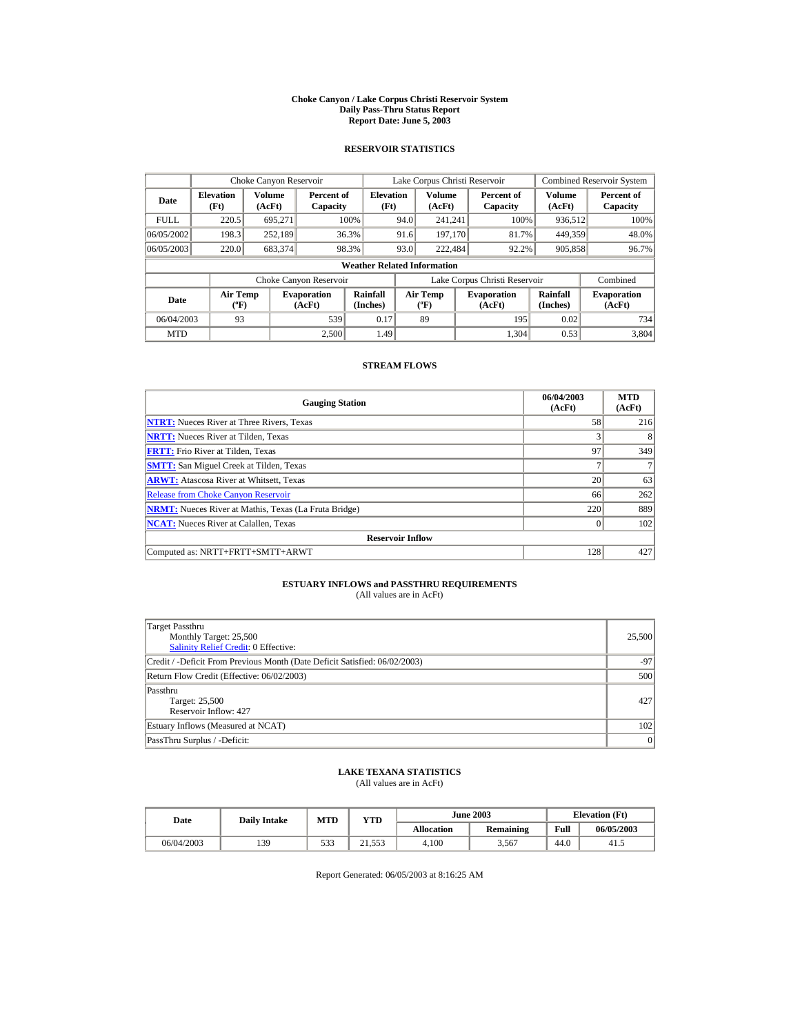#### **Choke Canyon / Lake Corpus Christi Reservoir System Daily Pass-Thru Status Report Report Date: June 5, 2003**

### **RESERVOIR STATISTICS**

|                                                      | Choke Canyon Reservoir                      |         |                              |                          |      | Lake Corpus Christi Reservoir    |  |                               |                      | Combined Reservoir System    |
|------------------------------------------------------|---------------------------------------------|---------|------------------------------|--------------------------|------|----------------------------------|--|-------------------------------|----------------------|------------------------------|
| Volume<br><b>Elevation</b><br>Date<br>(Ft)<br>(AcFt) |                                             |         | Percent of<br>Capacity       | <b>Elevation</b><br>(Ft) |      | Volume<br>(AcFt)                 |  | Percent of<br>Capacity        | Volume<br>(AcFt)     | Percent of<br>Capacity       |
| <b>FULL</b>                                          | 220.5                                       | 695.271 |                              | 100%                     | 94.0 | 241.241                          |  | 100%                          | 936,512              | 100%                         |
| 06/05/2002                                           | 198.3                                       | 252.189 |                              | 36.3%                    | 91.6 | 197.170                          |  | 81.7%                         | 449.359              | 48.0%                        |
| 06/05/2003                                           | 220.0                                       | 683,374 |                              | 98.3%                    | 93.0 | 222,484                          |  | 92.2%                         | 905,858              | 96.7%                        |
|                                                      | <b>Weather Related Information</b>          |         |                              |                          |      |                                  |  |                               |                      |                              |
|                                                      |                                             |         | Choke Canyon Reservoir       |                          |      |                                  |  | Lake Corpus Christi Reservoir |                      | Combined                     |
| Date                                                 | <b>Air Temp</b><br>$({}^{\circ}\mathrm{F})$ |         | <b>Evaporation</b><br>(AcFt) | Rainfall<br>(Inches)     |      | <b>Air Temp</b><br>$(^{\circ}F)$ |  | <b>Evaporation</b><br>(AcFt)  | Rainfall<br>(Inches) | <b>Evaporation</b><br>(AcFt) |
| 06/04/2003                                           | 93                                          |         | 539                          | 0.17                     |      | 89                               |  | 195                           | 0.02                 | 734                          |
| <b>MTD</b>                                           |                                             |         | 2.500                        | 1.49                     |      |                                  |  | 1.304                         | 0.53                 | 3.804                        |

### **STREAM FLOWS**

| <b>Gauging Station</b>                                       | 06/04/2003<br>(AcFt) | <b>MTD</b><br>(AcFt) |
|--------------------------------------------------------------|----------------------|----------------------|
| <b>NTRT:</b> Nueces River at Three Rivers, Texas             | 58                   | 216                  |
| <b>NRTT:</b> Nueces River at Tilden, Texas                   | 3                    |                      |
| <b>FRTT:</b> Frio River at Tilden, Texas                     | 97                   | 349                  |
| <b>SMTT:</b> San Miguel Creek at Tilden, Texas               |                      |                      |
| <b>ARWT:</b> Atascosa River at Whitsett, Texas               | 20                   | 63                   |
| <b>Release from Choke Canyon Reservoir</b>                   | 66                   | 262                  |
| <b>NRMT:</b> Nueces River at Mathis, Texas (La Fruta Bridge) | 220                  | 889                  |
| <b>NCAT:</b> Nueces River at Calallen. Texas                 | $\Omega$             | 102                  |
| <b>Reservoir Inflow</b>                                      |                      |                      |
| Computed as: NRTT+FRTT+SMTT+ARWT                             | 128                  | 427                  |

# **ESTUARY INFLOWS and PASSTHRU REQUIREMENTS**<br>(All values are in AcFt)

| Target Passthru<br>Monthly Target: 25,500<br>Salinity Relief Credit: 0 Effective: | 25,500 |
|-----------------------------------------------------------------------------------|--------|
| Credit / -Deficit From Previous Month (Date Deficit Satisfied: 06/02/2003)        | $-97$  |
| Return Flow Credit (Effective: 06/02/2003)                                        | 500    |
| Passthru<br>Target: 25,500<br>Reservoir Inflow: 427                               | 427    |
| Estuary Inflows (Measured at NCAT)                                                | 102    |
| PassThru Surplus / -Deficit:                                                      | 0      |

## **LAKE TEXANA STATISTICS**

(All values are in AcFt)

| Date       | <b>Daily Intake</b> | <b>MTD</b> | $v_{\rm TD}$ |            | <b>June 2003</b> | <b>Elevation</b> (Ft) |            |
|------------|---------------------|------------|--------------|------------|------------------|-----------------------|------------|
|            |                     |            |              | Allocation | Remaining        | Full                  | 06/05/2003 |
| 06/04/2003 | 139                 | 533        | 21.553       | 4.100      | 3.567            | 44.0                  | 41.5       |

Report Generated: 06/05/2003 at 8:16:25 AM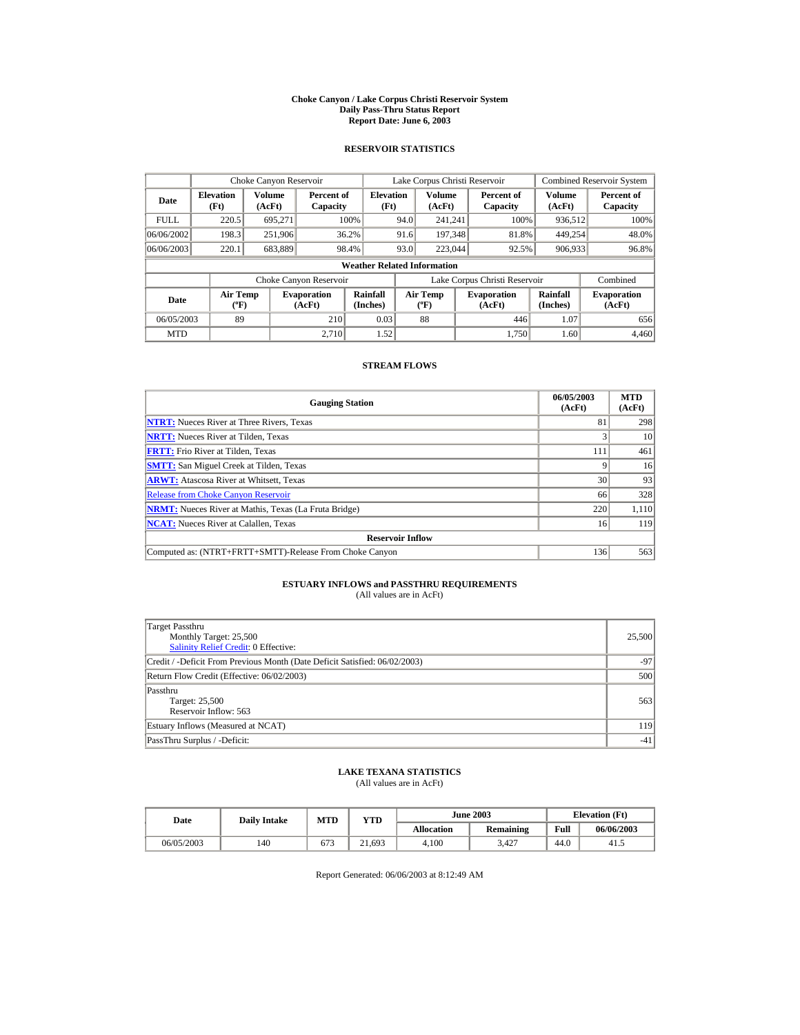#### **Choke Canyon / Lake Corpus Christi Reservoir System Daily Pass-Thru Status Report Report Date: June 6, 2003**

### **RESERVOIR STATISTICS**

|                                                      | Choke Canyon Reservoir                                                      |         |                        |                                    |                                           | Lake Corpus Christi Reservoir |                              |                        |                              | <b>Combined Reservoir System</b> |
|------------------------------------------------------|-----------------------------------------------------------------------------|---------|------------------------|------------------------------------|-------------------------------------------|-------------------------------|------------------------------|------------------------|------------------------------|----------------------------------|
| Volume<br><b>Elevation</b><br>Date<br>(Ft)<br>(AcFt) |                                                                             |         | Percent of<br>Capacity | <b>Elevation</b><br>(Ft)           |                                           | Volume<br>(AcFt)              |                              | Percent of<br>Capacity | Volume<br>(AcFt)             | Percent of<br>Capacity           |
| <b>FULL</b>                                          | 220.5                                                                       | 695.271 |                        | 100%                               | 94.0                                      | 241.241                       |                              | 100%                   | 936,512                      | 100%                             |
| 06/06/2002                                           | 198.3                                                                       | 251,906 |                        | 36.2%                              | 91.6                                      | 197.348                       |                              | 81.8%                  | 449.254                      | 48.0%                            |
| 06/06/2003                                           | 220.1                                                                       | 683,889 |                        | 98.4%                              | 93.0                                      | 223,044                       |                              | 92.5%                  | 906,933                      | 96.8%                            |
|                                                      |                                                                             |         |                        | <b>Weather Related Information</b> |                                           |                               |                              |                        |                              |                                  |
|                                                      |                                                                             |         | Choke Canyon Reservoir |                                    | Lake Corpus Christi Reservoir             |                               |                              |                        | Combined                     |                                  |
| Date                                                 | <b>Air Temp</b><br><b>Evaporation</b><br>$({}^{\circ}\mathrm{F})$<br>(AcFt) |         | Rainfall<br>(Inches)   |                                    | <b>Air Temp</b><br>$({}^{\circ}\text{F})$ |                               | <b>Evaporation</b><br>(AcFt) | Rainfall<br>(Inches)   | <b>Evaporation</b><br>(AcFt) |                                  |
| 89<br>210<br>06/05/2003                              |                                                                             | 0.03    |                        | 88                                 |                                           | 446                           | 1.07                         | 656                    |                              |                                  |
| <b>MTD</b>                                           |                                                                             |         | 2.710                  | 1.52                               |                                           |                               |                              | 1.750                  | 1.60                         | 4.460                            |

### **STREAM FLOWS**

| <b>Gauging Station</b>                                       | 06/05/2003<br>(AcFt) | <b>MTD</b><br>(AcFt) |
|--------------------------------------------------------------|----------------------|----------------------|
| <b>NTRT:</b> Nueces River at Three Rivers, Texas             | 81                   | 298                  |
| <b>NRTT:</b> Nueces River at Tilden, Texas                   |                      | 10                   |
| <b>FRTT:</b> Frio River at Tilden, Texas                     | 111                  | 461                  |
| <b>SMTT:</b> San Miguel Creek at Tilden, Texas               |                      | 16                   |
| <b>ARWT:</b> Atascosa River at Whitsett, Texas               | 30                   | 93                   |
| <b>Release from Choke Canyon Reservoir</b>                   | 66                   | 328                  |
| <b>NRMT:</b> Nueces River at Mathis, Texas (La Fruta Bridge) | 220                  | 1.110                |
| <b>NCAT:</b> Nueces River at Calallen, Texas                 | 16                   | 119                  |
| <b>Reservoir Inflow</b>                                      |                      |                      |
| Computed as: (NTRT+FRTT+SMTT)-Release From Choke Canyon      | 136                  | 563                  |

# **ESTUARY INFLOWS and PASSTHRU REQUIREMENTS**<br>(All values are in AcFt)

| Target Passthru<br>Monthly Target: 25,500<br>Salinity Relief Credit: 0 Effective: | 25,500 |
|-----------------------------------------------------------------------------------|--------|
| Credit / -Deficit From Previous Month (Date Deficit Satisfied: 06/02/2003)        | $-97$  |
| Return Flow Credit (Effective: 06/02/2003)                                        | 500    |
| Passthru<br>Target: 25,500<br>Reservoir Inflow: 563                               | 563    |
| Estuary Inflows (Measured at NCAT)                                                | 119    |
| PassThru Surplus / -Deficit:                                                      | $-41$  |

## **LAKE TEXANA STATISTICS**

(All values are in AcFt)

|            | MTD<br><b>Daily Intake</b><br>Date |     | YTD    |                   | <b>June 2003</b> | <b>Elevation</b> (Ft) |            |
|------------|------------------------------------|-----|--------|-------------------|------------------|-----------------------|------------|
|            |                                    |     |        | <b>Allocation</b> | <b>Remaining</b> | Full                  | 06/06/2003 |
| 06/05/2003 | 140                                | 673 | 21,693 | 4.100             | 427ء             | 44.0                  | -41.5      |

Report Generated: 06/06/2003 at 8:12:49 AM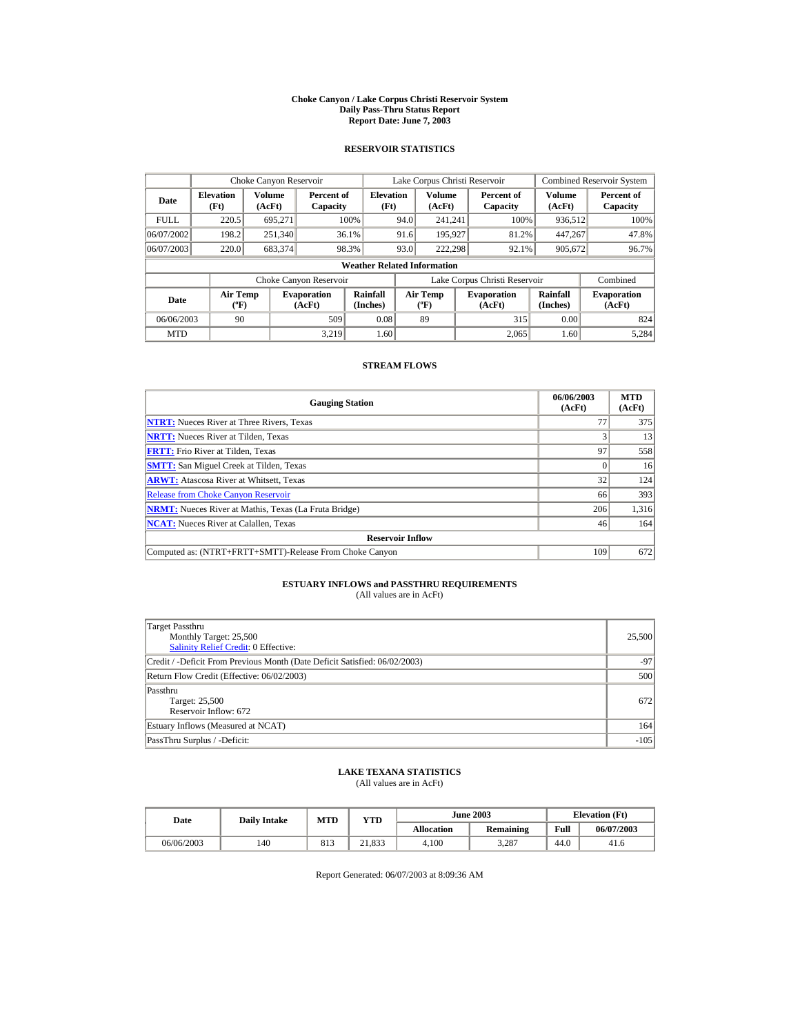#### **Choke Canyon / Lake Corpus Christi Reservoir System Daily Pass-Thru Status Report Report Date: June 7, 2003**

### **RESERVOIR STATISTICS**

|             | Choke Canyon Reservoir                      |                  |                              |                          | Lake Corpus Christi Reservoir             |                  |  |                               |                      | <b>Combined Reservoir System</b> |  |
|-------------|---------------------------------------------|------------------|------------------------------|--------------------------|-------------------------------------------|------------------|--|-------------------------------|----------------------|----------------------------------|--|
| Date        | <b>Elevation</b><br>(Ft)                    | Volume<br>(AcFt) | Percent of<br>Capacity       | <b>Elevation</b><br>(Ft) |                                           | Volume<br>(AcFt) |  | Percent of<br>Capacity        | Volume<br>(AcFt)     | Percent of<br>Capacity           |  |
| <b>FULL</b> | 220.5                                       | 695.271          |                              | 100%                     | 94.0                                      | 241.241          |  | 100%                          | 936,512              | 100%                             |  |
| 06/07/2002  | 198.2                                       | 251,340          |                              | 36.1%                    | 91.6                                      | 195,927          |  | 81.2%                         | 447.267              | 47.8%                            |  |
| 06/07/2003  | 220.0                                       | 683,374          |                              | 98.3%                    | 93.0                                      | 222.298          |  | 92.1%                         | 905,672              | 96.7%                            |  |
|             | <b>Weather Related Information</b>          |                  |                              |                          |                                           |                  |  |                               |                      |                                  |  |
|             |                                             |                  | Choke Canyon Reservoir       |                          |                                           |                  |  | Lake Corpus Christi Reservoir |                      | Combined                         |  |
| Date        | <b>Air Temp</b><br>$({}^{\circ}\mathrm{F})$ |                  | <b>Evaporation</b><br>(AcFt) | Rainfall<br>(Inches)     | <b>Air Temp</b><br>$({}^{\circ}\text{F})$ |                  |  | <b>Evaporation</b><br>(AcFt)  | Rainfall<br>(Inches) | <b>Evaporation</b><br>(AcFt)     |  |
| 06/06/2003  | 90                                          |                  | 509                          | 0.08                     | 89                                        |                  |  | 315                           | 0.00                 | 824                              |  |
| <b>MTD</b>  |                                             |                  | 3.219                        | 1.60                     |                                           |                  |  | 2.065                         | 1.60                 | 5.284                            |  |

### **STREAM FLOWS**

| <b>Gauging Station</b>                                       | 06/06/2003<br>(AcFt) | <b>MTD</b><br>(AcFt) |
|--------------------------------------------------------------|----------------------|----------------------|
| <b>NTRT:</b> Nueces River at Three Rivers, Texas             | 77                   | 375                  |
| <b>NRTT:</b> Nueces River at Tilden. Texas                   |                      | 13                   |
| <b>FRTT:</b> Frio River at Tilden, Texas                     | 97                   | 558                  |
| <b>SMTT:</b> San Miguel Creek at Tilden, Texas               |                      | 16                   |
| <b>ARWT:</b> Atascosa River at Whitsett, Texas               | 32 <sub>1</sub>      | 124                  |
| <b>Release from Choke Canyon Reservoir</b>                   | 66                   | 393                  |
| <b>NRMT:</b> Nueces River at Mathis, Texas (La Fruta Bridge) | 206                  | 1,316                |
| <b>NCAT:</b> Nueces River at Calallen, Texas                 | 46                   | 164                  |
| <b>Reservoir Inflow</b>                                      |                      |                      |
| Computed as: (NTRT+FRTT+SMTT)-Release From Choke Canyon      | 109                  | 672                  |

# **ESTUARY INFLOWS and PASSTHRU REQUIREMENTS**<br>(All values are in AcFt)

| ۰. |  |  |  |
|----|--|--|--|
|    |  |  |  |
|    |  |  |  |

| Target Passthru<br>Monthly Target: 25,500<br>Salinity Relief Credit: 0 Effective: | 25,500 |
|-----------------------------------------------------------------------------------|--------|
| Credit / -Deficit From Previous Month (Date Deficit Satisfied: 06/02/2003)        | $-97$  |
| Return Flow Credit (Effective: 06/02/2003)                                        | 500    |
| Passthru<br>Target: 25,500<br>Reservoir Inflow: 672                               | 672    |
| Estuary Inflows (Measured at NCAT)                                                | 164    |
| PassThru Surplus / -Deficit:                                                      | $-105$ |

## **LAKE TEXANA STATISTICS**

(All values are in AcFt)

| Date       | <b>Daily Intake</b> | <b>MTD</b> | YTD                    |                   | <b>June 2003</b> | <b>Elevation</b> (Ft) |            |
|------------|---------------------|------------|------------------------|-------------------|------------------|-----------------------|------------|
|            |                     |            |                        | <b>Allocation</b> | <b>Remaining</b> | Full                  | 06/07/2003 |
| 06/06/2003 | 140                 | 813        | 21,833<br>$^{\circ}$ 1 | 4.100             | 3.287            | 44.0                  | 41.6       |

Report Generated: 06/07/2003 at 8:09:36 AM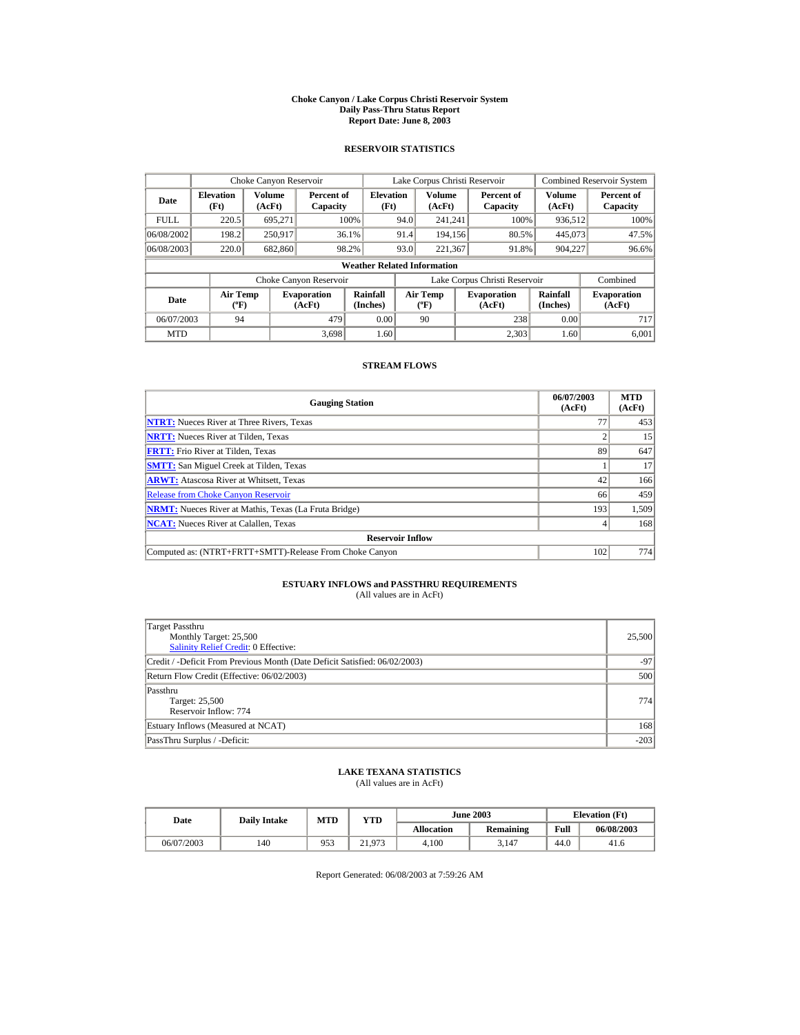#### **Choke Canyon / Lake Corpus Christi Reservoir System Daily Pass-Thru Status Report Report Date: June 8, 2003**

### **RESERVOIR STATISTICS**

|             | Choke Canyon Reservoir                      |                  |                              |                                    | Lake Corpus Christi Reservoir    |                  |  |                               | Combined Reservoir System |                              |
|-------------|---------------------------------------------|------------------|------------------------------|------------------------------------|----------------------------------|------------------|--|-------------------------------|---------------------------|------------------------------|
| Date        | <b>Elevation</b><br>(Ft)                    | Volume<br>(AcFt) | Percent of<br>Capacity       | <b>Elevation</b><br>(Ft)           |                                  | Volume<br>(AcFt) |  | Percent of<br>Capacity        | Volume<br>(AcFt)          | Percent of<br>Capacity       |
| <b>FULL</b> | 220.5                                       | 695.271          |                              | 100%                               | 94.0                             | 241.241          |  | 100%                          | 936,512                   | 100%                         |
| 06/08/2002  | 198.2                                       | 250.917          |                              | 36.1%                              | 91.4                             | 194.156          |  | 80.5%                         | 445,073                   | 47.5%                        |
| 06/08/2003  | 220.0                                       | 682,860          |                              | 98.2%                              | 93.0                             | 221.367          |  | 91.8%                         | 904,227                   | 96.6%                        |
|             |                                             |                  |                              | <b>Weather Related Information</b> |                                  |                  |  |                               |                           |                              |
|             |                                             |                  | Choke Canyon Reservoir       |                                    |                                  |                  |  | Lake Corpus Christi Reservoir |                           | Combined                     |
| Date        | <b>Air Temp</b><br>$({}^{\circ}\mathrm{F})$ |                  | <b>Evaporation</b><br>(AcFt) | Rainfall<br>(Inches)               | <b>Air Temp</b><br>$(^{\circ}F)$ |                  |  | <b>Evaporation</b><br>(AcFt)  | Rainfall<br>(Inches)      | <b>Evaporation</b><br>(AcFt) |
| 06/07/2003  | 94                                          |                  | 479                          |                                    | 0.00<br>90                       |                  |  | 238                           | 0.00                      | 717                          |
| <b>MTD</b>  |                                             |                  | 3.698                        | 1.60                               |                                  |                  |  | 2.303                         | 1.60                      | 6.001                        |

### **STREAM FLOWS**

| <b>Gauging Station</b>                                       | 06/07/2003<br>(AcFt) | <b>MTD</b><br>(AcFt) |
|--------------------------------------------------------------|----------------------|----------------------|
| <b>NTRT:</b> Nueces River at Three Rivers, Texas             | 77                   | 453                  |
| <b>NRTT:</b> Nueces River at Tilden. Texas                   |                      | 15                   |
| <b>FRTT:</b> Frio River at Tilden, Texas                     | 89                   | 647                  |
| <b>SMTT:</b> San Miguel Creek at Tilden, Texas               |                      | 17                   |
| <b>ARWT:</b> Atascosa River at Whitsett, Texas               | 42                   | 166                  |
| <b>Release from Choke Canyon Reservoir</b>                   | 66                   | 459                  |
| <b>NRMT:</b> Nueces River at Mathis, Texas (La Fruta Bridge) | 193                  | 1,509                |
| <b>NCAT:</b> Nueces River at Calallen, Texas                 |                      | 168                  |
| <b>Reservoir Inflow</b>                                      |                      |                      |
| Computed as: (NTRT+FRTT+SMTT)-Release From Choke Canyon      | 102                  | 774                  |

# **ESTUARY INFLOWS and PASSTHRU REQUIREMENTS**<br>(All values are in AcFt)

| Target Passthru<br>Monthly Target: 25,500<br>Salinity Relief Credit: 0 Effective: | 25,500 |
|-----------------------------------------------------------------------------------|--------|
| Credit / -Deficit From Previous Month (Date Deficit Satisfied: 06/02/2003)        | $-97$  |
| Return Flow Credit (Effective: 06/02/2003)                                        | 500    |
| Passthru<br>Target: 25,500<br>Reservoir Inflow: 774                               | 774    |
| Estuary Inflows (Measured at NCAT)                                                | 168    |
| PassThru Surplus / -Deficit:                                                      | $-203$ |

## **LAKE TEXANA STATISTICS**

(All values are in AcFt)

| Date       | <b>Daily Intake</b> | <b>MTD</b> | YTD    |                   | <b>June 2003</b> | <b>Elevation</b> (Ft) |            |
|------------|---------------------|------------|--------|-------------------|------------------|-----------------------|------------|
|            |                     |            |        | <b>Allocation</b> | Remaining        | Full                  | 06/08/2003 |
| 06/07/2003 | 140                 | 953        | 21.973 | 4.100             | 3.147            | 44.0                  | 41.6       |

Report Generated: 06/08/2003 at 7:59:26 AM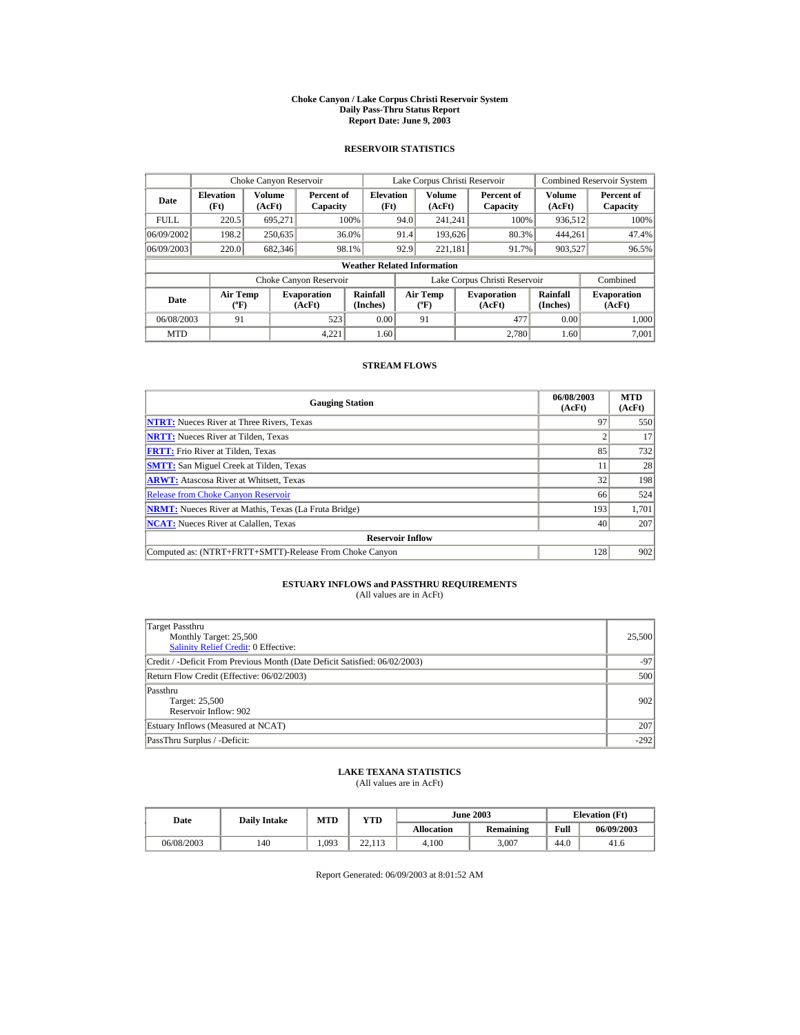#### **Choke Canyon / Lake Corpus Christi Reservoir System Daily Pass-Thru Status Report Report Date: June 9, 2003**

### **RESERVOIR STATISTICS**

|             | Choke Canyon Reservoir                |                  |                              |                          | Lake Corpus Christi Reservoir     |                         |  |                               |                         | <b>Combined Reservoir System</b> |  |
|-------------|---------------------------------------|------------------|------------------------------|--------------------------|-----------------------------------|-------------------------|--|-------------------------------|-------------------------|----------------------------------|--|
| Date        | <b>Elevation</b><br>(Ft)              | Volume<br>(AcFt) | Percent of<br>Capacity       | <b>Elevation</b><br>(Ft) |                                   | <b>Volume</b><br>(AcFt) |  | Percent of<br>Capacity        | <b>Volume</b><br>(AcFt) | Percent of<br>Capacity           |  |
| <b>FULL</b> | 220.5                                 | 695.271          |                              | 100%                     | 94.0                              | 241.241                 |  | 100%                          | 936,512                 | 100%                             |  |
| 06/09/2002  | 198.2                                 | 250,635          |                              | 36.0%                    | 91.4                              | 193.626                 |  | 80.3%                         | 444.261                 | 47.4%                            |  |
| 06/09/2003  | 220.0                                 | 682,346          |                              | 98.1%                    | 92.9                              | 221.181                 |  | 91.7%                         | 903,527                 | 96.5%                            |  |
|             | <b>Weather Related Information</b>    |                  |                              |                          |                                   |                         |  |                               |                         |                                  |  |
|             |                                       |                  | Choke Canyon Reservoir       |                          |                                   |                         |  | Lake Corpus Christi Reservoir |                         | Combined                         |  |
| Date        | <b>Air Temp</b><br>$({}^o\mathrm{F})$ |                  | <b>Evaporation</b><br>(AcFt) | Rainfall<br>(Inches)     | Air Temp<br>$({}^{\circ}{\rm F})$ |                         |  | <b>Evaporation</b><br>(AcFt)  | Rainfall<br>(Inches)    | <b>Evaporation</b><br>(AcFt)     |  |
| 06/08/2003  | 91                                    |                  | 523                          | 0.00                     |                                   | 91                      |  | 477                           | 0.00                    | 1.000                            |  |
| <b>MTD</b>  |                                       |                  | 4.221                        | 1.60                     |                                   |                         |  | 2.780                         | 1.60                    | 7.001                            |  |

### **STREAM FLOWS**

| <b>Gauging Station</b>                                       | 06/08/2003<br>(AcFt) | <b>MTD</b><br>(AcFt) |
|--------------------------------------------------------------|----------------------|----------------------|
| <b>NTRT:</b> Nueces River at Three Rivers, Texas             | 97                   | 550                  |
| <b>NRTT:</b> Nueces River at Tilden, Texas                   |                      | 17                   |
| <b>FRTT:</b> Frio River at Tilden, Texas                     | 85                   | 732                  |
| <b>SMTT:</b> San Miguel Creek at Tilden, Texas               | 11                   | 28                   |
| <b>ARWT:</b> Atascosa River at Whitsett, Texas               | 32                   | 198                  |
| <b>Release from Choke Canyon Reservoir</b>                   | 66                   | 524                  |
| <b>NRMT:</b> Nueces River at Mathis, Texas (La Fruta Bridge) | 193                  | 1,701                |
| <b>NCAT:</b> Nueces River at Calallen. Texas                 | 40                   | 207                  |
| <b>Reservoir Inflow</b>                                      |                      |                      |
| Computed as: (NTRT+FRTT+SMTT)-Release From Choke Canyon      | 128                  | 902                  |

# **ESTUARY INFLOWS and PASSTHRU REQUIREMENTS**<br>(All values are in AcFt)

| Target Passthru<br>Monthly Target: 25,500<br>Salinity Relief Credit: 0 Effective: | 25,500 |
|-----------------------------------------------------------------------------------|--------|
| Credit / -Deficit From Previous Month (Date Deficit Satisfied: 06/02/2003)        | $-97$  |
| Return Flow Credit (Effective: 06/02/2003)                                        | 500    |
| Passthru<br>Target: 25,500<br>Reservoir Inflow: 902                               | 902    |
| Estuary Inflows (Measured at NCAT)                                                | 207    |
| PassThru Surplus / -Deficit:                                                      | $-292$ |

## **LAKE TEXANA STATISTICS**

(All values are in AcFt)

| Date       | <b>Daily Intake</b> | MTD   | YTD                 |                   | <b>June 2003</b> | <b>Elevation</b> (Ft) |            |
|------------|---------------------|-------|---------------------|-------------------|------------------|-----------------------|------------|
|            |                     |       |                     | <b>Allocation</b> | <b>Remaining</b> | Full                  | 06/09/2003 |
| 06/08/2003 | 140                 | 1.093 | າາ<br>112<br>22.IIJ | 4.100             | 3.007            | 44.0                  | 41.6       |

Report Generated: 06/09/2003 at 8:01:52 AM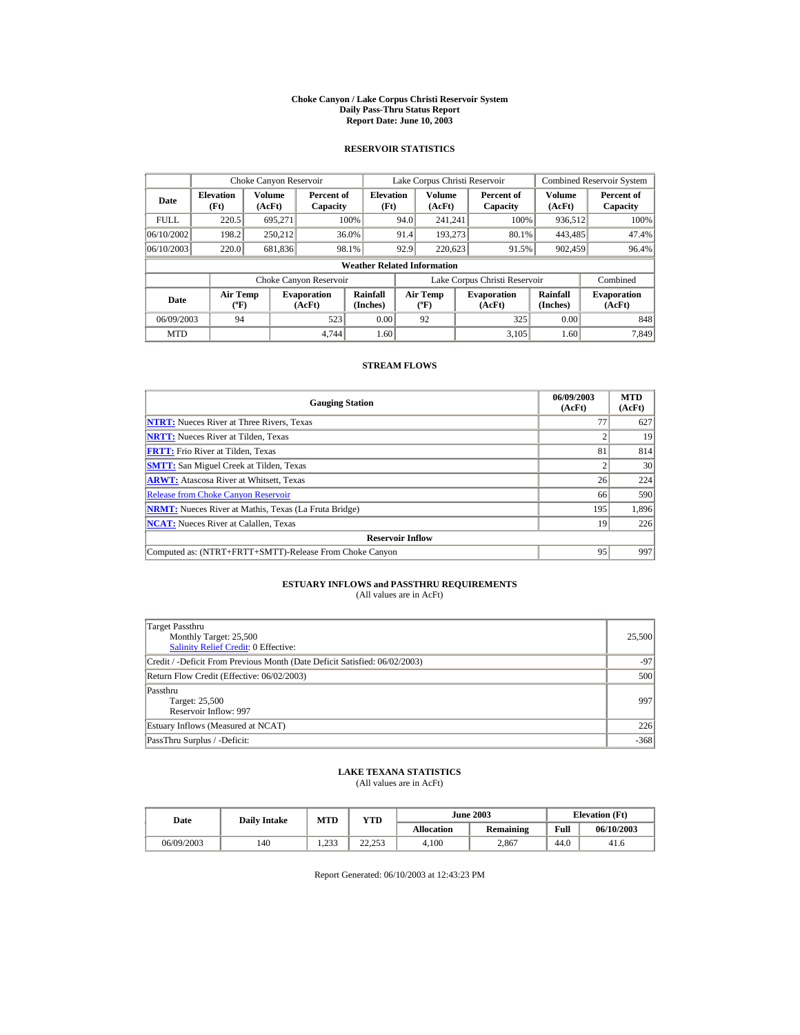#### **Choke Canyon / Lake Corpus Christi Reservoir System Daily Pass-Thru Status Report Report Date: June 10, 2003**

### **RESERVOIR STATISTICS**

|             | Choke Canyon Reservoir                      |                  |                              | Lake Corpus Christi Reservoir      |                               |                                           |  | Combined Reservoir System    |                      |                              |
|-------------|---------------------------------------------|------------------|------------------------------|------------------------------------|-------------------------------|-------------------------------------------|--|------------------------------|----------------------|------------------------------|
| Date        | <b>Elevation</b><br>(Ft)                    | Volume<br>(AcFt) | Percent of<br>Capacity       | <b>Elevation</b><br>(Ft)           |                               | Volume<br>(AcFt)                          |  | Percent of<br>Capacity       | Volume<br>(AcFt)     | Percent of<br>Capacity       |
| <b>FULL</b> | 220.5                                       | 695.271          |                              | 100%                               | 94.0                          | 241.241                                   |  | 100%                         | 936,512              | 100%                         |
| 06/10/2002  | 198.2                                       | 250.212          |                              | 36.0%                              | 91.4                          | 193.273                                   |  | 80.1%                        | 443,485              | 47.4%                        |
| 06/10/2003  | 220.0                                       | 681,836          |                              | 98.1%                              | 92.9                          | 220,623                                   |  | 91.5%                        | 902,459              | 96.4%                        |
|             |                                             |                  |                              | <b>Weather Related Information</b> |                               |                                           |  |                              |                      |                              |
|             |                                             |                  | Choke Canyon Reservoir       |                                    | Lake Corpus Christi Reservoir |                                           |  |                              | Combined             |                              |
| Date        | <b>Air Temp</b><br>$({}^{\circ}\mathrm{F})$ |                  | <b>Evaporation</b><br>(AcFt) | Rainfall<br>(Inches)               |                               | <b>Air Temp</b><br>$({}^{\circ}\text{F})$ |  | <b>Evaporation</b><br>(AcFt) | Rainfall<br>(Inches) | <b>Evaporation</b><br>(AcFt) |
| 06/09/2003  | 94                                          |                  | 523                          | 0.00                               |                               | 92                                        |  | 325                          | 0.00                 | 848                          |
| <b>MTD</b>  |                                             |                  | 4.744                        | 1.60                               |                               |                                           |  | 3.105                        | 1.60                 | 7.849                        |

### **STREAM FLOWS**

| <b>Gauging Station</b>                                       | 06/09/2003<br>(AcFt) | <b>MTD</b><br>(AcFt) |
|--------------------------------------------------------------|----------------------|----------------------|
| <b>NTRT:</b> Nueces River at Three Rivers, Texas             | 77                   | 627                  |
| <b>NRTT:</b> Nueces River at Tilden, Texas                   |                      | 19                   |
| <b>FRTT:</b> Frio River at Tilden, Texas                     | 81                   | 814                  |
| <b>SMTT:</b> San Miguel Creek at Tilden, Texas               |                      | 30                   |
| <b>ARWT:</b> Atascosa River at Whitsett, Texas               | 26                   | 224                  |
| <b>Release from Choke Canyon Reservoir</b>                   | 66                   | 590                  |
| <b>NRMT:</b> Nueces River at Mathis, Texas (La Fruta Bridge) | 195                  | 1.896                |
| <b>NCAT:</b> Nueces River at Calallen, Texas                 | 19                   | 226                  |
| <b>Reservoir Inflow</b>                                      |                      |                      |
| Computed as: (NTRT+FRTT+SMTT)-Release From Choke Canyon      | 95                   | 997                  |

# **ESTUARY INFLOWS and PASSTHRU REQUIREMENTS**<br>(All values are in AcFt)

| Target Passthru<br>Monthly Target: 25,500<br><b>Salinity Relief Credit: 0 Effective:</b> | 25,500 |
|------------------------------------------------------------------------------------------|--------|
| Credit / -Deficit From Previous Month (Date Deficit Satisfied: 06/02/2003)               | $-97$  |
| Return Flow Credit (Effective: 06/02/2003)                                               | 500    |
| Passthru<br>Target: 25,500<br>Reservoir Inflow: 997                                      | 997    |
| Estuary Inflows (Measured at NCAT)                                                       | 226    |
| PassThru Surplus / -Deficit:                                                             | $-368$ |

## **LAKE TEXANA STATISTICS**

(All values are in AcFt)

| Date       | <b>Daily Intake</b> | <b>MTD</b>                  | YTD          |                   | <b>June 2003</b> | <b>Elevation</b> (Ft) |            |
|------------|---------------------|-----------------------------|--------------|-------------------|------------------|-----------------------|------------|
|            |                     |                             |              | <b>Allocation</b> | Remaining        | Full                  | 06/10/2003 |
| 06/09/2003 | 140                 | 22 <sup>2</sup><br>ت ف کہ 1 | 22.25<br>د ب | 4.100             | 2.867            | 44.0                  | 41.6       |

Report Generated: 06/10/2003 at 12:43:23 PM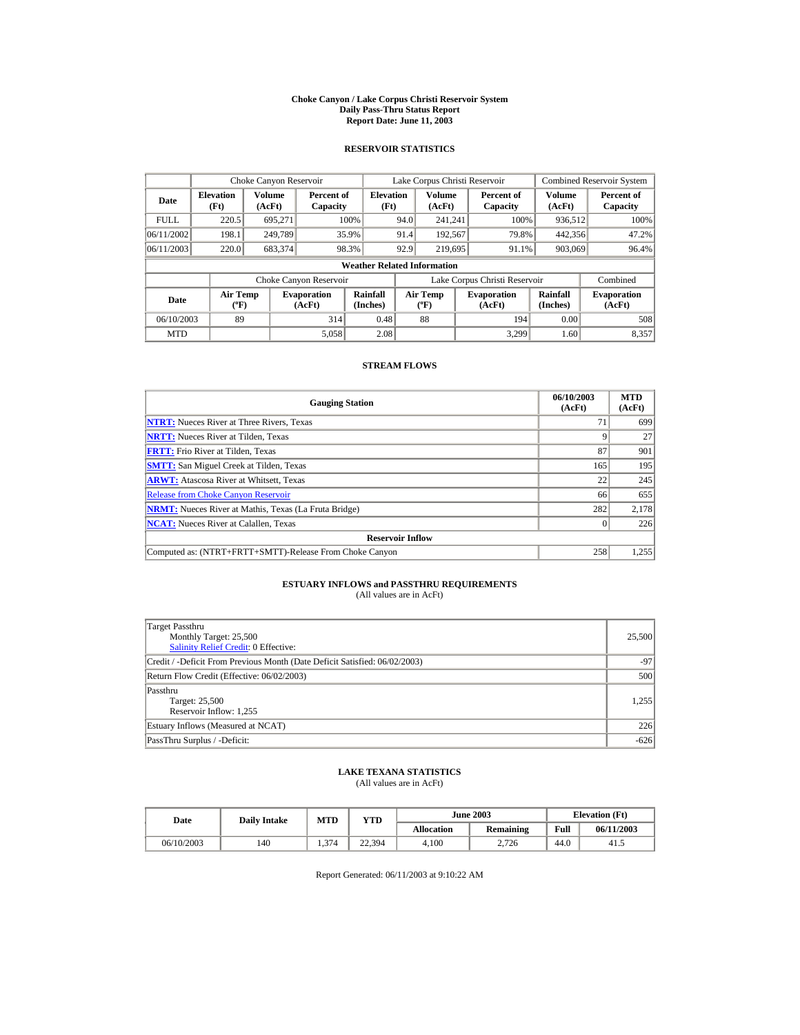#### **Choke Canyon / Lake Corpus Christi Reservoir System Daily Pass-Thru Status Report Report Date: June 11, 2003**

### **RESERVOIR STATISTICS**

|             | Choke Canyon Reservoir                      |                  |                              | Lake Corpus Christi Reservoir      |      |                                             | Combined Reservoir System     |                      |                              |
|-------------|---------------------------------------------|------------------|------------------------------|------------------------------------|------|---------------------------------------------|-------------------------------|----------------------|------------------------------|
| Date        | <b>Elevation</b><br>(Ft)                    | Volume<br>(AcFt) | Percent of<br>Capacity       | <b>Elevation</b><br>(Ft)           |      | Volume<br>(AcFt)                            | Percent of<br>Capacity        | Volume<br>(AcFt)     | Percent of<br>Capacity       |
| <b>FULL</b> | 220.5                                       | 695.271          |                              | 100%                               | 94.0 | 241.241                                     | 100%                          | 936,512              | 100%                         |
| 06/11/2002  | 198.1                                       | 249.789          |                              | 35.9%                              | 91.4 | 192,567                                     | 79.8%                         | 442,356              | 47.2%                        |
| 06/11/2003  | 220.0                                       | 683,374          |                              | 98.3%                              | 92.9 | 219,695                                     | 91.1%                         | 903,069              | 96.4%                        |
|             |                                             |                  |                              | <b>Weather Related Information</b> |      |                                             |                               |                      |                              |
|             |                                             |                  | Choke Canyon Reservoir       |                                    |      |                                             | Lake Corpus Christi Reservoir |                      | Combined                     |
| Date        | <b>Air Temp</b><br>$({}^{\circ}\mathrm{F})$ |                  | <b>Evaporation</b><br>(AcFt) | Rainfall<br>(Inches)               |      | <b>Air Temp</b><br>$({}^{\circ}\mathbf{F})$ | <b>Evaporation</b><br>(AcFt)  | Rainfall<br>(Inches) | <b>Evaporation</b><br>(AcFt) |
| 06/10/2003  | 89                                          |                  | 314                          | 0.48                               |      | 88                                          | 194                           | 0.00                 | 508                          |
| <b>MTD</b>  |                                             |                  | 5,058                        | 2.08                               |      |                                             | 3.299                         | 1.60                 | 8,357                        |

### **STREAM FLOWS**

| <b>Gauging Station</b>                                       | 06/10/2003<br>(AcFt) | <b>MTD</b><br>(AcFt) |
|--------------------------------------------------------------|----------------------|----------------------|
| <b>NTRT:</b> Nueces River at Three Rivers, Texas             | $\tau$               | 699                  |
| <b>NRTT:</b> Nueces River at Tilden. Texas                   |                      | 27                   |
| <b>FRTT:</b> Frio River at Tilden, Texas                     | 87                   | 901                  |
| <b>SMTT:</b> San Miguel Creek at Tilden, Texas               | 165                  | 195                  |
| <b>ARWT:</b> Atascosa River at Whitsett, Texas               | 22                   | 245                  |
| <b>Release from Choke Canyon Reservoir</b>                   | 66                   | 655                  |
| <b>NRMT:</b> Nueces River at Mathis, Texas (La Fruta Bridge) | 282                  | 2,178                |
| <b>NCAT:</b> Nueces River at Calallen, Texas                 |                      | 226                  |
| <b>Reservoir Inflow</b>                                      |                      |                      |
| Computed as: (NTRT+FRTT+SMTT)-Release From Choke Canyon      | 258                  | 1,255                |

# **ESTUARY INFLOWS and PASSTHRU REQUIREMENTS**<br>(All values are in AcFt)

| (All values are in ACFI) |  |  |
|--------------------------|--|--|
|                          |  |  |

| Target Passthru<br>Monthly Target: 25,500<br><b>Salinity Relief Credit: 0 Effective:</b> | 25,500 |
|------------------------------------------------------------------------------------------|--------|
| Credit / -Deficit From Previous Month (Date Deficit Satisfied: 06/02/2003)               | $-97$  |
| Return Flow Credit (Effective: 06/02/2003)                                               | 500    |
| Passthru<br>Target: 25,500<br>Reservoir Inflow: 1,255                                    | 1.255  |
| Estuary Inflows (Measured at NCAT)                                                       | 226    |
| PassThru Surplus / -Deficit:                                                             | $-626$ |

## **LAKE TEXANA STATISTICS**

(All values are in AcFt)

| Date       | <b>Daily Intake</b> | MTD   | $\mathbf{v_{TD}}$ |            | <b>June 2003</b> | <b>Elevation</b> (Ft) |            |
|------------|---------------------|-------|-------------------|------------|------------------|-----------------------|------------|
|            |                     |       |                   | Allocation | Remaining        | Full                  | 06/11/2003 |
| 06/10/2003 | 140                 | 1.374 | 22.394            | 4.100      | 2.726            | 44.0                  | 41.5       |

Report Generated: 06/11/2003 at 9:10:22 AM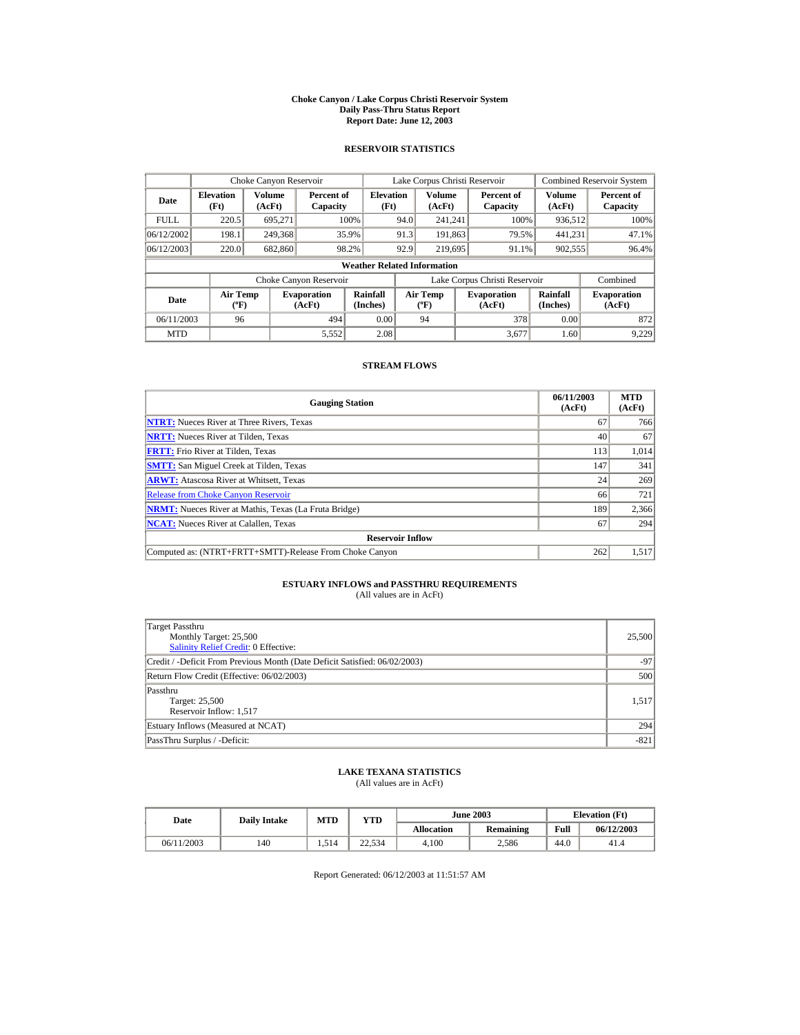#### **Choke Canyon / Lake Corpus Christi Reservoir System Daily Pass-Thru Status Report Report Date: June 12, 2003**

### **RESERVOIR STATISTICS**

|             | Choke Canyon Reservoir                      |                  |                              | Lake Corpus Christi Reservoir      |                               |                                             |  | <b>Combined Reservoir System</b> |                      |                              |
|-------------|---------------------------------------------|------------------|------------------------------|------------------------------------|-------------------------------|---------------------------------------------|--|----------------------------------|----------------------|------------------------------|
| Date        | <b>Elevation</b><br>(Ft)                    | Volume<br>(AcFt) | Percent of<br>Capacity       | <b>Elevation</b><br>(Ft)           |                               | Volume<br>(AcFt)                            |  | Percent of<br>Capacity           | Volume<br>(AcFt)     | Percent of<br>Capacity       |
| <b>FULL</b> | 220.5                                       | 695.271          |                              | 100%                               | 94.0                          | 241.241                                     |  | 100%                             | 936,512              | 100%                         |
| 06/12/2002  | 198.1                                       | 249,368          |                              | 35.9%                              | 91.3                          | 191.863                                     |  | 79.5%                            | 441.231              | 47.1%                        |
| 06/12/2003  | 220.0                                       | 682,860          |                              | 98.2%                              | 92.9                          | 219,695                                     |  | 91.1%                            | 902,555              | 96.4%                        |
|             |                                             |                  |                              | <b>Weather Related Information</b> |                               |                                             |  |                                  |                      |                              |
|             |                                             |                  | Choke Canyon Reservoir       |                                    | Lake Corpus Christi Reservoir |                                             |  |                                  | Combined             |                              |
| Date        | <b>Air Temp</b><br>$({}^{\circ}\mathrm{F})$ |                  | <b>Evaporation</b><br>(AcFt) | Rainfall<br>(Inches)               |                               | <b>Air Temp</b><br>$({}^{\circ}\mathbf{F})$ |  | <b>Evaporation</b><br>(AcFt)     | Rainfall<br>(Inches) | <b>Evaporation</b><br>(AcFt) |
| 06/11/2003  | 96                                          |                  | 494                          | 0.00                               |                               | 94                                          |  | 378                              | 0.00                 | 872                          |
| <b>MTD</b>  |                                             |                  | 5,552                        | 2.08                               |                               |                                             |  | 3.677                            | 1.60                 | 9.229                        |

### **STREAM FLOWS**

| <b>Gauging Station</b>                                       | 06/11/2003<br>(AcFt) | <b>MTD</b><br>(AcFt) |
|--------------------------------------------------------------|----------------------|----------------------|
| <b>NTRT:</b> Nueces River at Three Rivers, Texas             | 67                   | 766                  |
| <b>NRTT:</b> Nueces River at Tilden, Texas                   | 40                   | 67                   |
| <b>FRTT:</b> Frio River at Tilden, Texas                     | 113                  | 1.014                |
| <b>SMTT:</b> San Miguel Creek at Tilden, Texas               | 147                  | 341                  |
| <b>ARWT:</b> Atascosa River at Whitsett, Texas               | 24                   | 269                  |
| <b>Release from Choke Canyon Reservoir</b>                   | 66                   | 721                  |
| <b>NRMT:</b> Nueces River at Mathis, Texas (La Fruta Bridge) | 189                  | 2,366                |
| <b>NCAT:</b> Nueces River at Calallen, Texas                 | 67                   | 294                  |
| <b>Reservoir Inflow</b>                                      |                      |                      |
| Computed as: (NTRT+FRTT+SMTT)-Release From Choke Canyon      | 262                  | 1,517                |

# **ESTUARY INFLOWS and PASSTHRU REQUIREMENTS**<br>(All values are in AcFt)

| Target Passthru<br>Monthly Target: 25,500<br><b>Salinity Relief Credit: 0 Effective:</b> | 25,500 |
|------------------------------------------------------------------------------------------|--------|
| Credit / -Deficit From Previous Month (Date Deficit Satisfied: 06/02/2003)               | $-97$  |
| Return Flow Credit (Effective: 06/02/2003)                                               | 500    |
| Passthru<br>Target: 25,500<br>Reservoir Inflow: 1,517                                    | 1,517  |
| Estuary Inflows (Measured at NCAT)                                                       | 294    |
| PassThru Surplus / -Deficit:                                                             | $-821$ |

## **LAKE TEXANA STATISTICS**

(All values are in AcFt)

| Date       | <b>Daily Intake</b> | <b>MTD</b> | <b>June 2003</b><br>YTD |                   |           |      | <b>Elevation</b> (Ft) |
|------------|---------------------|------------|-------------------------|-------------------|-----------|------|-----------------------|
|            |                     |            |                         | <b>Allocation</b> | Remaining | Full | 06/12/2003            |
| 06/11/2003 | 140                 | 1.514      | 22.534                  | 4.100             | 2.586     | 44.0 | 41.4                  |

Report Generated: 06/12/2003 at 11:51:57 AM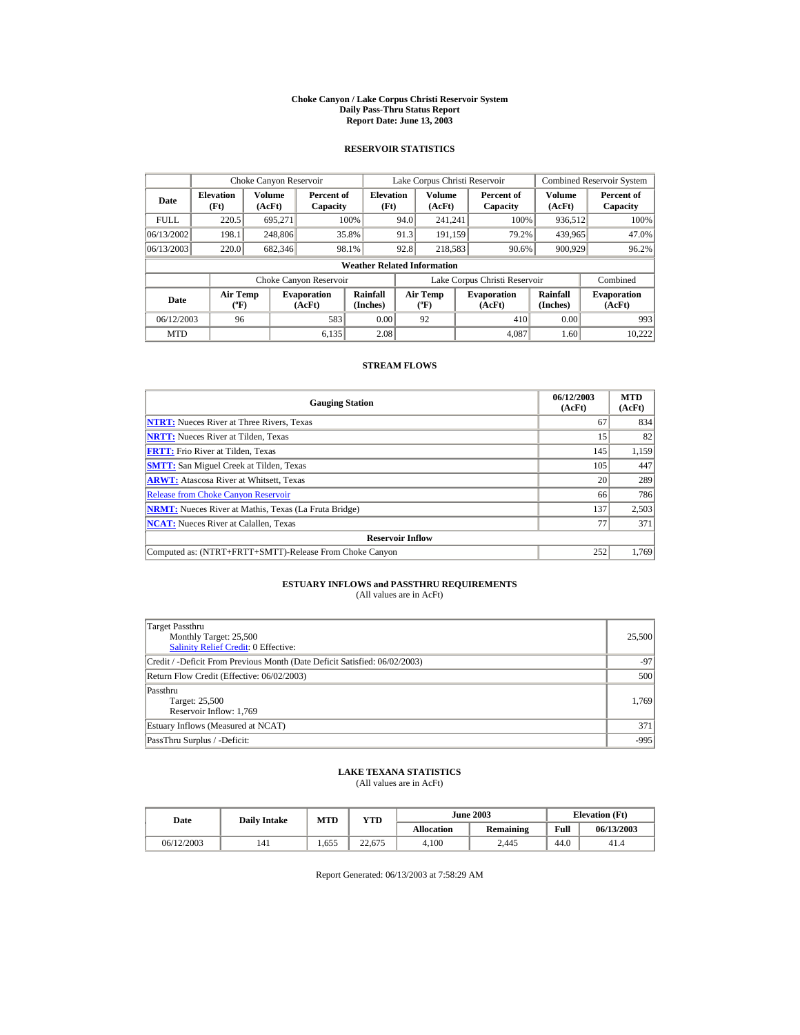#### **Choke Canyon / Lake Corpus Christi Reservoir System Daily Pass-Thru Status Report Report Date: June 13, 2003**

### **RESERVOIR STATISTICS**

|             |                                             | Choke Canyon Reservoir |                              |                                                                        | Lake Corpus Christi Reservoir             |                  |                               | Combined Reservoir System |                              |
|-------------|---------------------------------------------|------------------------|------------------------------|------------------------------------------------------------------------|-------------------------------------------|------------------|-------------------------------|---------------------------|------------------------------|
| Date        | <b>Elevation</b><br>(Ft)                    | Volume<br>(AcFt)       | Percent of<br>Capacity       | Volume<br><b>Elevation</b><br>Percent of<br>(Ft)<br>(AcFt)<br>Capacity |                                           | Volume<br>(AcFt) | Percent of<br>Capacity        |                           |                              |
| <b>FULL</b> | 220.5                                       | 695.271                |                              | 100%                                                                   | 94.0                                      | 241.241          | 100%                          | 936,512                   | 100%                         |
| 06/13/2002  | 198.1                                       | 248,806                |                              | 35.8%                                                                  | 91.3                                      | 191.159          | 79.2%                         | 439,965                   | 47.0%                        |
| 06/13/2003  | 220.0                                       | 682,346                |                              | 98.1%                                                                  | 92.8                                      | 218,583          | 90.6%                         | 900.929                   | 96.2%                        |
|             |                                             |                        |                              | <b>Weather Related Information</b>                                     |                                           |                  |                               |                           |                              |
|             |                                             |                        | Choke Canyon Reservoir       |                                                                        |                                           |                  | Lake Corpus Christi Reservoir |                           | Combined                     |
| Date        | <b>Air Temp</b><br>$({}^{\circ}\mathrm{F})$ |                        | <b>Evaporation</b><br>(AcFt) | Rainfall<br>(Inches)                                                   | <b>Air Temp</b><br>$({}^{\circ}\text{F})$ |                  | <b>Evaporation</b><br>(AcFt)  | Rainfall<br>(Inches)      | <b>Evaporation</b><br>(AcFt) |
| 06/12/2003  | 96                                          |                        | 583                          | 0.00                                                                   |                                           | 92               | 410                           | 0.00                      | 993                          |
| <b>MTD</b>  |                                             |                        | 6.135                        | 2.08                                                                   |                                           |                  | 4.087                         | 1.60                      | 10.222                       |

### **STREAM FLOWS**

| <b>Gauging Station</b>                                       | 06/12/2003<br>(AcFt) | <b>MTD</b><br>(AcFt) |
|--------------------------------------------------------------|----------------------|----------------------|
| <b>NTRT:</b> Nueces River at Three Rivers, Texas             | 67                   | 834                  |
| <b>NRTT:</b> Nueces River at Tilden, Texas                   | 15                   | 82                   |
| <b>FRTT:</b> Frio River at Tilden, Texas                     | 145                  | 1,159                |
| <b>SMTT:</b> San Miguel Creek at Tilden, Texas               | 105                  | 447                  |
| <b>ARWT:</b> Atascosa River at Whitsett, Texas               | 20                   | 289                  |
| <b>Release from Choke Canyon Reservoir</b>                   | 66                   | 786                  |
| <b>NRMT:</b> Nueces River at Mathis, Texas (La Fruta Bridge) | 137                  | 2,503                |
| <b>NCAT:</b> Nueces River at Calallen, Texas                 | 77                   | 371                  |
| <b>Reservoir Inflow</b>                                      |                      |                      |
| Computed as: (NTRT+FRTT+SMTT)-Release From Choke Canyon      | 252                  | 1,769                |

# **ESTUARY INFLOWS and PASSTHRU REQUIREMENTS**<br>(All values are in AcFt)

| Target Passthru<br>Monthly Target: 25,500<br><b>Salinity Relief Credit: 0 Effective:</b> |        |  |  |  |  |  |
|------------------------------------------------------------------------------------------|--------|--|--|--|--|--|
| Credit / -Deficit From Previous Month (Date Deficit Satisfied: 06/02/2003)               | $-97$  |  |  |  |  |  |
| Return Flow Credit (Effective: 06/02/2003)                                               |        |  |  |  |  |  |
| Passthru<br>Target: 25,500<br>Reservoir Inflow: 1,769                                    | 1,769  |  |  |  |  |  |
| Estuary Inflows (Measured at NCAT)                                                       | 371    |  |  |  |  |  |
| PassThru Surplus / -Deficit:                                                             | $-995$ |  |  |  |  |  |

## **LAKE TEXANA STATISTICS**

(All values are in AcFt)

| Date       | <b>MTD</b><br>YTD<br><b>Daily Intake</b> |       |        | <b>June 2003</b>  | <b>Elevation</b> (Ft) |      |            |
|------------|------------------------------------------|-------|--------|-------------------|-----------------------|------|------------|
|            |                                          |       |        | <b>Allocation</b> | Remaining             | Full | 06/13/2003 |
| 06/12/2003 | 141                                      | 1.655 | 22.675 | 4.100             | 2.445                 | 44.0 | 41.4       |

Report Generated: 06/13/2003 at 7:58:29 AM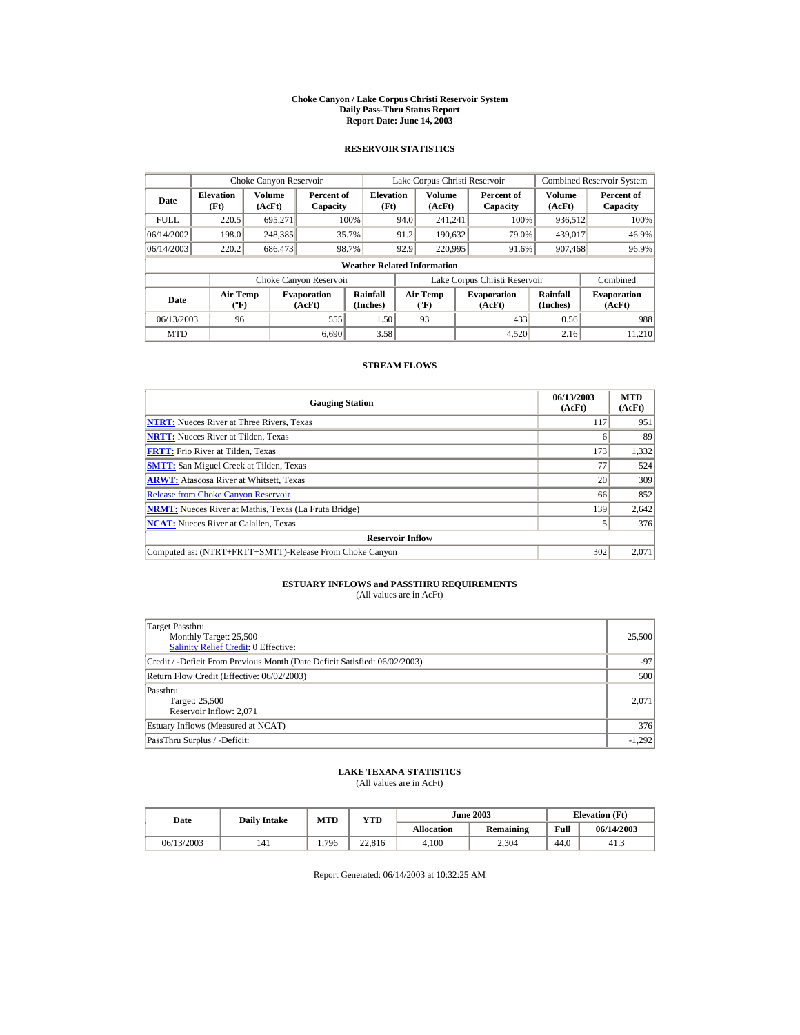#### **Choke Canyon / Lake Corpus Christi Reservoir System Daily Pass-Thru Status Report Report Date: June 14, 2003**

### **RESERVOIR STATISTICS**

|             |                                             | Choke Canyon Reservoir |                              |                                    | Lake Corpus Christi Reservoir               |                  |                               | Combined Reservoir System |                              |
|-------------|---------------------------------------------|------------------------|------------------------------|------------------------------------|---------------------------------------------|------------------|-------------------------------|---------------------------|------------------------------|
| Date        | <b>Elevation</b><br>(Ft)                    | Volume<br>(AcFt)       | Percent of<br>Capacity       | <b>Elevation</b><br>(Ft)           |                                             | Volume<br>(AcFt) | Percent of<br>Capacity        | Volume<br>(AcFt)          | Percent of<br>Capacity       |
| <b>FULL</b> | 220.5                                       | 695.271                |                              | 100%                               | 94.0                                        | 241.241          | 100%                          | 936,512                   | 100%                         |
| 06/14/2002  | 198.0                                       | 248,385                |                              | 35.7%                              | 91.2                                        | 190.632          | 79.0%                         | 439,017                   | 46.9%                        |
| 06/14/2003  | 220.2                                       | 686,473                |                              | 98.7%                              | 92.9                                        | 220,995          | 91.6%                         | 907,468                   | 96.9%                        |
|             |                                             |                        |                              | <b>Weather Related Information</b> |                                             |                  |                               |                           |                              |
|             |                                             |                        | Choke Canyon Reservoir       |                                    |                                             |                  | Lake Corpus Christi Reservoir |                           | Combined                     |
| Date        | <b>Air Temp</b><br>$({}^{\circ}\mathrm{F})$ |                        | <b>Evaporation</b><br>(AcFt) | Rainfall<br>(Inches)               | <b>Air Temp</b><br>$({}^{\circ}\mathbf{F})$ |                  | <b>Evaporation</b><br>(AcFt)  | Rainfall<br>(Inches)      | <b>Evaporation</b><br>(AcFt) |
| 06/13/2003  | 96                                          |                        | 555                          | 1.50                               |                                             | 93               | 433                           | 0.56                      | 988                          |
| <b>MTD</b>  |                                             |                        | 6.690                        | 3.58                               |                                             |                  | 4.520                         | 2.16                      | 11.210                       |

### **STREAM FLOWS**

| <b>Gauging Station</b>                                       | 06/13/2003<br>(AcFt) | <b>MTD</b><br>(AcFt) |
|--------------------------------------------------------------|----------------------|----------------------|
| <b>NTRT:</b> Nueces River at Three Rivers, Texas             | 117                  | 951                  |
| <b>NRTT:</b> Nueces River at Tilden. Texas                   |                      | 89                   |
| <b>FRTT:</b> Frio River at Tilden, Texas                     | 173                  | 1,332                |
| <b>SMTT:</b> San Miguel Creek at Tilden, Texas               | 77                   | 524                  |
| <b>ARWT:</b> Atascosa River at Whitsett, Texas               | 20                   | 309                  |
| <b>Release from Choke Canyon Reservoir</b>                   | 66                   | 852                  |
| <b>NRMT:</b> Nueces River at Mathis, Texas (La Fruta Bridge) | 139                  | 2,642                |
| <b>NCAT:</b> Nueces River at Calallen, Texas                 |                      | 376                  |
| <b>Reservoir Inflow</b>                                      |                      |                      |
| Computed as: (NTRT+FRTT+SMTT)-Release From Choke Canyon      | 302                  | 2,071                |

# **ESTUARY INFLOWS and PASSTHRU REQUIREMENTS**<br>(All values are in AcFt)

| (All values are in Act () |  |  |
|---------------------------|--|--|
|                           |  |  |

| Target Passthru<br>Monthly Target: 25,500<br><b>Salinity Relief Credit: 0 Effective:</b> | 25,500   |
|------------------------------------------------------------------------------------------|----------|
| Credit / -Deficit From Previous Month (Date Deficit Satisfied: 06/02/2003)               | $-97$    |
| Return Flow Credit (Effective: 06/02/2003)                                               | 500      |
| Passthru<br>Target: 25,500<br>Reservoir Inflow: 2,071                                    | 2.071    |
| Estuary Inflows (Measured at NCAT)                                                       | 376      |
| PassThru Surplus / -Deficit:                                                             | $-1,292$ |

## **LAKE TEXANA STATISTICS**

(All values are in AcFt)

| Date       | <b>Daily Intake</b> | MTD   | $v_{\rm TD}$ | <b>June 2003</b> |           |      | <b>Elevation</b> (Ft) |
|------------|---------------------|-------|--------------|------------------|-----------|------|-----------------------|
|            |                     |       |              | Allocation       | Remaining | Full | 06/14/2003            |
| 06/13/2003 | 141                 | 1.796 | 22.816       | 4.100            | 2.304     | 44.0 | 41.3                  |

Report Generated: 06/14/2003 at 10:32:25 AM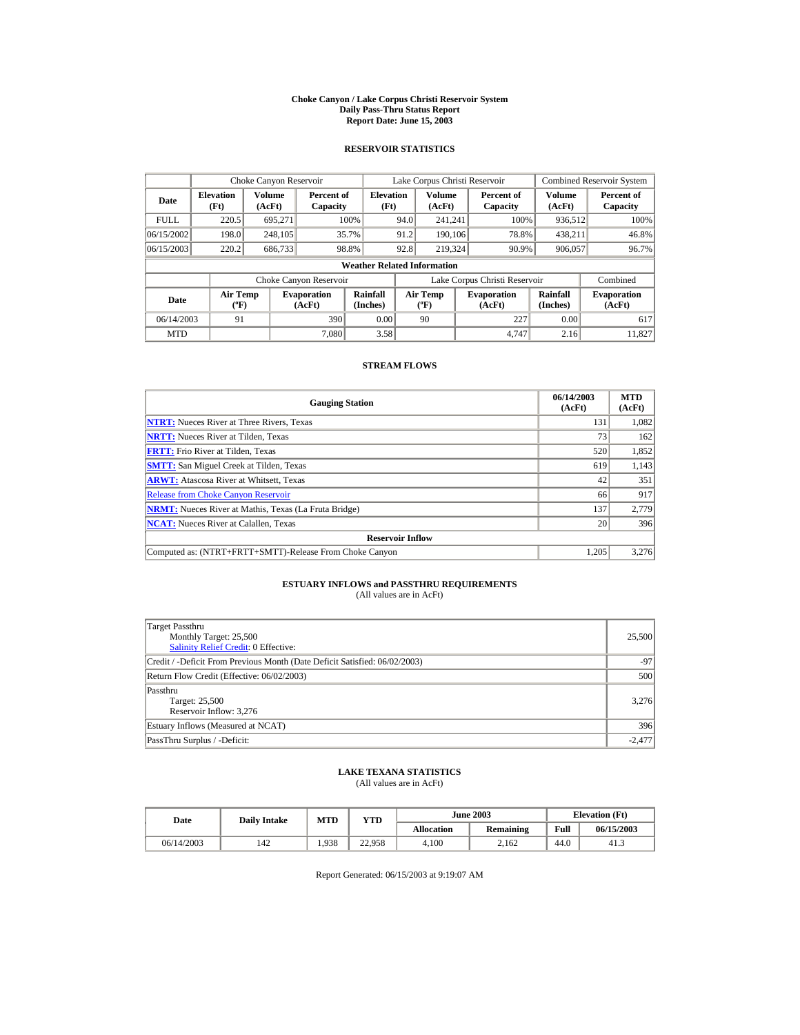#### **Choke Canyon / Lake Corpus Christi Reservoir System Daily Pass-Thru Status Report Report Date: June 15, 2003**

### **RESERVOIR STATISTICS**

|             |                                             | Choke Canyon Reservoir |                              |                                    | Lake Corpus Christi Reservoir               |                  |                  |                               | Combined Reservoir System |                              |
|-------------|---------------------------------------------|------------------------|------------------------------|------------------------------------|---------------------------------------------|------------------|------------------|-------------------------------|---------------------------|------------------------------|
| Date        | <b>Elevation</b><br>(Ft)                    | Volume<br>(AcFt)       | Percent of<br>Capacity       | <b>Elevation</b><br>(Ft)           |                                             | Volume<br>(AcFt) |                  | Percent of<br>Capacity        | Volume<br>(AcFt)          | Percent of<br>Capacity       |
| <b>FULL</b> | 220.5                                       | 695.271                |                              | 100%                               | 94.0                                        | 241.241          |                  | 100%                          | 936,512                   | 100%                         |
| 06/15/2002  | 198.0                                       | 248,105                |                              | 35.7%                              | 91.2                                        | 190,106          |                  | 78.8%                         | 438,211                   | 46.8%                        |
| 06/15/2003  | 220.2                                       | 686,733                |                              | 98.8%                              | 92.8                                        |                  | 219,324<br>90.9% |                               | 906,057                   | 96.7%                        |
|             |                                             |                        |                              | <b>Weather Related Information</b> |                                             |                  |                  |                               |                           |                              |
|             |                                             |                        | Choke Canyon Reservoir       |                                    |                                             |                  |                  | Lake Corpus Christi Reservoir |                           | Combined                     |
| Date        | <b>Air Temp</b><br>$({}^{\circ}\mathrm{F})$ |                        | <b>Evaporation</b><br>(AcFt) | Rainfall<br>(Inches)               | <b>Air Temp</b><br>$({}^{\circ}\mathbf{F})$ |                  |                  | <b>Evaporation</b><br>(AcFt)  | Rainfall<br>(Inches)      | <b>Evaporation</b><br>(AcFt) |
| 06/14/2003  | 91                                          |                        | 390                          | 0.00                               |                                             | 90               |                  | 227                           | 0.00                      | 617                          |
| <b>MTD</b>  |                                             |                        | 7.080                        | 3.58                               |                                             |                  |                  | 4.747                         | 2.16                      | 11.827                       |

### **STREAM FLOWS**

| <b>Gauging Station</b>                                       | 06/14/2003<br>(AcFt) | <b>MTD</b><br>(AcFt) |
|--------------------------------------------------------------|----------------------|----------------------|
| <b>NTRT:</b> Nueces River at Three Rivers, Texas             | 131                  | 1,082                |
| <b>NRTT:</b> Nueces River at Tilden, Texas                   | 73                   | 162                  |
| <b>FRTT:</b> Frio River at Tilden, Texas                     | 520                  | 1,852                |
| <b>SMTT:</b> San Miguel Creek at Tilden, Texas               | 619                  | 1,143                |
| <b>ARWT:</b> Atascosa River at Whitsett, Texas               | 42                   | 351                  |
| <b>Release from Choke Canyon Reservoir</b>                   | 66                   | 917                  |
| <b>NRMT:</b> Nueces River at Mathis, Texas (La Fruta Bridge) | 137                  | 2.779                |
| <b>NCAT:</b> Nueces River at Calallen, Texas                 | 20                   | 396                  |
| <b>Reservoir Inflow</b>                                      |                      |                      |
| Computed as: (NTRT+FRTT+SMTT)-Release From Choke Canyon      | 1.205                | 3,276                |

# **ESTUARY INFLOWS and PASSTHRU REQUIREMENTS**<br>(All values are in AcFt)

| Target Passthru<br>Monthly Target: 25,500<br><b>Salinity Relief Credit: 0 Effective:</b> | 25,500   |  |  |  |  |
|------------------------------------------------------------------------------------------|----------|--|--|--|--|
| Credit / -Deficit From Previous Month (Date Deficit Satisfied: 06/02/2003)               | $-97$    |  |  |  |  |
| Return Flow Credit (Effective: 06/02/2003)                                               |          |  |  |  |  |
| Passthru<br>Target: 25,500<br>Reservoir Inflow: 3,276                                    | 3.276    |  |  |  |  |
| Estuary Inflows (Measured at NCAT)                                                       | 396      |  |  |  |  |
| PassThru Surplus / -Deficit:                                                             | $-2,477$ |  |  |  |  |

## **LAKE TEXANA STATISTICS**

(All values are in AcFt)

| Date       |     | <b>MTD</b><br>YTD<br><b>Daily Intake</b> |        |                   | <b>June 2003</b> | <b>Elevation</b> (Ft) |            |
|------------|-----|------------------------------------------|--------|-------------------|------------------|-----------------------|------------|
|            |     |                                          |        | <b>Allocation</b> | Remaining        | Full                  | 06/15/2003 |
| 06/14/2003 | 142 | 1.938                                    | 22.958 | 4.100             | 2.162            | 44.0                  | 41.3       |

Report Generated: 06/15/2003 at 9:19:07 AM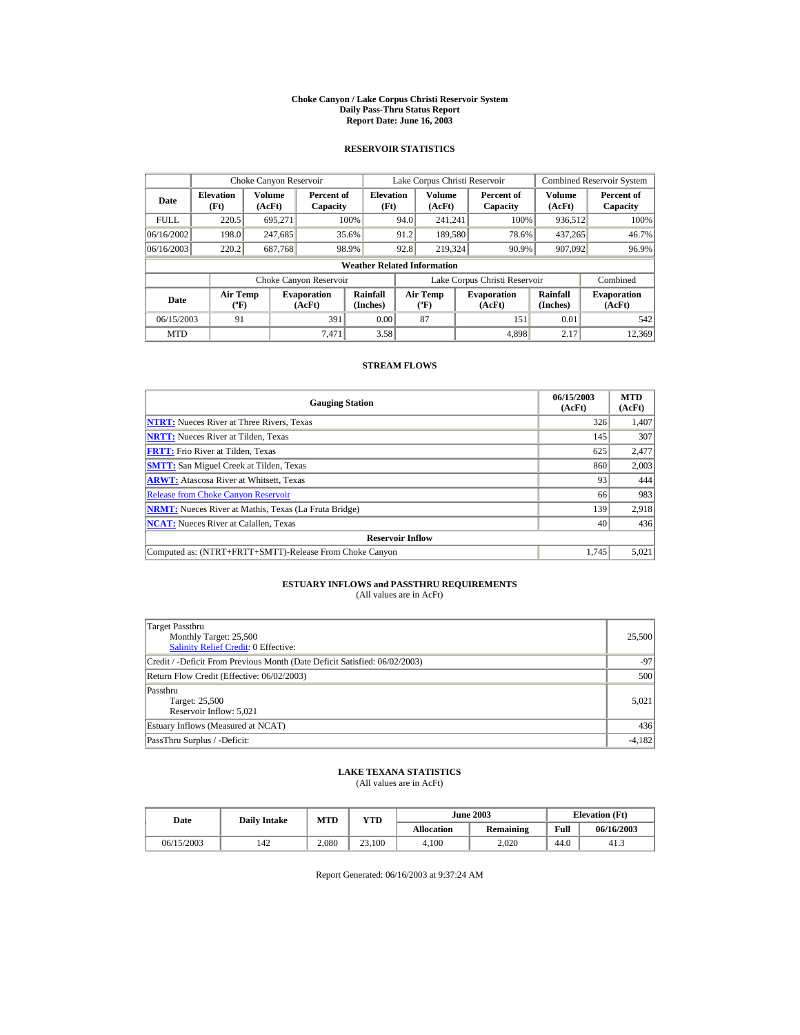#### **Choke Canyon / Lake Corpus Christi Reservoir System Daily Pass-Thru Status Report Report Date: June 16, 2003**

### **RESERVOIR STATISTICS**

|             | Choke Canyon Reservoir                      |                  |                              |                                    | Lake Corpus Christi Reservoir |                                           |  |                               |                      | Combined Reservoir System    |
|-------------|---------------------------------------------|------------------|------------------------------|------------------------------------|-------------------------------|-------------------------------------------|--|-------------------------------|----------------------|------------------------------|
| Date        | <b>Elevation</b><br>(Ft)                    | Volume<br>(AcFt) | Percent of<br>Capacity       | <b>Elevation</b><br>(Ft)           |                               | <b>Volume</b><br>(AcFt)                   |  | Percent of<br>Capacity        | Volume<br>(AcFt)     | Percent of<br>Capacity       |
| <b>FULL</b> | 220.5                                       | 695.271          |                              | 100%                               | 94.0                          | 241.241                                   |  | 100%                          | 936,512              | 100%                         |
| 06/16/2002  | 198.0                                       | 247,685          |                              | 35.6%                              | 91.2                          | 189,580                                   |  | 78.6%                         | 437.265              | 46.7%                        |
| 06/16/2003  | 220.2                                       | 687,768          |                              | 98.9%                              | 92.8                          | 219,324                                   |  | 90.9%                         | 907.092              | 96.9%                        |
|             |                                             |                  |                              | <b>Weather Related Information</b> |                               |                                           |  |                               |                      |                              |
|             |                                             |                  | Choke Canyon Reservoir       |                                    |                               |                                           |  | Lake Corpus Christi Reservoir |                      | Combined                     |
| Date        | <b>Air Temp</b><br>$({}^{\circ}\mathrm{F})$ |                  | <b>Evaporation</b><br>(AcFt) | Rainfall<br>(Inches)               |                               | <b>Air Temp</b><br>$({}^{\circ}\text{F})$ |  | <b>Evaporation</b><br>(AcFt)  | Rainfall<br>(Inches) | <b>Evaporation</b><br>(AcFt) |
| 06/15/2003  | 91                                          |                  | 391                          | 0.00                               |                               | 87                                        |  | 151                           | 0.01                 | 542                          |
| <b>MTD</b>  |                                             |                  | 7.471                        | 3.58                               |                               |                                           |  | 4.898                         | 2.17                 | 12,369                       |

### **STREAM FLOWS**

| <b>Gauging Station</b>                                       | 06/15/2003<br>(AcFt) | <b>MTD</b><br>(AcFt) |
|--------------------------------------------------------------|----------------------|----------------------|
| <b>NTRT:</b> Nueces River at Three Rivers. Texas             | 326                  | 1,407                |
| <b>NRTT:</b> Nueces River at Tilden, Texas                   | 145                  | 307                  |
| <b>FRTT:</b> Frio River at Tilden, Texas                     | 625                  | 2,477                |
| <b>SMTT:</b> San Miguel Creek at Tilden, Texas               | 860                  | 2,003                |
| <b>ARWT:</b> Atascosa River at Whitsett, Texas               | 93                   | 444                  |
| <b>Release from Choke Canyon Reservoir</b>                   | 66                   | 983                  |
| <b>NRMT:</b> Nueces River at Mathis, Texas (La Fruta Bridge) | 139                  | 2.918                |
| <b>NCAT:</b> Nueces River at Calallen, Texas                 | 40                   | 436                  |
| <b>Reservoir Inflow</b>                                      |                      |                      |
| Computed as: (NTRT+FRTT+SMTT)-Release From Choke Canyon      | 1.745                | 5,021                |

# **ESTUARY INFLOWS and PASSTHRU REQUIREMENTS**<br>(All values are in AcFt)

| Target Passthru<br>Monthly Target: 25,500<br><b>Salinity Relief Credit: 0 Effective:</b> | 25,500   |  |  |  |  |
|------------------------------------------------------------------------------------------|----------|--|--|--|--|
| Credit / -Deficit From Previous Month (Date Deficit Satisfied: 06/02/2003)               | $-97$    |  |  |  |  |
| Return Flow Credit (Effective: 06/02/2003)                                               |          |  |  |  |  |
| Passthru<br>Target: 25,500<br>Reservoir Inflow: 5,021                                    | 5,021    |  |  |  |  |
| Estuary Inflows (Measured at NCAT)                                                       | 436      |  |  |  |  |
| PassThru Surplus / -Deficit:                                                             | $-4,182$ |  |  |  |  |

## **LAKE TEXANA STATISTICS**

(All values are in AcFt)

| Date       |     | <b>MTD</b><br><b>Daily Intake</b> |        |                   | <b>June 2003</b> | <b>Elevation</b> (Ft) |            |
|------------|-----|-----------------------------------|--------|-------------------|------------------|-----------------------|------------|
|            |     |                                   | YTD    | <b>Allocation</b> | Remaining        | Full                  | 06/16/2003 |
| 06/15/2003 | 142 | 2.080                             | 23.100 | 4.100             | 2.020            | 44.0                  | 41.3       |

Report Generated: 06/16/2003 at 9:37:24 AM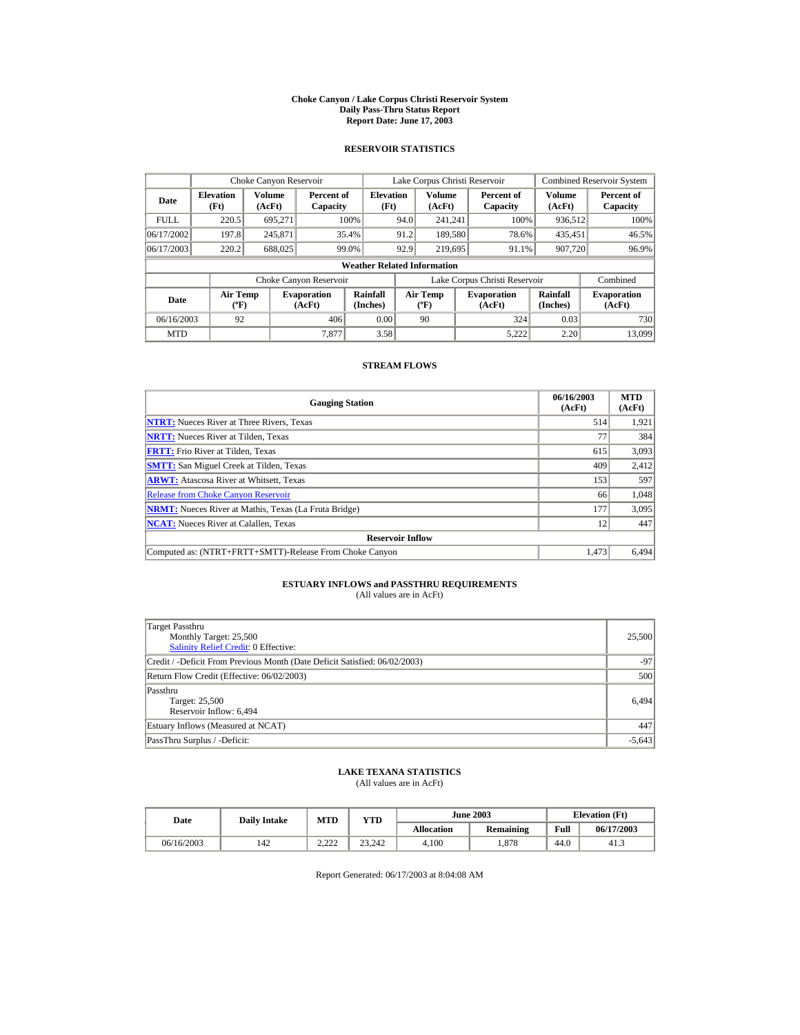#### **Choke Canyon / Lake Corpus Christi Reservoir System Daily Pass-Thru Status Report Report Date: June 17, 2003**

### **RESERVOIR STATISTICS**

|             | Choke Canyon Reservoir                      |                  |                              |                                    | Lake Corpus Christi Reservoir |                                             |  |                               |                      | Combined Reservoir System    |
|-------------|---------------------------------------------|------------------|------------------------------|------------------------------------|-------------------------------|---------------------------------------------|--|-------------------------------|----------------------|------------------------------|
| Date        | <b>Elevation</b><br>(Ft)                    | Volume<br>(AcFt) | Percent of<br>Capacity       | <b>Elevation</b><br>(Ft)           |                               | Volume<br>(AcFt)                            |  | Percent of<br>Capacity        | Volume<br>(AcFt)     | Percent of<br>Capacity       |
| <b>FULL</b> | 220.5                                       | 695.271          |                              | 100%                               | 94.0                          | 241.241                                     |  | 100%                          | 936,512              | 100%                         |
| 06/17/2002  | 197.8                                       | 245,871          |                              | 35.4%                              | 91.2                          | 189,580                                     |  | 78.6%                         | 435,451              | 46.5%                        |
| 06/17/2003  | 220.2                                       | 688,025          |                              | 99.0%                              | 92.9                          | 219,695                                     |  | 91.1%                         | 907,720              | 96.9%                        |
|             |                                             |                  |                              | <b>Weather Related Information</b> |                               |                                             |  |                               |                      |                              |
|             |                                             |                  | Choke Canyon Reservoir       |                                    |                               |                                             |  | Lake Corpus Christi Reservoir |                      | Combined                     |
| Date        | <b>Air Temp</b><br>$({}^{\circ}\mathrm{F})$ |                  | <b>Evaporation</b><br>(AcFt) | Rainfall<br>(Inches)               |                               | <b>Air Temp</b><br>$({}^{\circ}\mathbf{F})$ |  | <b>Evaporation</b><br>(AcFt)  | Rainfall<br>(Inches) | <b>Evaporation</b><br>(AcFt) |
| 06/16/2003  | 92                                          |                  | 406                          | 0.00                               |                               | 90                                          |  | 324                           | 0.03                 | 730                          |
| <b>MTD</b>  |                                             |                  | 7.877                        | 3.58                               |                               |                                             |  | 5.222                         | 2.20                 | 13,099                       |

### **STREAM FLOWS**

| <b>Gauging Station</b>                                       | 06/16/2003<br>(AcFt) | <b>MTD</b><br>(AcFt) |
|--------------------------------------------------------------|----------------------|----------------------|
| <b>NTRT:</b> Nueces River at Three Rivers, Texas             | 514                  | 1,921                |
| <b>NRTT:</b> Nueces River at Tilden, Texas                   |                      | 384                  |
| <b>FRTT:</b> Frio River at Tilden. Texas                     | 615                  | 3,093                |
| <b>SMTT:</b> San Miguel Creek at Tilden, Texas               | 409                  | 2,412                |
| <b>ARWT:</b> Atascosa River at Whitsett, Texas               | 153                  | 597                  |
| <b>Release from Choke Canyon Reservoir</b>                   | 66                   | 1,048                |
| <b>NRMT:</b> Nueces River at Mathis, Texas (La Fruta Bridge) | 177                  | 3,095                |
| <b>NCAT:</b> Nueces River at Calallen, Texas                 | 12                   | 447                  |
| <b>Reservoir Inflow</b>                                      |                      |                      |
| Computed as: (NTRT+FRTT+SMTT)-Release From Choke Canyon      | 1.473                | 6,494                |

# **ESTUARY INFLOWS and PASSTHRU REQUIREMENTS**<br>(All values are in AcFt)

| Target Passthru<br>Monthly Target: 25,500<br><b>Salinity Relief Credit: 0 Effective:</b> | 25,500   |  |  |  |  |
|------------------------------------------------------------------------------------------|----------|--|--|--|--|
| Credit / -Deficit From Previous Month (Date Deficit Satisfied: 06/02/2003)               | $-97$    |  |  |  |  |
| Return Flow Credit (Effective: 06/02/2003)                                               |          |  |  |  |  |
| Passthru<br>Target: 25,500<br>Reservoir Inflow: 6,494                                    | 6.494    |  |  |  |  |
| Estuary Inflows (Measured at NCAT)                                                       | 447      |  |  |  |  |
| PassThru Surplus / -Deficit:                                                             | $-5,643$ |  |  |  |  |

## **LAKE TEXANA STATISTICS**

(All values are in AcFt)

|            | <b>MTD</b><br>YTD<br><b>Daily Intake</b><br>Date |                        |        | <b>June 2003</b>  | <b>Elevation</b> (Ft) |      |            |
|------------|--------------------------------------------------|------------------------|--------|-------------------|-----------------------|------|------------|
|            |                                                  |                        |        | <b>Allocation</b> | Remaining             | Full | 06/17/2003 |
| 06/16/2003 | 142                                              | 2.222<br>____ <i>_</i> | 23.242 | 4.100             | . 878                 | 44.0 | 41.3       |

Report Generated: 06/17/2003 at 8:04:08 AM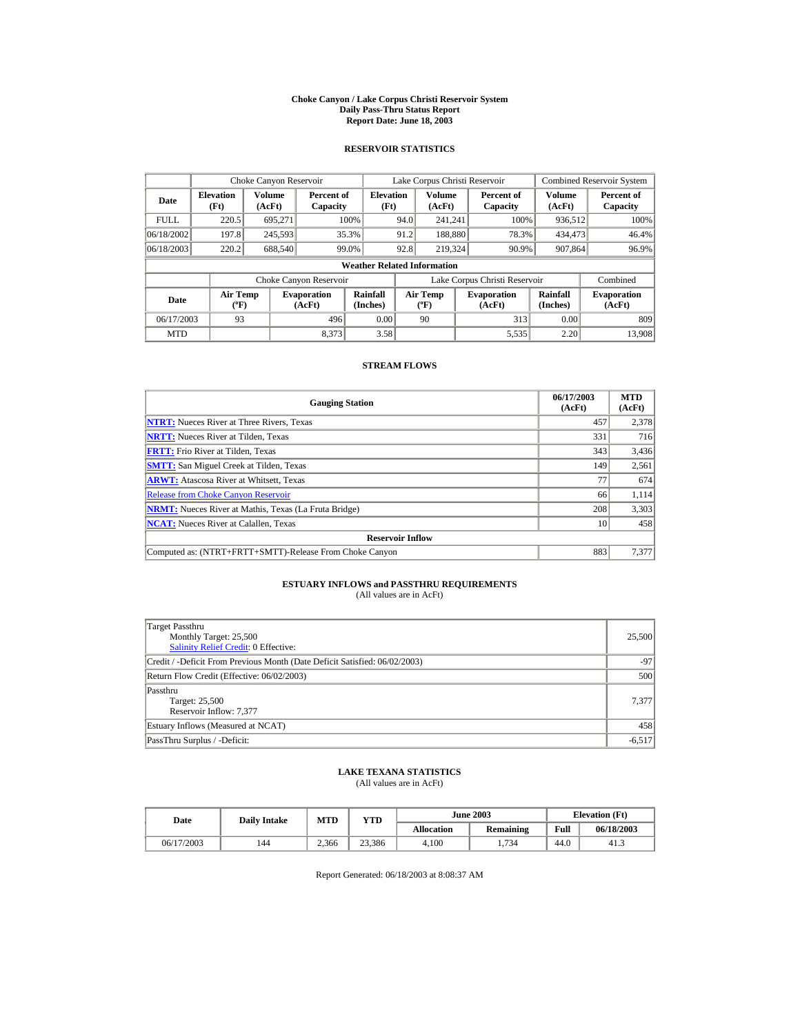#### **Choke Canyon / Lake Corpus Christi Reservoir System Daily Pass-Thru Status Report Report Date: June 18, 2003**

### **RESERVOIR STATISTICS**

|             | Choke Canyon Reservoir                      |                  |                              |                                    | Lake Corpus Christi Reservoir |                                             |  |                               |                      | Combined Reservoir System    |
|-------------|---------------------------------------------|------------------|------------------------------|------------------------------------|-------------------------------|---------------------------------------------|--|-------------------------------|----------------------|------------------------------|
| Date        | <b>Elevation</b><br>(Ft)                    | Volume<br>(AcFt) | Percent of<br>Capacity       | <b>Elevation</b><br>(Ft)           |                               | Volume<br>(AcFt)                            |  | Percent of<br>Capacity        | Volume<br>(AcFt)     | Percent of<br>Capacity       |
| <b>FULL</b> | 220.5                                       | 695.271          |                              | 100%                               | 94.0                          | 241.241                                     |  | 100%                          | 936,512              | 100%                         |
| 06/18/2002  | 197.8                                       | 245,593          |                              | 35.3%                              | 91.2                          | 188,880                                     |  | 78.3%                         | 434,473              | 46.4%                        |
| 06/18/2003  | 220.2                                       | 688,540          |                              | 99.0%                              | 92.8                          | 219,324                                     |  | 90.9%                         | 907,864              | 96.9%                        |
|             |                                             |                  |                              | <b>Weather Related Information</b> |                               |                                             |  |                               |                      |                              |
|             |                                             |                  | Choke Canyon Reservoir       |                                    |                               |                                             |  | Lake Corpus Christi Reservoir |                      | Combined                     |
| Date        | <b>Air Temp</b><br>$({}^{\circ}\mathrm{F})$ |                  | <b>Evaporation</b><br>(AcFt) | Rainfall<br>(Inches)               |                               | <b>Air Temp</b><br>$({}^{\circ}\mathbf{F})$ |  | <b>Evaporation</b><br>(AcFt)  | Rainfall<br>(Inches) | <b>Evaporation</b><br>(AcFt) |
| 06/17/2003  | 93                                          |                  | 496                          | 0.00                               |                               | 90                                          |  | 313                           | 0.00                 | 809                          |
| <b>MTD</b>  |                                             |                  | 8.373                        | 3.58                               |                               |                                             |  | 5,535                         | 2.20                 | 13,908                       |

### **STREAM FLOWS**

| <b>Gauging Station</b>                                       | 06/17/2003<br>(AcFt) | <b>MTD</b><br>(AcFt) |
|--------------------------------------------------------------|----------------------|----------------------|
| <b>NTRT:</b> Nueces River at Three Rivers, Texas             | 457                  | 2,378                |
| <b>NRTT:</b> Nueces River at Tilden, Texas                   | 331                  | 716                  |
| <b>FRTT:</b> Frio River at Tilden, Texas                     | 343                  | 3,436                |
| <b>SMTT:</b> San Miguel Creek at Tilden, Texas               | 149                  | 2,561                |
| <b>ARWT:</b> Atascosa River at Whitsett, Texas               | 77                   | 674                  |
| <b>Release from Choke Canyon Reservoir</b>                   | 66                   | 1,114                |
| <b>NRMT:</b> Nueces River at Mathis, Texas (La Fruta Bridge) | 208                  | 3,303                |
| <b>NCAT:</b> Nueces River at Calallen, Texas                 | 10                   | 458                  |
| <b>Reservoir Inflow</b>                                      |                      |                      |
| Computed as: (NTRT+FRTT+SMTT)-Release From Choke Canyon      | 883                  | 7,377                |

# **ESTUARY INFLOWS and PASSTHRU REQUIREMENTS**<br>(All values are in AcFt)

| Target Passthru<br>Monthly Target: 25,500<br>Salinity Relief Credit: 0 Effective: | 25,500   |
|-----------------------------------------------------------------------------------|----------|
| Credit / -Deficit From Previous Month (Date Deficit Satisfied: 06/02/2003)        | $-97$    |
| Return Flow Credit (Effective: 06/02/2003)                                        | 500      |
| Passthru<br>Target: 25,500<br>Reservoir Inflow: 7,377                             | 7,377    |
| Estuary Inflows (Measured at NCAT)                                                | 458      |
| PassThru Surplus / -Deficit:                                                      | $-6,517$ |

### **LAKE TEXANA STATISTICS**

(All values are in AcFt)

| Date       | <b>Daily Intake</b> | <b>MTD</b> | YTD    | <b>June 2003</b>  |           | <b>Elevation</b> (Ft) |            |
|------------|---------------------|------------|--------|-------------------|-----------|-----------------------|------------|
|            |                     |            |        | <b>Allocation</b> | Remaining | Full                  | 06/18/2003 |
| 06/17/2003 | 144                 | 2.366      | 23.386 | 4.100             | 1.734     | 44.0                  | 41.3       |

Report Generated: 06/18/2003 at 8:08:37 AM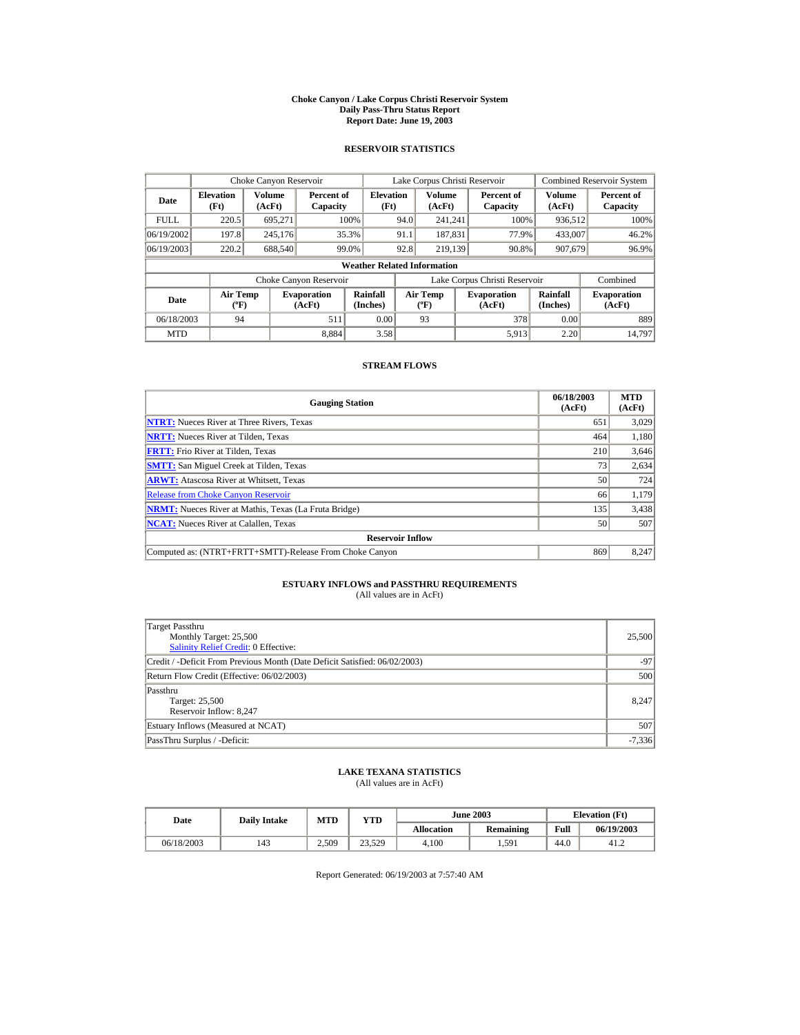#### **Choke Canyon / Lake Corpus Christi Reservoir System Daily Pass-Thru Status Report Report Date: June 19, 2003**

### **RESERVOIR STATISTICS**

|             | Choke Canyon Reservoir                      |                  |                              |                                    | Lake Corpus Christi Reservoir |                                             |  |                               |                      | Combined Reservoir System    |
|-------------|---------------------------------------------|------------------|------------------------------|------------------------------------|-------------------------------|---------------------------------------------|--|-------------------------------|----------------------|------------------------------|
| Date        | <b>Elevation</b><br>(Ft)                    | Volume<br>(AcFt) | Percent of<br>Capacity       | <b>Elevation</b><br>(Ft)           |                               | Volume<br>(AcFt)                            |  | Percent of<br>Capacity        | Volume<br>(AcFt)     | Percent of<br>Capacity       |
| <b>FULL</b> | 220.5                                       | 695.271          |                              | 100%                               | 94.0                          | 241.241                                     |  | 100%                          | 936,512              | 100%                         |
| 06/19/2002  | 197.8                                       | 245,176          |                              | 35.3%                              | 91.1                          | 187.831                                     |  | 77.9%                         | 433,007              | 46.2%                        |
| 06/19/2003  | 220.2                                       | 688,540          |                              | 99.0%                              | 92.8                          | 219.139                                     |  | 90.8%                         | 907,679              | 96.9%                        |
|             |                                             |                  |                              | <b>Weather Related Information</b> |                               |                                             |  |                               |                      |                              |
|             |                                             |                  | Choke Canyon Reservoir       |                                    |                               |                                             |  | Lake Corpus Christi Reservoir |                      | Combined                     |
| Date        | <b>Air Temp</b><br>$({}^{\circ}\mathrm{F})$ |                  | <b>Evaporation</b><br>(AcFt) | Rainfall<br>(Inches)               |                               | <b>Air Temp</b><br>$({}^{\circ}\mathbf{F})$ |  | <b>Evaporation</b><br>(AcFt)  | Rainfall<br>(Inches) | <b>Evaporation</b><br>(AcFt) |
| 06/18/2003  | 94                                          |                  | 511                          | 0.00                               |                               | 93                                          |  | 378                           | 0.00                 | 889                          |
| <b>MTD</b>  |                                             |                  | 8.884                        | 3.58                               |                               |                                             |  | 5,913                         | 2.20                 | 14.797                       |

### **STREAM FLOWS**

| <b>Gauging Station</b>                                       | 06/18/2003<br>(AcFt) | <b>MTD</b><br>(AcFt) |
|--------------------------------------------------------------|----------------------|----------------------|
| <b>NTRT:</b> Nueces River at Three Rivers, Texas             | 651                  | 3,029                |
| <b>NRTT:</b> Nueces River at Tilden, Texas                   | 464                  | 1,180                |
| <b>FRTT:</b> Frio River at Tilden, Texas                     | 210                  | 3,646                |
| <b>SMTT:</b> San Miguel Creek at Tilden, Texas               | 73                   | 2,634                |
| <b>ARWT:</b> Atascosa River at Whitsett, Texas               | 50                   | 724                  |
| <b>Release from Choke Canyon Reservoir</b>                   | 66                   | 1,179                |
| <b>NRMT:</b> Nueces River at Mathis, Texas (La Fruta Bridge) | 135                  | 3,438                |
| <b>NCAT:</b> Nueces River at Calallen, Texas                 | 50                   | 507                  |
| <b>Reservoir Inflow</b>                                      |                      |                      |
| Computed as: (NTRT+FRTT+SMTT)-Release From Choke Canyon      | 869                  | 8,247                |

# **ESTUARY INFLOWS and PASSTHRU REQUIREMENTS**<br>(All values are in AcFt)

| Target Passthru<br>Monthly Target: 25,500<br>Salinity Relief Credit: 0 Effective: | 25,500   |  |  |  |  |
|-----------------------------------------------------------------------------------|----------|--|--|--|--|
| Credit / -Deficit From Previous Month (Date Deficit Satisfied: 06/02/2003)        | $-97$    |  |  |  |  |
| Return Flow Credit (Effective: 06/02/2003)                                        |          |  |  |  |  |
| Passthru<br>Target: 25,500<br>Reservoir Inflow: 8,247                             | 8.247    |  |  |  |  |
| Estuary Inflows (Measured at NCAT)                                                | 507      |  |  |  |  |
| PassThru Surplus / -Deficit:                                                      | $-7,336$ |  |  |  |  |

## **LAKE TEXANA STATISTICS**

(All values are in AcFt)

| Date       | <b>Daily Intake</b> | MTD   | VTD    |            | <b>June 2003</b> |      | <b>Elevation</b> (Ft) |
|------------|---------------------|-------|--------|------------|------------------|------|-----------------------|
|            |                     |       |        | Allocation | Remaining        | Full | 06/19/2003            |
| 06/18/2003 | 143                 | 2.509 | 23.529 | 4.100      | 1.591            | 44.0 | 41.2                  |

Report Generated: 06/19/2003 at 7:57:40 AM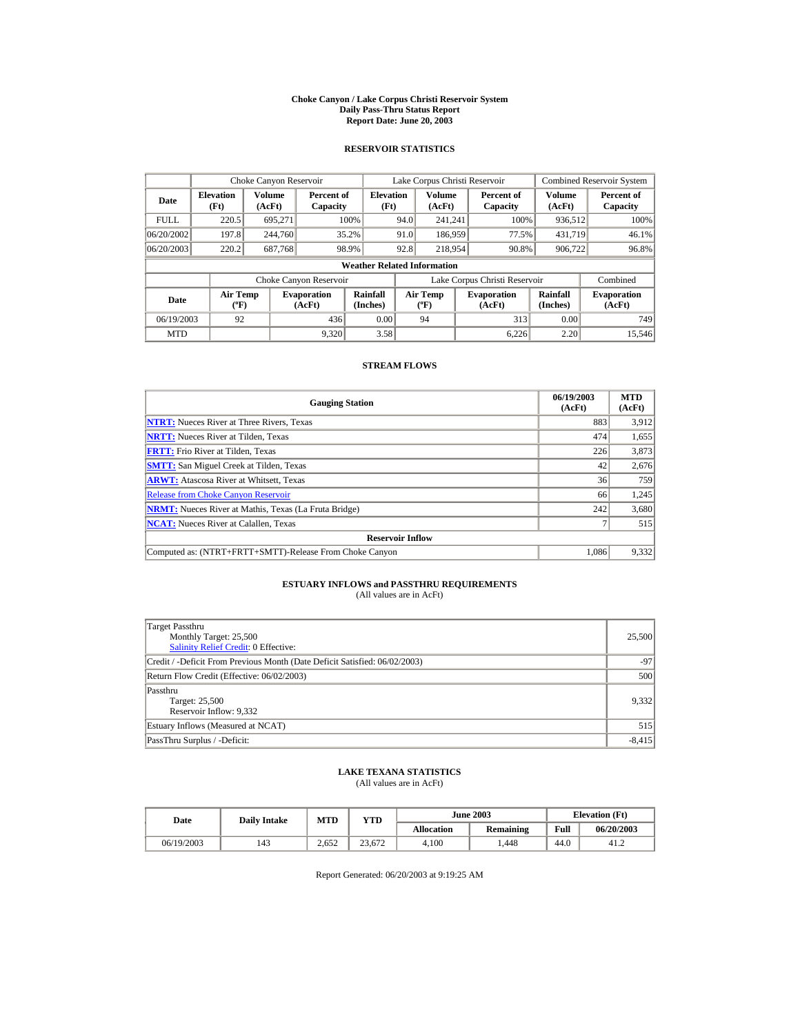#### **Choke Canyon / Lake Corpus Christi Reservoir System Daily Pass-Thru Status Report Report Date: June 20, 2003**

### **RESERVOIR STATISTICS**

|             | Choke Canyon Reservoir                      |                  |                              |                                    | Lake Corpus Christi Reservoir |                                             |  |                               |                      | Combined Reservoir System    |
|-------------|---------------------------------------------|------------------|------------------------------|------------------------------------|-------------------------------|---------------------------------------------|--|-------------------------------|----------------------|------------------------------|
| Date        | <b>Elevation</b><br>(Ft)                    | Volume<br>(AcFt) | Percent of<br>Capacity       | <b>Elevation</b><br>(Ft)           |                               | Volume<br>(AcFt)                            |  | Percent of<br>Capacity        | Volume<br>(AcFt)     | Percent of<br>Capacity       |
| <b>FULL</b> | 220.5                                       | 695.271          |                              | 100%                               | 94.0                          | 241.241                                     |  | 100%                          | 936,512              | 100%                         |
| 06/20/2002  | 197.8                                       | 244,760          |                              | 35.2%                              | 91.0                          | 186,959                                     |  | 77.5%                         | 431,719              | 46.1%                        |
| 06/20/2003  | 220.2                                       | 687,768          |                              | 98.9%                              | 92.8                          | 218,954                                     |  | 90.8%                         | 906,722              | 96.8%                        |
|             |                                             |                  |                              | <b>Weather Related Information</b> |                               |                                             |  |                               |                      |                              |
|             |                                             |                  | Choke Canyon Reservoir       |                                    |                               |                                             |  | Lake Corpus Christi Reservoir |                      | Combined                     |
| Date        | <b>Air Temp</b><br>$({}^{\circ}\mathrm{F})$ |                  | <b>Evaporation</b><br>(AcFt) | Rainfall<br>(Inches)               |                               | <b>Air Temp</b><br>$({}^{\circ}\mathbf{F})$ |  | <b>Evaporation</b><br>(AcFt)  | Rainfall<br>(Inches) | <b>Evaporation</b><br>(AcFt) |
| 06/19/2003  | 92                                          |                  | 436                          | 0.00                               |                               | 94                                          |  | 313                           | 0.00                 | 749                          |
| <b>MTD</b>  |                                             |                  | 9.320                        | 3.58                               |                               |                                             |  | 6.226                         | 2.20                 | 15,546                       |

### **STREAM FLOWS**

| <b>Gauging Station</b>                                       | 06/19/2003<br>(AcFt) | <b>MTD</b><br>(AcFt) |
|--------------------------------------------------------------|----------------------|----------------------|
| <b>NTRT:</b> Nueces River at Three Rivers, Texas             | 883                  | 3,912                |
| <b>NRTT:</b> Nueces River at Tilden, Texas                   | 474                  | 1,655                |
| <b>FRTT:</b> Frio River at Tilden, Texas                     | 226                  | 3,873                |
| <b>SMTT:</b> San Miguel Creek at Tilden, Texas               | 42                   | 2,676                |
| <b>ARWT:</b> Atascosa River at Whitsett, Texas               | 36                   | 759                  |
| <b>Release from Choke Canyon Reservoir</b>                   | 66                   | 1,245                |
| <b>NRMT:</b> Nueces River at Mathis, Texas (La Fruta Bridge) | 242                  | 3,680                |
| <b>NCAT:</b> Nueces River at Calallen, Texas                 |                      | 515                  |
| <b>Reservoir Inflow</b>                                      |                      |                      |
| Computed as: (NTRT+FRTT+SMTT)-Release From Choke Canyon      | 1.086                | 9,332                |

# **ESTUARY INFLOWS and PASSTHRU REQUIREMENTS**<br>(All values are in AcFt)

| Target Passthru<br>Monthly Target: 25,500<br><b>Salinity Relief Credit: 0 Effective:</b> | 25,500   |  |  |  |  |
|------------------------------------------------------------------------------------------|----------|--|--|--|--|
| Credit / -Deficit From Previous Month (Date Deficit Satisfied: 06/02/2003)               | $-97$    |  |  |  |  |
| Return Flow Credit (Effective: 06/02/2003)                                               |          |  |  |  |  |
| Passthru<br>Target: 25,500<br>Reservoir Inflow: 9,332                                    | 9,332    |  |  |  |  |
| Estuary Inflows (Measured at NCAT)                                                       | 515      |  |  |  |  |
| PassThru Surplus / -Deficit:                                                             | $-8,415$ |  |  |  |  |

## **LAKE TEXANA STATISTICS**

(All values are in AcFt)

| Date       | <b>Daily Intake</b> | <b>MTD</b> | YTD    |                   | <b>June 2003</b> |      | <b>Elevation</b> (Ft) |
|------------|---------------------|------------|--------|-------------------|------------------|------|-----------------------|
|            |                     |            |        | <b>Allocation</b> | Remaining        | Full | 06/20/2003            |
| 06/19/2003 | 143                 | 2.652      | 23.672 | 4.100             | .448             | 44.0 | 41.2                  |

Report Generated: 06/20/2003 at 9:19:25 AM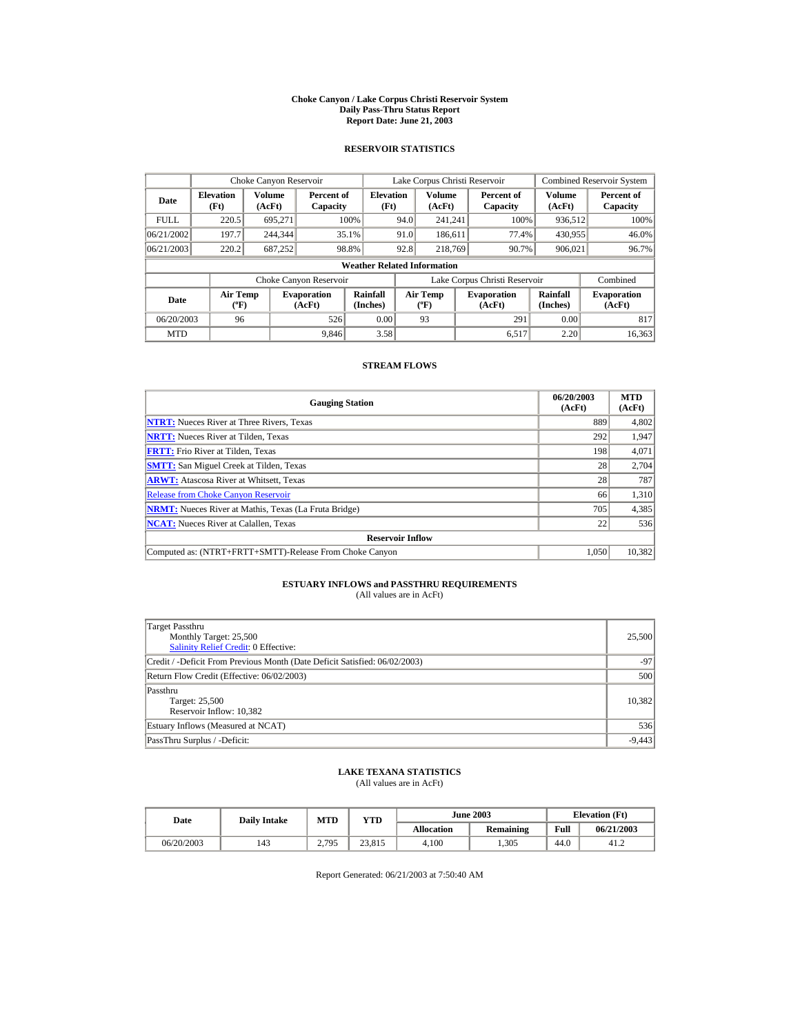#### **Choke Canyon / Lake Corpus Christi Reservoir System Daily Pass-Thru Status Report Report Date: June 21, 2003**

### **RESERVOIR STATISTICS**

|             | Choke Canyon Reservoir                      |                  |                              |                                    | Lake Corpus Christi Reservoir |                                           |  |                               |                      | <b>Combined Reservoir System</b> |
|-------------|---------------------------------------------|------------------|------------------------------|------------------------------------|-------------------------------|-------------------------------------------|--|-------------------------------|----------------------|----------------------------------|
| Date        | <b>Elevation</b><br>(Ft)                    | Volume<br>(AcFt) | Percent of<br>Capacity       | <b>Elevation</b><br>(Ft)           |                               | <b>Volume</b><br>(AcFt)                   |  | Percent of<br>Capacity        | Volume<br>(AcFt)     | Percent of<br>Capacity           |
| <b>FULL</b> | 220.5                                       | 695.271          |                              | 100%                               | 94.0                          | 241.241                                   |  | 100%                          | 936,512              | 100%                             |
| 06/21/2002  | 197.7                                       | 244,344          |                              | 35.1%                              | 91.0                          | 186,611                                   |  | 77.4%                         | 430,955              | 46.0%                            |
| 06/21/2003  | 220.2                                       | 687,252          |                              | 98.8%                              | 92.8                          | 218,769                                   |  | 90.7%                         | 906,021              | 96.7%                            |
|             |                                             |                  |                              | <b>Weather Related Information</b> |                               |                                           |  |                               |                      |                                  |
|             |                                             |                  | Choke Canyon Reservoir       |                                    |                               |                                           |  | Lake Corpus Christi Reservoir |                      | Combined                         |
| Date        | <b>Air Temp</b><br>$({}^{\circ}\mathrm{F})$ |                  | <b>Evaporation</b><br>(AcFt) | Rainfall<br>(Inches)               |                               | <b>Air Temp</b><br>$(^{\circ}\mathrm{F})$ |  | <b>Evaporation</b><br>(AcFt)  | Rainfall<br>(Inches) | <b>Evaporation</b><br>(AcFt)     |
| 06/20/2003  | 96                                          |                  | 526                          | 0.00                               |                               | 93                                        |  | 291                           | 0.00                 | 817                              |
| <b>MTD</b>  |                                             |                  | 9.846                        | 3.58                               |                               |                                           |  | 6.517                         | 2.20                 | 16.363                           |

### **STREAM FLOWS**

| <b>Gauging Station</b>                                       | 06/20/2003<br>(AcFt) | <b>MTD</b><br>(AcFt) |
|--------------------------------------------------------------|----------------------|----------------------|
| <b>NTRT:</b> Nueces River at Three Rivers, Texas             | 889                  | 4,802                |
| <b>NRTT:</b> Nueces River at Tilden, Texas                   | 292                  | 1,947                |
| <b>FRTT:</b> Frio River at Tilden, Texas                     | 198                  | 4,071                |
| <b>SMTT:</b> San Miguel Creek at Tilden, Texas               | 28                   | 2,704                |
| <b>ARWT:</b> Atascosa River at Whitsett, Texas               | 28                   | 787                  |
| <b>Release from Choke Canvon Reservoir</b>                   | 66                   | 1,310                |
| <b>NRMT:</b> Nueces River at Mathis, Texas (La Fruta Bridge) | 705                  | 4,385                |
| <b>NCAT:</b> Nueces River at Calallen, Texas                 | 22                   | 536                  |
| <b>Reservoir Inflow</b>                                      |                      |                      |
| Computed as: (NTRT+FRTT+SMTT)-Release From Choke Canyon      | 1.050                | 10,382               |

# **ESTUARY INFLOWS and PASSTHRU REQUIREMENTS**<br>(All values are in AcFt)

| Target Passthru<br>Monthly Target: 25,500<br><b>Salinity Relief Credit: 0 Effective:</b> | 25,500   |  |  |  |  |
|------------------------------------------------------------------------------------------|----------|--|--|--|--|
| Credit / -Deficit From Previous Month (Date Deficit Satisfied: 06/02/2003)               | $-97$    |  |  |  |  |
| Return Flow Credit (Effective: 06/02/2003)                                               |          |  |  |  |  |
| Passthru<br>Target: 25,500<br>Reservoir Inflow: 10,382                                   | 10,382   |  |  |  |  |
| Estuary Inflows (Measured at NCAT)                                                       | 536      |  |  |  |  |
| PassThru Surplus / -Deficit:                                                             | $-9,443$ |  |  |  |  |

## **LAKE TEXANA STATISTICS**

(All values are in AcFt)

| Date       | <b>Daily Intake</b> | <b>MTD</b> | YTD    |                   | <b>June 2003</b> |      | <b>Elevation</b> (Ft) |
|------------|---------------------|------------|--------|-------------------|------------------|------|-----------------------|
|            |                     |            |        | <b>Allocation</b> | Remaining        | Full | 06/21/2003            |
| 06/20/2003 | 143                 | 2.795      | 23.815 | 4.100             | .305             | 44.0 | 41.2                  |

Report Generated: 06/21/2003 at 7:50:40 AM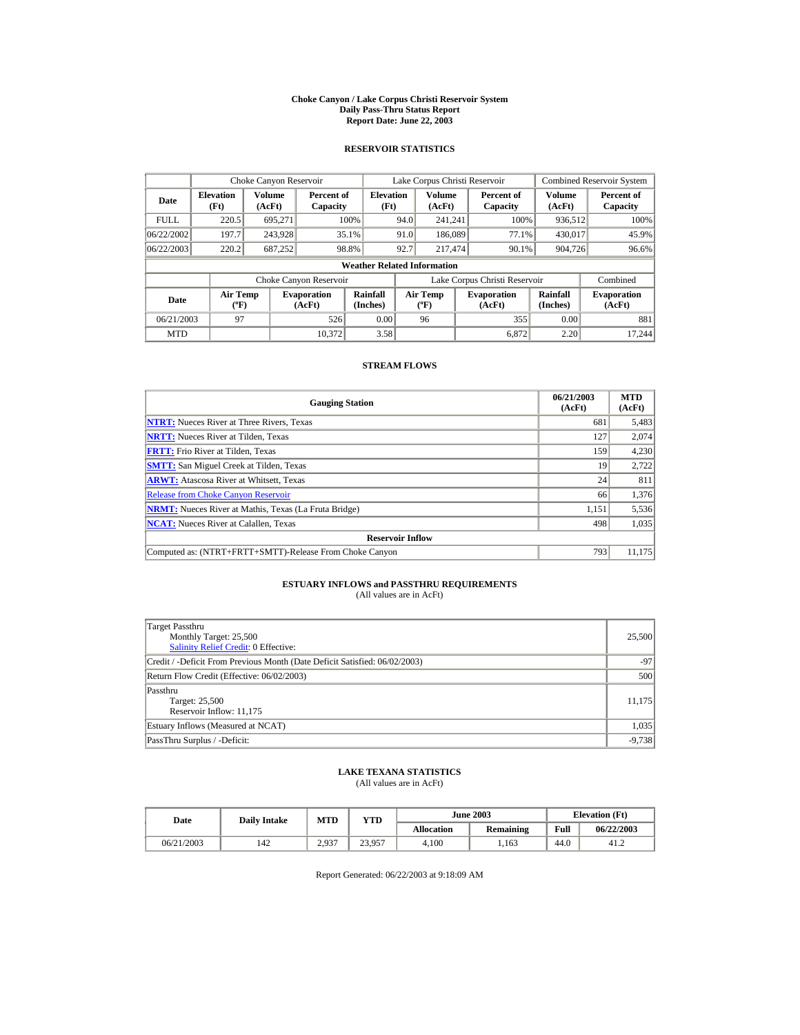#### **Choke Canyon / Lake Corpus Christi Reservoir System Daily Pass-Thru Status Report Report Date: June 22, 2003**

### **RESERVOIR STATISTICS**

|             | Choke Canyon Reservoir               |                  |                              |                                    | Lake Corpus Christi Reservoir |                                                  |  |                               |                      | <b>Combined Reservoir System</b> |
|-------------|--------------------------------------|------------------|------------------------------|------------------------------------|-------------------------------|--------------------------------------------------|--|-------------------------------|----------------------|----------------------------------|
| Date        | <b>Elevation</b><br>(Ft)             | Volume<br>(AcFt) | Percent of<br>Capacity       | <b>Elevation</b><br>(Ft)           |                               | <b>Volume</b><br>(AcFt)                          |  | Percent of<br>Capacity        | Volume<br>(AcFt)     | Percent of<br>Capacity           |
| <b>FULL</b> | 220.5                                | 695,271          |                              | 100%                               | 94.0                          | 241.241                                          |  | 100%                          | 936,512              | 100%                             |
| 06/22/2002  | 197.7                                | 243,928          |                              | 35.1%                              | 91.0                          | 186,089                                          |  | 77.1%                         | 430,017              | 45.9%                            |
| 06/22/2003  | 220.2                                | 687,252          |                              | 98.8%                              | 92.7                          | 217,474                                          |  | 90.1%                         | 904,726              | $96.6\%$                         |
|             |                                      |                  |                              | <b>Weather Related Information</b> |                               |                                                  |  |                               |                      |                                  |
|             |                                      |                  | Choke Canyon Reservoir       |                                    |                               |                                                  |  | Lake Corpus Christi Reservoir |                      | Combined                         |
| Date        | Air Temp<br>$({}^{\circ}\mathrm{F})$ |                  | <b>Evaporation</b><br>(AcFt) | Rainfall<br>(Inches)               |                               | <b>Air Temp</b><br>$({}^{\mathrm{o}}\mathrm{F})$ |  | <b>Evaporation</b><br>(AcFt)  | Rainfall<br>(Inches) | <b>Evaporation</b><br>(AcFt)     |
| 06/21/2003  | 97                                   |                  | 526                          | 0.00                               |                               | 96                                               |  | 355                           | 0.00                 | 881                              |
| <b>MTD</b>  |                                      |                  | 10.372                       | 3.58                               |                               |                                                  |  | 6.872                         | 2.20                 | 17.244                           |

### **STREAM FLOWS**

| <b>Gauging Station</b>                                       | 06/21/2003<br>(AcFt) | <b>MTD</b><br>(AcFt) |
|--------------------------------------------------------------|----------------------|----------------------|
| <b>NTRT:</b> Nueces River at Three Rivers, Texas             | 681                  | 5,483                |
| <b>NRTT:</b> Nueces River at Tilden, Texas                   | 127                  | 2,074                |
| <b>FRTT:</b> Frio River at Tilden, Texas                     | 159                  | 4,230                |
| <b>SMTT:</b> San Miguel Creek at Tilden, Texas               | 19                   | 2,722                |
| <b>ARWT:</b> Atascosa River at Whitsett, Texas               | 24                   | 811                  |
| <b>Release from Choke Canyon Reservoir</b>                   | 66                   | 1,376                |
| <b>NRMT:</b> Nueces River at Mathis, Texas (La Fruta Bridge) | 1,151                | 5,536                |
| <b>NCAT:</b> Nueces River at Calallen, Texas                 | 498                  | 1,035                |
| <b>Reservoir Inflow</b>                                      |                      |                      |
| Computed as: (NTRT+FRTT+SMTT)-Release From Choke Canyon      | 793                  | 11,175               |

# **ESTUARY INFLOWS and PASSTHRU REQUIREMENTS**<br>(All values are in AcFt)

| Target Passthru<br>Monthly Target: 25,500<br><b>Salinity Relief Credit: 0 Effective:</b> | 25,500   |  |  |  |  |
|------------------------------------------------------------------------------------------|----------|--|--|--|--|
| Credit / -Deficit From Previous Month (Date Deficit Satisfied: 06/02/2003)               | $-97$    |  |  |  |  |
| Return Flow Credit (Effective: 06/02/2003)                                               |          |  |  |  |  |
| Passthru<br>Target: 25,500<br>Reservoir Inflow: 11,175                                   | 11,175   |  |  |  |  |
| Estuary Inflows (Measured at NCAT)                                                       | 1,035    |  |  |  |  |
| PassThru Surplus / -Deficit:                                                             | $-9,738$ |  |  |  |  |

## **LAKE TEXANA STATISTICS**

(All values are in AcFt)

| Date       | <b>Daily Intake</b> | <b>MTD</b> | <b>June 2003</b><br>YTD |                   | <b>Elevation</b> (Ft) |      |            |
|------------|---------------------|------------|-------------------------|-------------------|-----------------------|------|------------|
|            |                     |            |                         | <b>Allocation</b> | Remaining             | Full | 06/22/2003 |
| 06/21/2003 | 142                 | 2.937      | 23,957                  | 4.100             | .163                  | 44.0 | 41.2       |

Report Generated: 06/22/2003 at 9:18:09 AM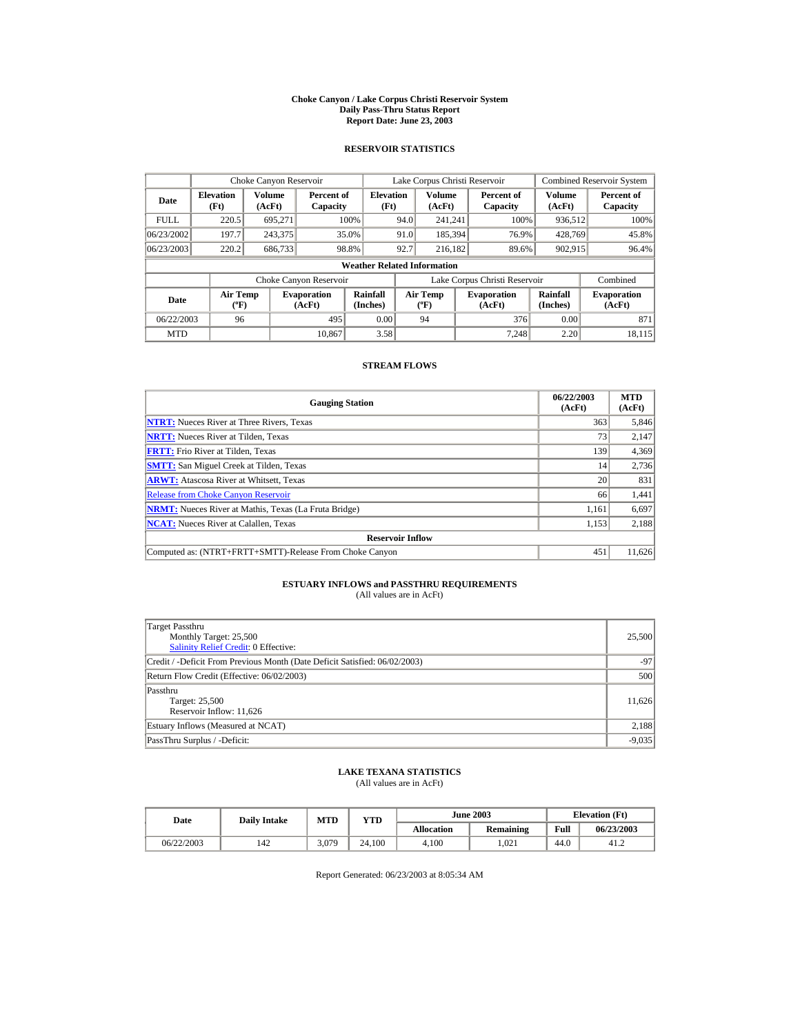#### **Choke Canyon / Lake Corpus Christi Reservoir System Daily Pass-Thru Status Report Report Date: June 23, 2003**

### **RESERVOIR STATISTICS**

|             | Choke Canyon Reservoir                      |                  |                              |                                    | Lake Corpus Christi Reservoir |                                             |  |                               |                      | Combined Reservoir System    |
|-------------|---------------------------------------------|------------------|------------------------------|------------------------------------|-------------------------------|---------------------------------------------|--|-------------------------------|----------------------|------------------------------|
| Date        | <b>Elevation</b><br>(Ft)                    | Volume<br>(AcFt) | Percent of<br>Capacity       | <b>Elevation</b><br>(Ft)           |                               | Volume<br>(AcFt)                            |  | Percent of<br>Capacity        | Volume<br>(AcFt)     | Percent of<br>Capacity       |
| <b>FULL</b> | 220.5                                       | 695.271          |                              | 100%                               | 94.0                          | 241.241                                     |  | 100%                          | 936,512              | 100%                         |
| 06/23/2002  | 197.7                                       | 243,375          |                              | 35.0%                              | 91.0                          | 185,394                                     |  | 76.9%                         | 428,769              | 45.8%                        |
| 06/23/2003  | 220.2                                       | 686,733          |                              | 98.8%                              | 92.7                          | 216.182                                     |  | 89.6%                         | 902,915              | 96.4%                        |
|             |                                             |                  |                              | <b>Weather Related Information</b> |                               |                                             |  |                               |                      |                              |
|             |                                             |                  | Choke Canyon Reservoir       |                                    |                               |                                             |  | Lake Corpus Christi Reservoir |                      | Combined                     |
| Date        | <b>Air Temp</b><br>$({}^{\circ}\mathrm{F})$ |                  | <b>Evaporation</b><br>(AcFt) | Rainfall<br>(Inches)               |                               | <b>Air Temp</b><br>$({}^{\circ}\mathbf{F})$ |  | <b>Evaporation</b><br>(AcFt)  | Rainfall<br>(Inches) | <b>Evaporation</b><br>(AcFt) |
| 06/22/2003  | 96                                          |                  | 495                          | 0.00                               |                               | 94                                          |  | 376                           | 0.00                 | 871                          |
| <b>MTD</b>  |                                             |                  | 10.867                       | 3.58                               |                               |                                             |  | 7.248                         | 2.20                 | 18.115                       |

### **STREAM FLOWS**

| <b>Gauging Station</b>                                       | 06/22/2003<br>(AcFt) | <b>MTD</b><br>(AcFt) |
|--------------------------------------------------------------|----------------------|----------------------|
| <b>NTRT:</b> Nueces River at Three Rivers, Texas             | 363                  | 5,846                |
| <b>NRTT:</b> Nueces River at Tilden, Texas                   | 73                   | 2,147                |
| <b>FRTT:</b> Frio River at Tilden, Texas                     | 139                  | 4,369                |
| <b>SMTT:</b> San Miguel Creek at Tilden, Texas               | 14                   | 2,736                |
| <b>ARWT:</b> Atascosa River at Whitsett, Texas               | 20                   | 831                  |
| <b>Release from Choke Canyon Reservoir</b>                   | 66                   | 1,441                |
| <b>NRMT:</b> Nueces River at Mathis, Texas (La Fruta Bridge) | 1.161                | 6,697                |
| <b>NCAT:</b> Nueces River at Calallen, Texas                 | 1,153                | 2,188                |
| <b>Reservoir Inflow</b>                                      |                      |                      |
| Computed as: (NTRT+FRTT+SMTT)-Release From Choke Canyon      | 451                  | 11,626               |

# **ESTUARY INFLOWS and PASSTHRU REQUIREMENTS**<br>(All values are in AcFt)

| Target Passthru<br>Monthly Target: 25,500<br><b>Salinity Relief Credit: 0 Effective:</b> | 25,500   |  |  |  |  |
|------------------------------------------------------------------------------------------|----------|--|--|--|--|
| Credit / -Deficit From Previous Month (Date Deficit Satisfied: 06/02/2003)               | $-97$    |  |  |  |  |
| Return Flow Credit (Effective: 06/02/2003)                                               |          |  |  |  |  |
| Passthru<br>Target: 25,500<br>Reservoir Inflow: 11,626                                   | 11,626   |  |  |  |  |
| Estuary Inflows (Measured at NCAT)                                                       | 2,188    |  |  |  |  |
| PassThru Surplus / -Deficit:                                                             | $-9,035$ |  |  |  |  |

## **LAKE TEXANA STATISTICS**

(All values are in AcFt)

| Date       | <b>Daily Intake</b> | MTD   | $_{\rm VTD}$ |            | <b>June 2003</b> |      | <b>Elevation</b> (Ft) |
|------------|---------------------|-------|--------------|------------|------------------|------|-----------------------|
|            |                     |       |              | Allocation | Remaining        | Full | 06/23/2003            |
| 06/22/2003 | 42ء                 | 3.079 | 24.100       | 4.100      | .021             | 44.0 | 41.2                  |

Report Generated: 06/23/2003 at 8:05:34 AM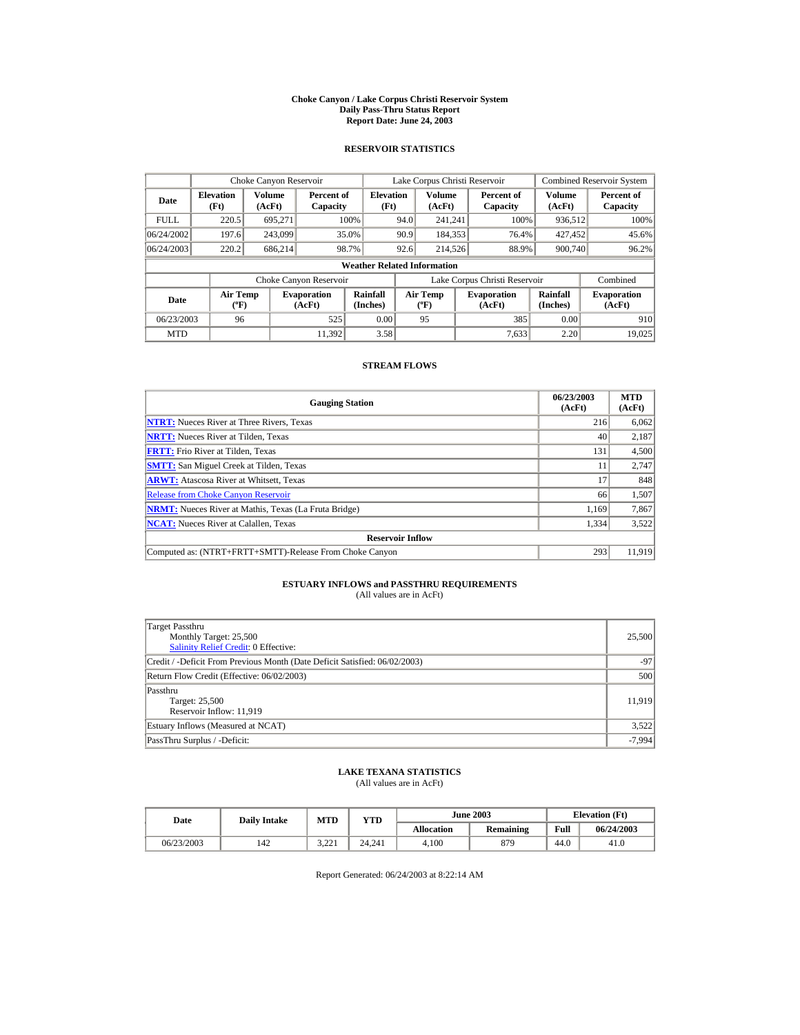#### **Choke Canyon / Lake Corpus Christi Reservoir System Daily Pass-Thru Status Report Report Date: June 24, 2003**

### **RESERVOIR STATISTICS**

|             | Choke Canyon Reservoir                      |                  |                              |                                    | Lake Corpus Christi Reservoir |                                             |  |                               |                      | Combined Reservoir System    |
|-------------|---------------------------------------------|------------------|------------------------------|------------------------------------|-------------------------------|---------------------------------------------|--|-------------------------------|----------------------|------------------------------|
| Date        | <b>Elevation</b><br>(Ft)                    | Volume<br>(AcFt) | Percent of<br>Capacity       | <b>Elevation</b><br>(Ft)           |                               | Volume<br>(AcFt)                            |  | Percent of<br>Capacity        | Volume<br>(AcFt)     | Percent of<br>Capacity       |
| <b>FULL</b> | 220.5                                       | 695.271          |                              | 100%                               | 94.0                          | 241.241                                     |  | 100%                          | 936,512              | 100%                         |
| 06/24/2002  | 197.6                                       | 243,099          |                              | 35.0%                              | 90.9                          | 184,353                                     |  | 76.4%                         | 427.452              | 45.6%                        |
| 06/24/2003  | 220.2                                       | 686.214          |                              | 98.7%                              | 92.6                          | 214,526                                     |  | 88.9%                         | 900,740              | 96.2%                        |
|             |                                             |                  |                              | <b>Weather Related Information</b> |                               |                                             |  |                               |                      |                              |
|             |                                             |                  | Choke Canyon Reservoir       |                                    |                               |                                             |  | Lake Corpus Christi Reservoir |                      | Combined                     |
| Date        | <b>Air Temp</b><br>$({}^{\circ}\mathrm{F})$ |                  | <b>Evaporation</b><br>(AcFt) | Rainfall<br>(Inches)               |                               | <b>Air Temp</b><br>$({}^{\circ}\mathbf{F})$ |  | <b>Evaporation</b><br>(AcFt)  | Rainfall<br>(Inches) | <b>Evaporation</b><br>(AcFt) |
| 06/23/2003  | 96                                          |                  | 525                          | 0.00                               |                               | 95                                          |  | 385                           | 0.00                 | 910                          |
| <b>MTD</b>  |                                             |                  | 11.392                       | 3.58                               |                               |                                             |  | 7.633                         | 2.20                 | 19.025                       |

### **STREAM FLOWS**

| <b>Gauging Station</b>                                       | 06/23/2003<br>(AcFt) | <b>MTD</b><br>(AcFt) |
|--------------------------------------------------------------|----------------------|----------------------|
| <b>NTRT:</b> Nueces River at Three Rivers, Texas             | 216                  | 6,062                |
| <b>NRTT:</b> Nueces River at Tilden, Texas                   | 40                   | 2,187                |
| <b>FRTT:</b> Frio River at Tilden, Texas                     | 131                  | 4,500                |
| <b>SMTT:</b> San Miguel Creek at Tilden, Texas               | 11                   | 2,747                |
| <b>ARWT:</b> Atascosa River at Whitsett, Texas               | 17                   | 848                  |
| <b>Release from Choke Canyon Reservoir</b>                   | 66                   | 1,507                |
| <b>NRMT:</b> Nueces River at Mathis, Texas (La Fruta Bridge) | 1.169                | 7,867                |
| <b>NCAT:</b> Nueces River at Calallen, Texas                 | 1,334                | 3,522                |
| <b>Reservoir Inflow</b>                                      |                      |                      |
| Computed as: (NTRT+FRTT+SMTT)-Release From Choke Canyon      | 293                  | 11,919               |

# **ESTUARY INFLOWS and PASSTHRU REQUIREMENTS**<br>(All values are in AcFt)

| Target Passthru<br>Monthly Target: 25,500<br><b>Salinity Relief Credit: 0 Effective:</b> | 25,500   |  |  |  |  |
|------------------------------------------------------------------------------------------|----------|--|--|--|--|
| Credit / -Deficit From Previous Month (Date Deficit Satisfied: 06/02/2003)               | $-97$    |  |  |  |  |
| Return Flow Credit (Effective: 06/02/2003)                                               |          |  |  |  |  |
| Passthru<br>Target: 25,500<br>Reservoir Inflow: 11,919                                   | 11,919   |  |  |  |  |
| Estuary Inflows (Measured at NCAT)                                                       | 3,522    |  |  |  |  |
| PassThru Surplus / -Deficit:                                                             | $-7,994$ |  |  |  |  |

## **LAKE TEXANA STATISTICS**

(All values are in AcFt)

| Date       | <b>Daily Intake</b> | <b>MTD</b>       | YTD    | <b>June 2003</b>  |           |      | <b>Elevation</b> (Ft) |
|------------|---------------------|------------------|--------|-------------------|-----------|------|-----------------------|
|            |                     |                  |        | <b>Allocation</b> | Remaining | Full | 06/24/2003            |
| 06/23/2003 | 142                 | 2.221<br>⊥ کے دک | 24.241 | 4.100             | 879       | 44.0 | 41.0                  |

Report Generated: 06/24/2003 at 8:22:14 AM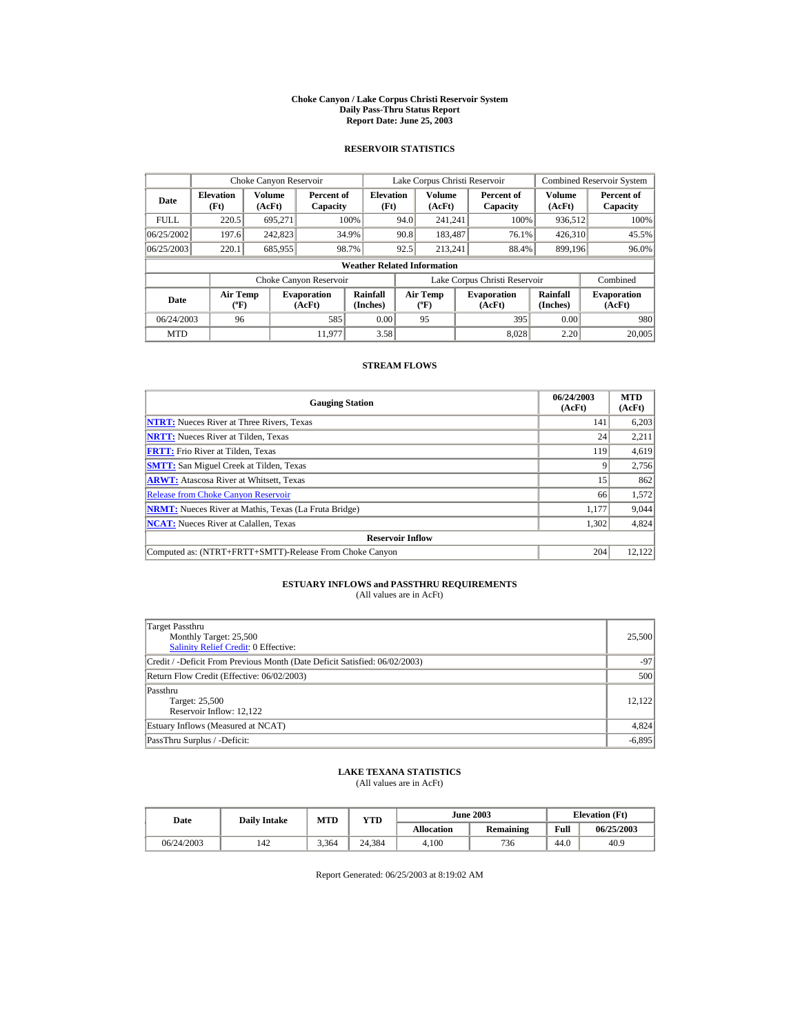#### **Choke Canyon / Lake Corpus Christi Reservoir System Daily Pass-Thru Status Report Report Date: June 25, 2003**

### **RESERVOIR STATISTICS**

|             | Choke Canyon Reservoir                      |                  |                              |                                    | Lake Corpus Christi Reservoir |                                             |  |                               |                      | Combined Reservoir System    |
|-------------|---------------------------------------------|------------------|------------------------------|------------------------------------|-------------------------------|---------------------------------------------|--|-------------------------------|----------------------|------------------------------|
| Date        | <b>Elevation</b><br>(Ft)                    | Volume<br>(AcFt) | Percent of<br>Capacity       | <b>Elevation</b><br>(Ft)           |                               | Volume<br>(AcFt)                            |  | Percent of<br>Capacity        | Volume<br>(AcFt)     | Percent of<br>Capacity       |
| <b>FULL</b> | 220.5                                       | 695.271          |                              | 100%                               | 94.0                          | 241.241                                     |  | 100%                          | 936,512              | 100%                         |
| 06/25/2002  | 197.6                                       | 242,823          |                              | 34.9%                              | 90.8                          | 183,487                                     |  | 76.1%                         | 426,310              | 45.5%                        |
| 06/25/2003  | 220.1                                       | 685,955          |                              | 98.7%                              | 92.5                          | 213.241                                     |  | 88.4%                         | 899.196              | 96.0%                        |
|             |                                             |                  |                              | <b>Weather Related Information</b> |                               |                                             |  |                               |                      |                              |
|             |                                             |                  | Choke Canyon Reservoir       |                                    |                               |                                             |  | Lake Corpus Christi Reservoir |                      | Combined                     |
| Date        | <b>Air Temp</b><br>$({}^{\circ}\mathrm{F})$ |                  | <b>Evaporation</b><br>(AcFt) | Rainfall<br>(Inches)               |                               | <b>Air Temp</b><br>$({}^{\circ}\mathbf{F})$ |  | <b>Evaporation</b><br>(AcFt)  | Rainfall<br>(Inches) | <b>Evaporation</b><br>(AcFt) |
| 06/24/2003  | 96                                          |                  | 585                          | 0.00                               |                               | 95                                          |  | 395                           | 0.00                 | 980                          |
| <b>MTD</b>  |                                             |                  | 11.977                       | 3.58                               |                               |                                             |  | 8.028                         | 2.20                 | 20,005                       |

### **STREAM FLOWS**

| <b>Gauging Station</b>                                       | 06/24/2003<br>(AcFt) | <b>MTD</b><br>(AcFt) |
|--------------------------------------------------------------|----------------------|----------------------|
| <b>NTRT:</b> Nueces River at Three Rivers, Texas             | 141                  | 6,203                |
| <b>NRTT:</b> Nueces River at Tilden, Texas                   | 24                   | 2,211                |
| <b>FRTT:</b> Frio River at Tilden, Texas                     | 119                  | 4,619                |
| <b>SMTT:</b> San Miguel Creek at Tilden, Texas               |                      | 2,756                |
| <b>ARWT:</b> Atascosa River at Whitsett, Texas               | 15                   | 862                  |
| <b>Release from Choke Canyon Reservoir</b>                   | 66                   | 1,572                |
| <b>NRMT:</b> Nueces River at Mathis, Texas (La Fruta Bridge) | 1.177                | 9,044                |
| <b>NCAT:</b> Nueces River at Calallen, Texas                 | 1,302                | 4,824                |
| <b>Reservoir Inflow</b>                                      |                      |                      |
| Computed as: (NTRT+FRTT+SMTT)-Release From Choke Canyon      | 204                  | 12,122               |

# **ESTUARY INFLOWS and PASSTHRU REQUIREMENTS**<br>(All values are in AcFt)

| Target Passthru<br>Monthly Target: 25,500<br><b>Salinity Relief Credit: 0 Effective:</b> | 25,500   |  |  |  |  |
|------------------------------------------------------------------------------------------|----------|--|--|--|--|
| Credit / -Deficit From Previous Month (Date Deficit Satisfied: 06/02/2003)               | $-97$    |  |  |  |  |
| Return Flow Credit (Effective: 06/02/2003)                                               |          |  |  |  |  |
| Passthru<br>Target: 25,500<br>Reservoir Inflow: 12.122                                   | 12.122   |  |  |  |  |
| Estuary Inflows (Measured at NCAT)                                                       | 4,824    |  |  |  |  |
| PassThru Surplus / -Deficit:                                                             | $-6,895$ |  |  |  |  |

## **LAKE TEXANA STATISTICS**

(All values are in AcFt)

| Date       | <b>Daily Intake</b> | MTD   | $_{\rm VTD}$ |                   | <b>June 2003</b> |      | <b>Elevation</b> (Ft) |
|------------|---------------------|-------|--------------|-------------------|------------------|------|-----------------------|
|            |                     |       |              | <b>Allocation</b> | <b>Remaining</b> | Full | 06/25/2003            |
| 06/24/2003 | 142                 | 3.364 | 24.384       | 4.100             | 736              | 44.0 | 40.9                  |

Report Generated: 06/25/2003 at 8:19:02 AM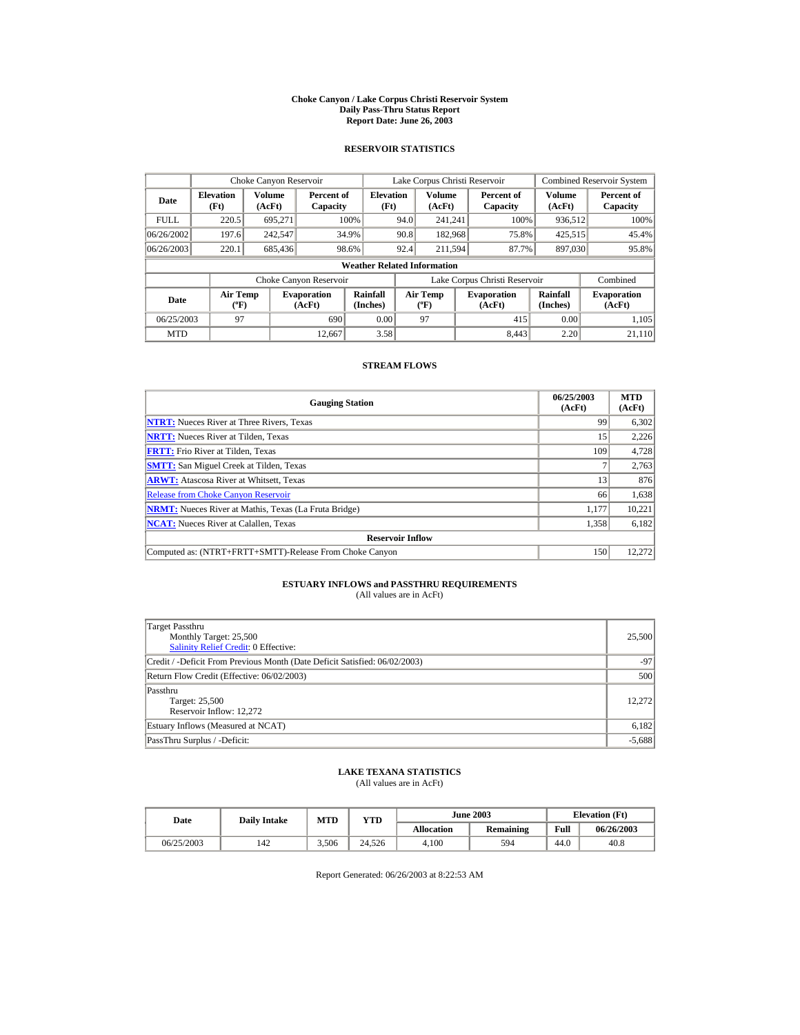#### **Choke Canyon / Lake Corpus Christi Reservoir System Daily Pass-Thru Status Report Report Date: June 26, 2003**

### **RESERVOIR STATISTICS**

|             | Choke Canyon Reservoir                      |                  |                              |                                    | Lake Corpus Christi Reservoir |                                             |  |                               |                      | <b>Combined Reservoir System</b> |
|-------------|---------------------------------------------|------------------|------------------------------|------------------------------------|-------------------------------|---------------------------------------------|--|-------------------------------|----------------------|----------------------------------|
| Date        | <b>Elevation</b><br>(Ft)                    | Volume<br>(AcFt) | Percent of<br>Capacity       | <b>Elevation</b><br>(Ft)           |                               | Volume<br>(AcFt)                            |  | Percent of<br>Capacity        | Volume<br>(AcFt)     | Percent of<br>Capacity           |
| <b>FULL</b> | 220.5                                       | 695.271          |                              | 100%                               | 94.0                          | 241.241                                     |  | 100%                          | 936,512              | 100%                             |
| 06/26/2002  | 197.6                                       | 242,547          |                              | 34.9%                              | 90.8                          | 182,968                                     |  | 75.8%                         | 425,515              | 45.4%                            |
| 06/26/2003  | 220.1                                       | 685,436          |                              | 98.6%                              | 92.4                          | 211.594                                     |  | 87.7%                         | 897,030              | 95.8%                            |
|             |                                             |                  |                              | <b>Weather Related Information</b> |                               |                                             |  |                               |                      |                                  |
|             |                                             |                  | Choke Canyon Reservoir       |                                    |                               |                                             |  | Lake Corpus Christi Reservoir |                      | Combined                         |
| Date        | <b>Air Temp</b><br>$({}^{\circ}\mathrm{F})$ |                  | <b>Evaporation</b><br>(AcFt) | Rainfall<br>(Inches)               |                               | <b>Air Temp</b><br>$({}^{\circ}\mathbf{F})$ |  | <b>Evaporation</b><br>(AcFt)  | Rainfall<br>(Inches) | <b>Evaporation</b><br>(AcFt)     |
| 06/25/2003  | 97                                          |                  | 690                          | 0.00                               |                               | 97                                          |  | 415                           | 0.00                 | 1.105                            |
| <b>MTD</b>  |                                             |                  | 12,667                       | 3.58                               |                               |                                             |  | 8.443                         | 2.20                 | 21.110                           |

### **STREAM FLOWS**

| <b>Gauging Station</b>                                       | 06/25/2003<br>(AcFt) | <b>MTD</b><br>(AcFt) |
|--------------------------------------------------------------|----------------------|----------------------|
| <b>NTRT:</b> Nueces River at Three Rivers, Texas             | 99                   | 6,302                |
| <b>NRTT:</b> Nueces River at Tilden, Texas                   | 15                   | 2,226                |
| <b>FRTT:</b> Frio River at Tilden, Texas                     | 109                  | 4,728                |
| <b>SMTT:</b> San Miguel Creek at Tilden, Texas               |                      | 2,763                |
| <b>ARWT:</b> Atascosa River at Whitsett, Texas               | 13                   | 876                  |
| <b>Release from Choke Canyon Reservoir</b>                   | 66                   | 1,638                |
| <b>NRMT:</b> Nueces River at Mathis, Texas (La Fruta Bridge) | 1.177                | 10,221               |
| <b>NCAT:</b> Nueces River at Calallen, Texas                 | 1,358                | 6,182                |
| <b>Reservoir Inflow</b>                                      |                      |                      |
| Computed as: (NTRT+FRTT+SMTT)-Release From Choke Canyon      | 150                  | 12.272               |

# **ESTUARY INFLOWS and PASSTHRU REQUIREMENTS**<br>(All values are in AcFt)

| Target Passthru<br>Monthly Target: 25,500<br><b>Salinity Relief Credit: 0 Effective:</b> | 25,500   |  |  |  |  |
|------------------------------------------------------------------------------------------|----------|--|--|--|--|
| Credit / -Deficit From Previous Month (Date Deficit Satisfied: 06/02/2003)               | $-97$    |  |  |  |  |
| Return Flow Credit (Effective: 06/02/2003)                                               |          |  |  |  |  |
| Passthru<br>Target: 25,500<br>Reservoir Inflow: 12.272                                   | 12.272   |  |  |  |  |
| Estuary Inflows (Measured at NCAT)                                                       | 6,182    |  |  |  |  |
| PassThru Surplus / -Deficit:                                                             | $-5,688$ |  |  |  |  |

## **LAKE TEXANA STATISTICS**

(All values are in AcFt)

| Date       | <b>Daily Intake</b> | <b>MTD</b> | YTD    |                   | <b>June 2003</b> |      | <b>Elevation</b> (Ft) |
|------------|---------------------|------------|--------|-------------------|------------------|------|-----------------------|
|            |                     |            |        | <b>Allocation</b> | Remaining        | Full | 06/26/2003            |
| 06/25/2003 | 142                 | 3.506      | 24.526 | 4.100             | 594              | 44.0 | 40.8                  |

Report Generated: 06/26/2003 at 8:22:53 AM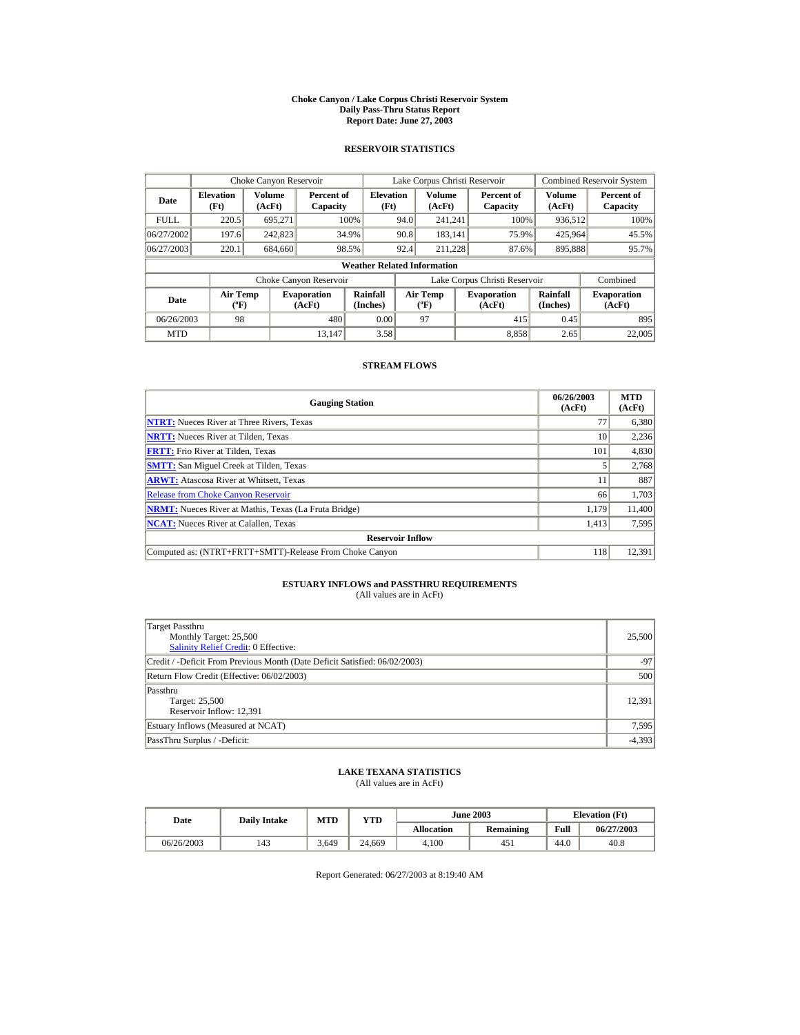#### **Choke Canyon / Lake Corpus Christi Reservoir System Daily Pass-Thru Status Report Report Date: June 27, 2003**

### **RESERVOIR STATISTICS**

|             | Choke Canyon Reservoir                      |                  |                              |                                    | Lake Corpus Christi Reservoir |                                             |  |                               |                      | Combined Reservoir System    |
|-------------|---------------------------------------------|------------------|------------------------------|------------------------------------|-------------------------------|---------------------------------------------|--|-------------------------------|----------------------|------------------------------|
| Date        | <b>Elevation</b><br>(Ft)                    | Volume<br>(AcFt) | Percent of<br>Capacity       | <b>Elevation</b><br>(Ft)           |                               | Volume<br>(AcFt)                            |  | Percent of<br>Capacity        | Volume<br>(AcFt)     | Percent of<br>Capacity       |
| <b>FULL</b> | 220.5                                       | 695.271          |                              | 100%                               | 94.0                          | 241.241                                     |  | 100%                          | 936,512              | 100%                         |
| 06/27/2002  | 197.6                                       | 242,823          |                              | 34.9%                              | 90.8                          | 183.141                                     |  | 75.9%                         | 425,964              | 45.5%                        |
| 06/27/2003  | 220.1                                       | 684.660          |                              | 98.5%                              | 92.4                          | 211.228                                     |  | 87.6%                         | 895,888              | 95.7%                        |
|             |                                             |                  |                              | <b>Weather Related Information</b> |                               |                                             |  |                               |                      |                              |
|             |                                             |                  | Choke Canyon Reservoir       |                                    |                               |                                             |  | Lake Corpus Christi Reservoir |                      | Combined                     |
| Date        | <b>Air Temp</b><br>$({}^{\circ}\mathrm{F})$ |                  | <b>Evaporation</b><br>(AcFt) | Rainfall<br>(Inches)               |                               | <b>Air Temp</b><br>$({}^{\circ}\mathbf{F})$ |  | <b>Evaporation</b><br>(AcFt)  | Rainfall<br>(Inches) | <b>Evaporation</b><br>(AcFt) |
| 06/26/2003  | 98                                          |                  | 480                          | 0.00                               |                               | 97                                          |  | 415                           | 0.45                 | 895                          |
| <b>MTD</b>  |                                             |                  | 13,147                       | 3.58                               |                               |                                             |  | 8.858                         | 2.65                 | 22,005                       |

### **STREAM FLOWS**

| <b>Gauging Station</b>                                       | 06/26/2003<br>(AcFt) | <b>MTD</b><br>(AcFt) |
|--------------------------------------------------------------|----------------------|----------------------|
| <b>NTRT:</b> Nueces River at Three Rivers, Texas             | 77                   | 6,380                |
| <b>NRTT:</b> Nueces River at Tilden, Texas                   | 10                   | 2,236                |
| <b>FRTT:</b> Frio River at Tilden, Texas                     | 101                  | 4,830                |
| <b>SMTT:</b> San Miguel Creek at Tilden, Texas               |                      | 2,768                |
| <b>ARWT:</b> Atascosa River at Whitsett, Texas               | 11                   | 887                  |
| <b>Release from Choke Canyon Reservoir</b>                   | 66                   | 1,703                |
| <b>NRMT:</b> Nueces River at Mathis, Texas (La Fruta Bridge) | 1.179                | 11.400               |
| <b>NCAT:</b> Nueces River at Calallen, Texas                 | 1,413                | 7,595                |
| <b>Reservoir Inflow</b>                                      |                      |                      |
| Computed as: (NTRT+FRTT+SMTT)-Release From Choke Canyon      | 118                  | 12,391               |

# **ESTUARY INFLOWS and PASSTHRU REQUIREMENTS**<br>(All values are in AcFt)

| Target Passthru<br>Monthly Target: 25,500<br><b>Salinity Relief Credit: 0 Effective:</b> | 25,500   |  |  |  |  |
|------------------------------------------------------------------------------------------|----------|--|--|--|--|
| Credit / -Deficit From Previous Month (Date Deficit Satisfied: 06/02/2003)               | $-97$    |  |  |  |  |
| Return Flow Credit (Effective: 06/02/2003)                                               |          |  |  |  |  |
| Passthru<br>Target: 25,500<br>Reservoir Inflow: 12,391                                   | 12.391   |  |  |  |  |
| Estuary Inflows (Measured at NCAT)                                                       | 7,595    |  |  |  |  |
| PassThru Surplus / -Deficit:                                                             | $-4,393$ |  |  |  |  |

## **LAKE TEXANA STATISTICS**

(All values are in AcFt)

| Date       | <b>Daily Intake</b> | <b>MTD</b> | YTD    |                   | <b>June 2003</b> |      | <b>Elevation</b> (Ft) |
|------------|---------------------|------------|--------|-------------------|------------------|------|-----------------------|
|            |                     |            |        | <b>Allocation</b> | Remaining        | Full | 06/27/2003            |
| 06/26/2003 | 143                 | 3.649      | 24.669 | 4.100             | 451              | 44.0 | 40.8                  |

Report Generated: 06/27/2003 at 8:19:40 AM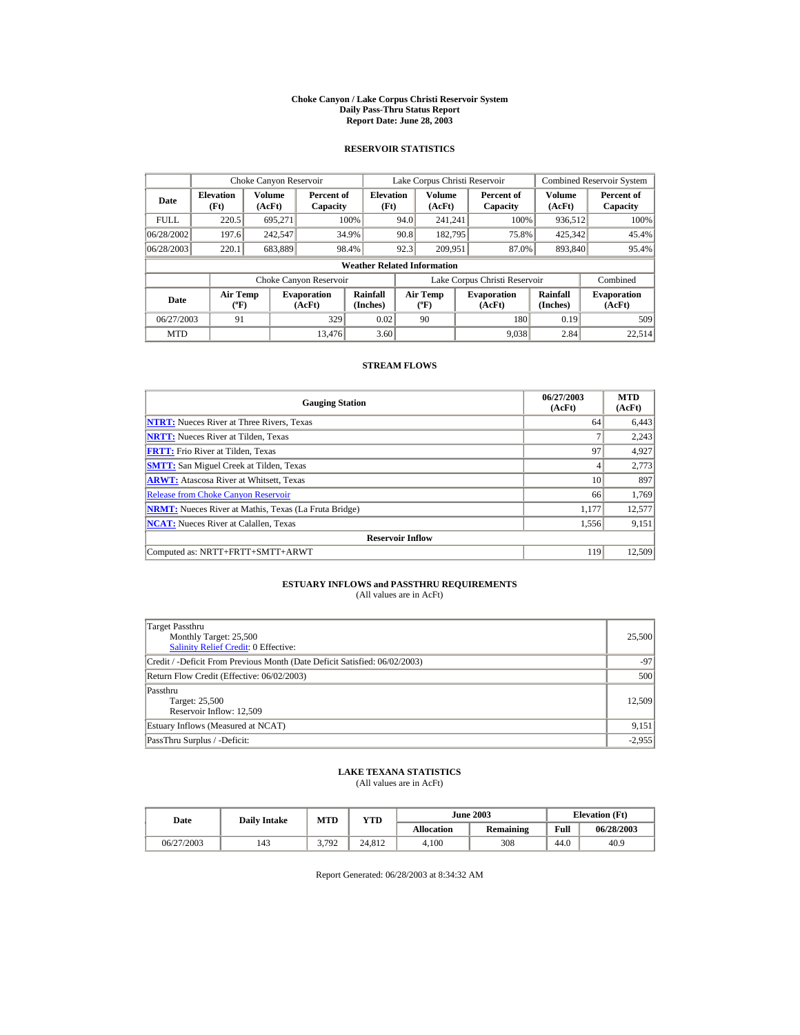#### **Choke Canyon / Lake Corpus Christi Reservoir System Daily Pass-Thru Status Report Report Date: June 28, 2003**

### **RESERVOIR STATISTICS**

|             | Choke Canyon Reservoir               |                  |                              |                                    | Lake Corpus Christi Reservoir |                                             |  |                               |                      | Combined Reservoir System    |
|-------------|--------------------------------------|------------------|------------------------------|------------------------------------|-------------------------------|---------------------------------------------|--|-------------------------------|----------------------|------------------------------|
| Date        | <b>Elevation</b><br>(Ft)             | Volume<br>(AcFt) | Percent of<br>Capacity       | <b>Elevation</b><br>(Ft)           |                               | Volume<br>(AcFt)                            |  | Percent of<br>Capacity        | Volume<br>(AcFt)     | Percent of<br>Capacity       |
| <b>FULL</b> | 220.5                                | 695.271          |                              | 100%                               | 94.0                          | 241.241                                     |  | 100%                          | 936,512              | 100%                         |
| 06/28/2002  | 197.6                                | 242,547          |                              | 34.9%                              | 90.8                          | 182.795                                     |  | 75.8%                         | 425,342              | 45.4%                        |
| 06/28/2003  | 220.1                                | 683,889          |                              | 98.4%                              | 92.3                          | 209.951                                     |  | 87.0%                         | 893,840              | 95.4%                        |
|             |                                      |                  |                              | <b>Weather Related Information</b> |                               |                                             |  |                               |                      |                              |
|             |                                      |                  | Choke Canyon Reservoir       |                                    |                               |                                             |  | Lake Corpus Christi Reservoir |                      | Combined                     |
| Date        | Air Temp<br>$({}^{\circ}\mathrm{F})$ |                  | <b>Evaporation</b><br>(AcFt) | Rainfall<br>(Inches)               |                               | <b>Air Temp</b><br>$({}^{\circ}\mathbf{F})$ |  | <b>Evaporation</b><br>(AcFt)  | Rainfall<br>(Inches) | <b>Evaporation</b><br>(AcFt) |
| 06/27/2003  | 91                                   |                  | 329                          | 0.02                               |                               | 90                                          |  | 180                           | 0.19                 | 509                          |
| <b>MTD</b>  |                                      |                  | 13,476                       | 3.60                               |                               |                                             |  | 9.038                         | 2.84                 | 22,514                       |

### **STREAM FLOWS**

| <b>Gauging Station</b>                                       | 06/27/2003<br>(AcFt) | <b>MTD</b><br>(AcFt) |
|--------------------------------------------------------------|----------------------|----------------------|
| <b>NTRT:</b> Nueces River at Three Rivers, Texas             | 64                   | 6,443                |
| <b>NRTT:</b> Nueces River at Tilden, Texas                   |                      | 2,243                |
| <b>FRTT:</b> Frio River at Tilden, Texas                     | 97                   | 4,927                |
| <b>SMTT:</b> San Miguel Creek at Tilden, Texas               | 4                    | 2,773                |
| <b>ARWT:</b> Atascosa River at Whitsett, Texas               | 10                   | 897                  |
| <b>Release from Choke Canyon Reservoir</b>                   | 66                   | 1,769                |
| <b>NRMT:</b> Nueces River at Mathis, Texas (La Fruta Bridge) | 1.177                | 12,577               |
| <b>NCAT:</b> Nueces River at Calallen, Texas                 | 1,556                | 9,151                |
| <b>Reservoir Inflow</b>                                      |                      |                      |
| Computed as: NRTT+FRTT+SMTT+ARWT                             | 119                  | 12,509               |

# **ESTUARY INFLOWS and PASSTHRU REQUIREMENTS**<br>(All values are in AcFt)

| Target Passthru<br>Monthly Target: 25,500<br><b>Salinity Relief Credit: 0 Effective:</b> | 25,500   |  |  |  |  |
|------------------------------------------------------------------------------------------|----------|--|--|--|--|
| Credit / -Deficit From Previous Month (Date Deficit Satisfied: 06/02/2003)               | $-97$    |  |  |  |  |
| Return Flow Credit (Effective: 06/02/2003)                                               |          |  |  |  |  |
| Passthru<br>Target: 25,500<br>Reservoir Inflow: 12,509                                   | 12.509   |  |  |  |  |
| Estuary Inflows (Measured at NCAT)                                                       | 9,151    |  |  |  |  |
| PassThru Surplus / -Deficit:                                                             | $-2,955$ |  |  |  |  |

## **LAKE TEXANA STATISTICS**

(All values are in AcFt)

| Date       | <b>Daily Intake</b> | <b>MTD</b>      | YTD    | <b>June 2003</b>  |           |      | <b>Elevation</b> (Ft) |
|------------|---------------------|-----------------|--------|-------------------|-----------|------|-----------------------|
|            |                     |                 |        | <b>Allocation</b> | Remaining | Full | 06/28/2003            |
| 06/27/2003 | 143                 | 3702<br>J.I J 4 | 24.812 | 4.100             | 308       | 44.0 | 40.9                  |

Report Generated: 06/28/2003 at 8:34:32 AM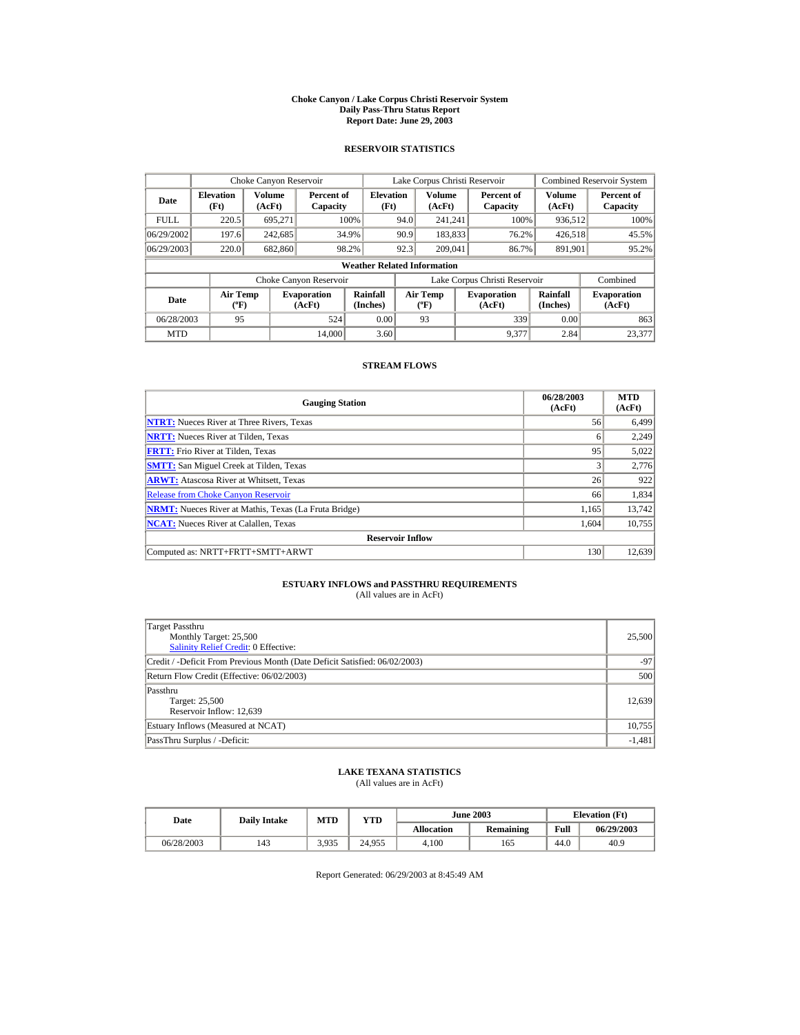#### **Choke Canyon / Lake Corpus Christi Reservoir System Daily Pass-Thru Status Report Report Date: June 29, 2003**

### **RESERVOIR STATISTICS**

|             | Choke Canyon Reservoir               |                  |                              |                                    | Lake Corpus Christi Reservoir |                                             |  |                               |                      | <b>Combined Reservoir System</b> |
|-------------|--------------------------------------|------------------|------------------------------|------------------------------------|-------------------------------|---------------------------------------------|--|-------------------------------|----------------------|----------------------------------|
| Date        | <b>Elevation</b><br>(Ft)             | Volume<br>(AcFt) | Percent of<br>Capacity       | <b>Elevation</b><br>(Ft)           |                               | Volume<br>(AcFt)                            |  | Percent of<br>Capacity        | Volume<br>(AcFt)     | Percent of<br>Capacity           |
| <b>FULL</b> | 220.5                                | 695.271          |                              | 100%                               | 94.0                          | 241.241                                     |  | 100%                          | 936,512              | 100%                             |
| 06/29/2002  | 197.6                                | 242,685          |                              | 34.9%                              | 90.9                          | 183,833                                     |  | 76.2%                         | 426,518              | 45.5%                            |
| 06/29/2003  | 220.0                                | 682,860          | 98.2%                        |                                    | 92.3                          | 209,041                                     |  | 86.7%                         | 891,901              | 95.2%                            |
|             |                                      |                  |                              | <b>Weather Related Information</b> |                               |                                             |  |                               |                      |                                  |
|             |                                      |                  | Choke Canyon Reservoir       |                                    |                               |                                             |  | Lake Corpus Christi Reservoir |                      | Combined                         |
| Date        | Air Temp<br>$({}^{\circ}\mathrm{F})$ |                  | <b>Evaporation</b><br>(AcFt) | Rainfall<br>(Inches)               |                               | <b>Air Temp</b><br>$({}^{\circ}\mathbf{F})$ |  | <b>Evaporation</b><br>(AcFt)  | Rainfall<br>(Inches) | <b>Evaporation</b><br>(AcFt)     |
| 06/28/2003  | 95                                   |                  | 524                          | 0.00                               |                               | 93                                          |  | 339                           | 0.00                 | 863                              |
| <b>MTD</b>  |                                      |                  | 14,000                       | 3.60                               |                               |                                             |  | 9.377                         | 2.84                 | 23,377                           |

### **STREAM FLOWS**

| <b>Gauging Station</b>                                       | 06/28/2003<br>(AcFt) | <b>MTD</b><br>(AcFt) |
|--------------------------------------------------------------|----------------------|----------------------|
| <b>NTRT:</b> Nueces River at Three Rivers, Texas             | 56                   | 6,499                |
| <b>NRTT:</b> Nueces River at Tilden, Texas                   | 6                    | 2,249                |
| <b>FRTT:</b> Frio River at Tilden, Texas                     | 95                   | 5,022                |
| <b>SMTT:</b> San Miguel Creek at Tilden, Texas               | 3                    | 2,776                |
| <b>ARWT:</b> Atascosa River at Whitsett, Texas               | 26                   | 922                  |
| <b>Release from Choke Canyon Reservoir</b>                   | 66                   | 1,834                |
| <b>NRMT:</b> Nueces River at Mathis, Texas (La Fruta Bridge) | 1.165                | 13.742               |
| <b>NCAT:</b> Nueces River at Calallen, Texas                 | 1,604                | 10,755               |
| <b>Reservoir Inflow</b>                                      |                      |                      |
| Computed as: NRTT+FRTT+SMTT+ARWT                             | 130                  | 12,639               |

# **ESTUARY INFLOWS and PASSTHRU REQUIREMENTS**<br>(All values are in AcFt)

| Target Passthru<br>Monthly Target: 25,500<br><b>Salinity Relief Credit: 0 Effective:</b> | 25,500   |  |  |  |  |
|------------------------------------------------------------------------------------------|----------|--|--|--|--|
| Credit / -Deficit From Previous Month (Date Deficit Satisfied: 06/02/2003)               | $-97$    |  |  |  |  |
| Return Flow Credit (Effective: 06/02/2003)                                               |          |  |  |  |  |
| Passthru<br>Target: 25,500<br>Reservoir Inflow: 12,639                                   | 12,639   |  |  |  |  |
| Estuary Inflows (Measured at NCAT)                                                       | 10,755   |  |  |  |  |
| PassThru Surplus / -Deficit:                                                             | $-1,481$ |  |  |  |  |

## **LAKE TEXANA STATISTICS**

(All values are in AcFt)

| Date       | <b>Daily Intake</b> | <b>MTD</b> | YTD    |                   | <b>June 2003</b> |      | <b>Elevation</b> (Ft) |
|------------|---------------------|------------|--------|-------------------|------------------|------|-----------------------|
|            |                     |            |        | <b>Allocation</b> | Remaining        | Full | 06/29/2003            |
| 06/28/2003 | 143                 | 3.935      | 24.955 | 4.100             | 165              | 44.0 | 40.9                  |

Report Generated: 06/29/2003 at 8:45:49 AM